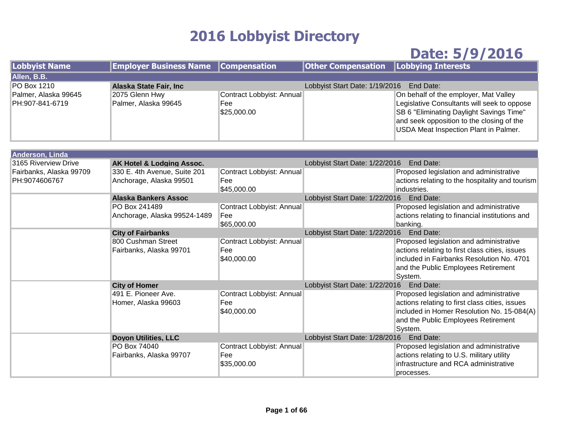## **2016 Lobbyist Directory**

## **Date: 5/9/2016**

| <b>Lobbyist Name</b>                    | <b>Employer Business Name Compensation</b> |                                                 | <b>Other Compensation   Lobbying Interests</b> |                                                                                                                                                                                                                        |
|-----------------------------------------|--------------------------------------------|-------------------------------------------------|------------------------------------------------|------------------------------------------------------------------------------------------------------------------------------------------------------------------------------------------------------------------------|
| Allen, B.B.                             |                                            |                                                 |                                                |                                                                                                                                                                                                                        |
| PO Box 1210                             | Alaska State Fair, Inc.                    |                                                 | Lobbyist Start Date: 1/19/2016                 | End Date:                                                                                                                                                                                                              |
| Palmer, Alaska 99645<br>PH:907-841-6719 | 2075 Glenn Hwy<br>Palmer, Alaska 99645     | Contract Lobbyist: Annual<br>Fee<br>\$25,000.00 |                                                | On behalf of the employer, Mat Valley<br>Legislative Consultants will seek to oppose<br>SB 6 "Eliminating Daylight Savings Time"<br>and seek opposition to the closing of the<br>USDA Meat Inspection Plant in Palmer. |
|                                         |                                            |                                                 |                                                |                                                                                                                                                                                                                        |
| Anderson, Linda                         |                                            |                                                 |                                                |                                                                                                                                                                                                                        |

| $1199199111 \text{ }$<br>3165 Riverview Drive | AK Hotel & Lodging Assoc.    |                           | Lobbyist Start Date: 1/22/2016 End Date:    |                                                 |
|-----------------------------------------------|------------------------------|---------------------------|---------------------------------------------|-------------------------------------------------|
| Fairbanks, Alaska 99709                       | 330 E. 4th Avenue, Suite 201 | Contract Lobbyist: Annual |                                             | Proposed legislation and administrative         |
| PH:9074606767                                 | Anchorage, Alaska 99501      | Fee                       |                                             | actions relating to the hospitality and tourism |
|                                               |                              | \$45,000.00               |                                             | industries.                                     |
|                                               | <b>Alaska Bankers Assoc</b>  |                           | Lobbyist Start Date: 1/22/2016 End Date:    |                                                 |
|                                               | PO Box 241489                | Contract Lobbyist: Annual |                                             | Proposed legislation and administrative         |
|                                               | Anchorage, Alaska 99524-1489 | Fee                       |                                             | actions relating to financial institutions and  |
|                                               |                              | \$65,000.00               |                                             | banking.                                        |
|                                               | <b>City of Fairbanks</b>     |                           | Lobbyist Start Date: 1/22/2016 End Date:    |                                                 |
|                                               | 800 Cushman Street           | Contract Lobbyist: Annual |                                             | Proposed legislation and administrative         |
|                                               | Fairbanks, Alaska 99701      | Fee                       |                                             | actions relating to first class cities, issues  |
|                                               |                              | \$40,000.00               |                                             | included in Fairbanks Resolution No. 4701       |
|                                               |                              |                           |                                             | and the Public Employees Retirement             |
|                                               |                              |                           |                                             | System.                                         |
|                                               | <b>City of Homer</b>         |                           | Lobbyist Start Date: 1/22/2016<br>End Date: |                                                 |
|                                               | 491 E. Pioneer Ave.          | Contract Lobbyist: Annual |                                             | Proposed legislation and administrative         |
|                                               | Homer, Alaska 99603          | Fee                       |                                             | actions relating to first class cities, issues  |
|                                               |                              | \$40,000.00               |                                             | included in Homer Resolution No. 15-084(A)      |
|                                               |                              |                           |                                             | and the Public Employees Retirement             |
|                                               |                              |                           |                                             | System.                                         |
|                                               | <b>Doyon Utilities, LLC</b>  |                           | Lobbyist Start Date: 1/28/2016              | End Date:                                       |
|                                               | PO Box 74040                 | Contract Lobbyist: Annual |                                             | Proposed legislation and administrative         |
|                                               | Fairbanks, Alaska 99707      | Fee                       |                                             | actions relating to U.S. military utility       |
|                                               |                              | \$35,000.00               |                                             | infrastructure and RCA administrative           |
|                                               |                              |                           |                                             | processes.                                      |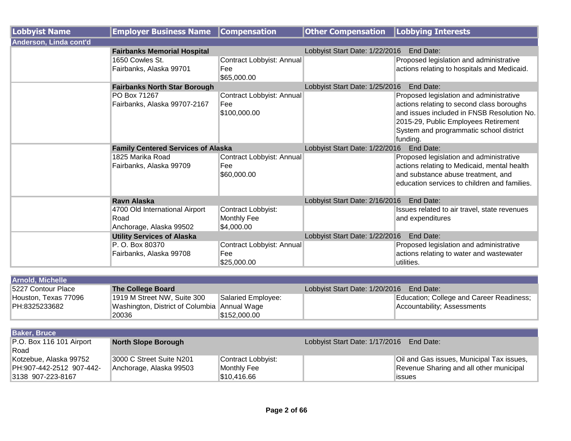| Lobbyist Name          | <b>Employer Business Name</b>             | <b>Compensation</b>       | <b>Other Compensation</b>                   | <b>Lobbying Interests</b>                    |
|------------------------|-------------------------------------------|---------------------------|---------------------------------------------|----------------------------------------------|
| Anderson, Linda cont'd |                                           |                           |                                             |                                              |
|                        | <b>Fairbanks Memorial Hospital</b>        |                           | Lobbyist Start Date: 1/22/2016              | End Date:                                    |
|                        | 1650 Cowles St.                           | Contract Lobbyist: Annual |                                             | Proposed legislation and administrative      |
|                        | Fairbanks, Alaska 99701                   | Fee                       |                                             | actions relating to hospitals and Medicaid.  |
|                        |                                           | \$65,000.00               |                                             |                                              |
|                        | <b>Fairbanks North Star Borough</b>       |                           | Lobbyist Start Date: 1/25/2016              | End Date:                                    |
|                        | PO Box 71267                              | Contract Lobbyist: Annual |                                             | Proposed legislation and administrative      |
|                        | Fairbanks, Alaska 99707-2167              | Fee                       |                                             | actions relating to second class boroughs    |
|                        |                                           | \$100,000.00              |                                             | and issues included in FNSB Resolution No.   |
|                        |                                           |                           |                                             | 2015-29, Public Employees Retirement         |
|                        |                                           |                           |                                             | System and programmatic school district      |
|                        |                                           |                           |                                             | funding.                                     |
|                        | <b>Family Centered Services of Alaska</b> |                           | Lobbyist Start Date: 1/22/2016<br>End Date: |                                              |
|                        | 1825 Marika Road                          | Contract Lobbyist: Annual |                                             | Proposed legislation and administrative      |
|                        | Fairbanks, Alaska 99709                   | Fee                       |                                             | actions relating to Medicaid, mental health  |
|                        |                                           | \$60,000.00               |                                             | and substance abuse treatment, and           |
|                        |                                           |                           |                                             | education services to children and families. |
|                        |                                           |                           |                                             |                                              |
|                        | <b>Ravn Alaska</b>                        |                           | Lobbyist Start Date: 2/16/2016              | End Date:                                    |
|                        | 4700 Old International Airport            | Contract Lobbyist:        |                                             | Issues related to air travel, state revenues |
|                        | Road                                      | Monthly Fee               |                                             | and expenditures                             |
|                        | Anchorage, Alaska 99502                   | \$4,000.00                |                                             |                                              |
|                        | <b>Utility Services of Alaska</b>         |                           | Lobbyist Start Date: 1/22/2016 End Date:    |                                              |
|                        | P. O. Box 80370                           | Contract Lobbyist: Annual |                                             | Proposed legislation and administrative      |
|                        | Fairbanks, Alaska 99708                   | Fee                       |                                             | actions relating to water and wastewater     |
|                        |                                           | \$25,000.00               |                                             | utilities.                                   |

| <b>Arnold, Michelle</b> |                                              |                    |                                |                                          |
|-------------------------|----------------------------------------------|--------------------|--------------------------------|------------------------------------------|
| 15227 Contour Place     | The College Board                            |                    | Lobbyist Start Date: 1/20/2016 | End Date:                                |
| Houston, Texas 77096    | 1919 M Street NW, Suite 300                  | Salaried Employee: |                                | Education; College and Career Readiness; |
| PH:8325233682           | Washington, District of Columbia Annual Wage |                    |                                | Accountability; Assessments              |
|                         | 20036                                        | \$152,000.00       |                                |                                          |

| <b>Baker, Bruce</b>              |                            |                    |                                |                                           |
|----------------------------------|----------------------------|--------------------|--------------------------------|-------------------------------------------|
| $\vert$ P.O. Box 116 101 Airport | <b>North Slope Borough</b> |                    | Lobbyist Start Date: 1/17/2016 | End Date:                                 |
| Road                             |                            |                    |                                |                                           |
| Kotzebue, Alaska 99752           | 3000 C Street Suite N201   | Contract Lobbyist: |                                | Oil and Gas issues, Municipal Tax issues, |
| PH:907-442-2512 907-442-         | Anchorage, Alaska 99503    | Monthly Fee        |                                | Revenue Sharing and all other municipal   |
| 3138 907-223-8167                |                            | 1\$10,416.66       |                                | <b>issues</b>                             |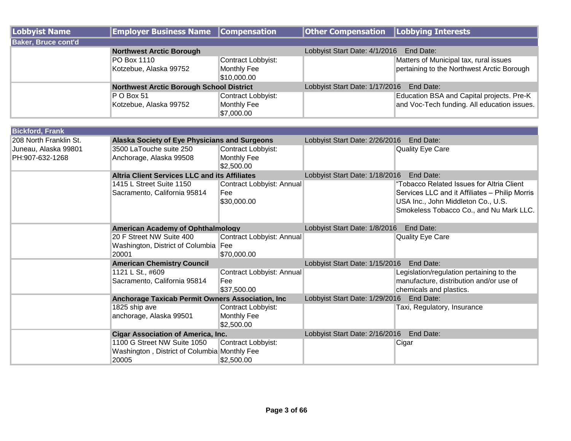| Lobbyist Name              | <b>Employer Business Name Compensation</b>      |                                                         | <b>Other Compensation   Lobbying Interests</b> |                                                                                          |
|----------------------------|-------------------------------------------------|---------------------------------------------------------|------------------------------------------------|------------------------------------------------------------------------------------------|
| <b>Baker, Bruce cont'd</b> |                                                 |                                                         |                                                |                                                                                          |
|                            | <b>Northwest Arctic Borough</b>                 |                                                         | Lobbyist Start Date: 4/1/2016                  | End Date:                                                                                |
|                            | PO Box 1110<br>Kotzebue, Alaska 99752           | Contract Lobbyist:<br><b>Monthly Fee</b><br>\$10,000.00 |                                                | Matters of Municipal tax, rural issues<br>pertaining to the Northwest Arctic Borough     |
|                            | <b>Northwest Arctic Borough School District</b> |                                                         | Lobbyist Start Date: 1/17/2016                 | End Date:                                                                                |
|                            | P O Box 51<br>Kotzebue, Alaska 99752            | Contract Lobbyist:<br><b>Monthly Fee</b><br>\$7,000.00  |                                                | Education BSA and Capital projects. Pre-K<br>and Voc-Tech funding. All education issues. |

| <b>Bickford, Frank</b> |                                                      |                           |                                             |                                                |  |
|------------------------|------------------------------------------------------|---------------------------|---------------------------------------------|------------------------------------------------|--|
| 208 North Franklin St. | Alaska Society of Eye Physicians and Surgeons        |                           | Lobbyist Start Date: 2/26/2016              | End Date:                                      |  |
| Juneau, Alaska 99801   | 3500 LaTouche suite 250                              | Contract Lobbyist:        |                                             | <b>Quality Eye Care</b>                        |  |
| PH:907-632-1268        | Anchorage, Alaska 99508                              | Monthly Fee               |                                             |                                                |  |
|                        |                                                      | \$2,500.00                |                                             |                                                |  |
|                        | <b>Altria Client Services LLC and its Affiliates</b> |                           | Lobbyist Start Date: 1/18/2016              | End Date:                                      |  |
|                        | 1415 L Street Suite 1150                             | Contract Lobbyist: Annual |                                             | "Tobacco Related Issues for Altria Client      |  |
|                        | Sacramento, California 95814                         | Fee                       |                                             | Services LLC and it Affiliates - Philip Morris |  |
|                        |                                                      | \$30,000.00               |                                             | USA Inc., John Middleton Co., U.S.             |  |
|                        |                                                      |                           |                                             | Smokeless Tobacco Co., and Nu Mark LLC.        |  |
|                        |                                                      |                           |                                             |                                                |  |
|                        | <b>American Academy of Ophthalmology</b>             |                           | Lobbyist Start Date: 1/8/2016               | End Date:                                      |  |
|                        | 20 F Street NW Suite 400                             | Contract Lobbyist: Annual |                                             | <b>Quality Eye Care</b>                        |  |
|                        | Washington, District of Columbia   Fee               |                           |                                             |                                                |  |
|                        | 20001                                                | \$70,000.00               |                                             |                                                |  |
|                        | <b>American Chemistry Council</b>                    |                           | Lobbyist Start Date: 1/15/2016<br>End Date: |                                                |  |
|                        | 1121 L St., #609                                     | Contract Lobbyist: Annual |                                             | Legislation/regulation pertaining to the       |  |
|                        | Sacramento, California 95814                         | Fee                       |                                             | manufacture, distribution and/or use of        |  |
|                        |                                                      | \$37,500.00               |                                             | chemicals and plastics.                        |  |
|                        | Anchorage Taxicab Permit Owners Association, Inc.    |                           | Lobbyist Start Date: 1/29/2016<br>End Date: |                                                |  |
|                        | 1825 ship ave                                        | Contract Lobbyist:        |                                             | Taxi, Regulatory, Insurance                    |  |
|                        | anchorage, Alaska 99501                              | Monthly Fee               |                                             |                                                |  |
|                        |                                                      | \$2,500.00                |                                             |                                                |  |
|                        | <b>Cigar Association of America, Inc.</b>            |                           | Lobbyist Start Date: 2/16/2016 End Date:    |                                                |  |
|                        | 1100 G Street NW Suite 1050                          | Contract Lobbyist:        |                                             | Cigar                                          |  |
|                        | Washington, District of Columbia Monthly Fee         |                           |                                             |                                                |  |
|                        | 20005                                                | \$2,500.00                |                                             |                                                |  |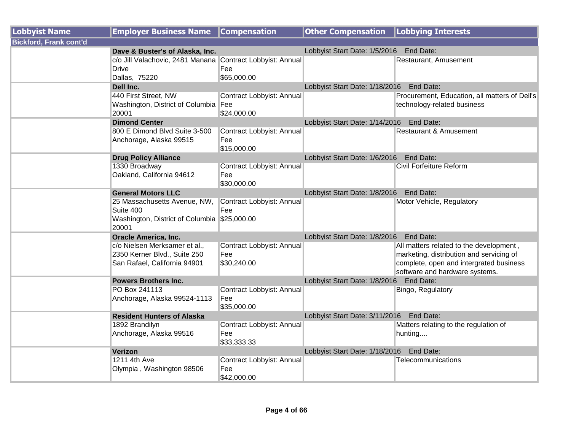| <b>Lobbyist Name</b>          | <b>Employer Business Name</b>                              | <b>Compensation</b>       | <b>Other Compensation</b>                | <b>Lobbying Interests</b>                     |
|-------------------------------|------------------------------------------------------------|---------------------------|------------------------------------------|-----------------------------------------------|
| <b>Bickford, Frank cont'd</b> |                                                            |                           |                                          |                                               |
|                               | Dave & Buster's of Alaska, Inc.                            |                           | Lobbyist Start Date: 1/5/2016 End Date:  |                                               |
|                               | c/o Jill Valachovic, 2481 Manana Contract Lobbyist: Annual |                           |                                          | Restaurant, Amusement                         |
|                               | <b>Drive</b>                                               | Fee                       |                                          |                                               |
|                               | Dallas, 75220                                              | \$65,000.00               |                                          |                                               |
|                               | Dell Inc.                                                  |                           | Lobbyist Start Date: 1/18/2016 End Date: |                                               |
|                               | 440 First Street, NW                                       | Contract Lobbyist: Annual |                                          | Procurement, Education, all matters of Dell's |
|                               | Washington, District of Columbia Fee                       |                           |                                          | technology-related business                   |
|                               | 20001                                                      | \$24,000.00               |                                          |                                               |
|                               | <b>Dimond Center</b>                                       |                           | Lobbyist Start Date: 1/14/2016 End Date: |                                               |
|                               | 800 E Dimond Blvd Suite 3-500                              | Contract Lobbyist: Annual |                                          | <b>Restaurant &amp; Amusement</b>             |
|                               | Anchorage, Alaska 99515                                    | Fee                       |                                          |                                               |
|                               |                                                            | \$15,000.00               |                                          |                                               |
|                               | <b>Drug Policy Alliance</b>                                |                           | Lobbyist Start Date: 1/6/2016 End Date:  |                                               |
|                               | 1330 Broadway                                              | Contract Lobbyist: Annual |                                          | Civil Forfeiture Reform                       |
|                               | Oakland, California 94612                                  | Fee                       |                                          |                                               |
|                               |                                                            | \$30,000.00               |                                          |                                               |
|                               | <b>General Motors LLC</b>                                  |                           | Lobbyist Start Date: 1/8/2016 End Date:  |                                               |
|                               | 25 Massachusetts Avenue, NW,<br>Suite 400                  | Contract Lobbyist: Annual |                                          | Motor Vehicle, Regulatory                     |
|                               |                                                            | Fee                       |                                          |                                               |
|                               | Washington, District of Columbia \$25,000.00<br>20001      |                           |                                          |                                               |
|                               | <b>Oracle America, Inc.</b>                                |                           | Lobbyist Start Date: 1/8/2016 End Date:  |                                               |
|                               | c/o Nielsen Merksamer et al.,                              | Contract Lobbyist: Annual |                                          | All matters related to the development,       |
|                               | 2350 Kerner Blvd., Suite 250                               | Fee                       |                                          | marketing, distribution and servicing of      |
|                               | San Rafael, California 94901                               | \$30,240.00               |                                          | complete, open and intergrated business       |
|                               |                                                            |                           |                                          | software and hardware systems.                |
|                               | <b>Powers Brothers Inc.</b>                                |                           | Lobbyist Start Date: 1/8/2016            | End Date:                                     |
|                               | PO Box 241113                                              | Contract Lobbyist: Annual |                                          | Bingo, Regulatory                             |
|                               | Anchorage, Alaska 99524-1113                               | Fee                       |                                          |                                               |
|                               |                                                            | \$35,000.00               |                                          |                                               |
|                               | <b>Resident Hunters of Alaska</b>                          |                           | Lobbyist Start Date: 3/11/2016 End Date: |                                               |
|                               | 1892 Brandilyn                                             | Contract Lobbyist: Annual |                                          | Matters relating to the regulation of         |
|                               | Anchorage, Alaska 99516                                    | Fee                       |                                          | hunting                                       |
|                               |                                                            | \$33,333.33               |                                          |                                               |
|                               | Verizon                                                    |                           | Lobbyist Start Date: 1/18/2016 End Date: |                                               |
|                               | 1211 4th Ave                                               | Contract Lobbyist: Annual |                                          | Telecommunications                            |
|                               | Olympia, Washington 98506                                  | Fee                       |                                          |                                               |
|                               |                                                            | \$42,000.00               |                                          |                                               |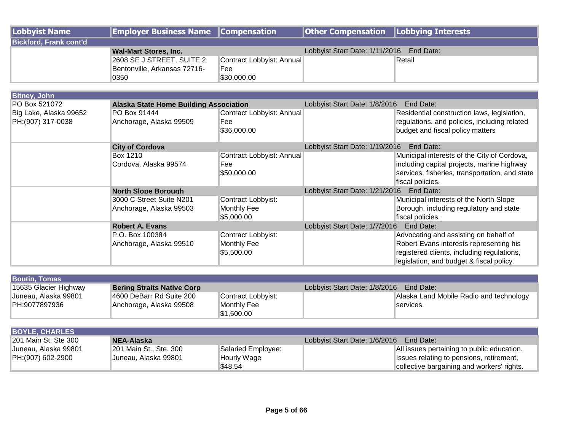| Lobbyist Name                 | <b>Employer Business Name Compensation</b> |                           | <b>Other Compensation   Lobbying Interests</b> |        |
|-------------------------------|--------------------------------------------|---------------------------|------------------------------------------------|--------|
| <b>Bickford, Frank cont'd</b> |                                            |                           |                                                |        |
|                               | <b>Wal-Mart Stores, Inc.</b>               |                           | Lobbyist Start Date: 1/11/2016 End Date:       |        |
|                               | 2608 SE J STREET, SUITE 2                  | Contract Lobbyist: Annual |                                                | Retail |
|                               | Bentonville, Arkansas 72716-               | <b>Fee</b>                |                                                |        |
|                               | 0350                                       | \$30,000.00               |                                                |        |

| <b>Bitney, John</b>                         |                                                     |                                                 |                                |                                                                                                                                                                            |  |
|---------------------------------------------|-----------------------------------------------------|-------------------------------------------------|--------------------------------|----------------------------------------------------------------------------------------------------------------------------------------------------------------------------|--|
| PO Box 521072                               | <b>Alaska State Home Building Association</b>       |                                                 | Lobbyist Start Date: 1/8/2016  | End Date:                                                                                                                                                                  |  |
| Big Lake, Alaska 99652<br>PH:(907) 317-0038 | PO Box 91444<br>Anchorage, Alaska 99509             | Contract Lobbyist: Annual<br>Fee<br>\$36,000.00 |                                | Residential construction laws, legislation,<br>regulations, and policies, including related<br>budget and fiscal policy matters                                            |  |
|                                             | <b>City of Cordova</b>                              |                                                 | Lobbyist Start Date: 1/19/2016 | End Date:                                                                                                                                                                  |  |
|                                             | Box 1210<br>Cordova, Alaska 99574                   | Contract Lobbyist: Annual<br>Fee<br>\$50,000.00 |                                | Municipal interests of the City of Cordova,<br>including capital projects, marine highway<br>services, fisheries, transportation, and state<br>fiscal policies.            |  |
|                                             | <b>North Slope Borough</b>                          |                                                 | Lobbyist Start Date: 1/21/2016 | End Date:                                                                                                                                                                  |  |
|                                             | 3000 C Street Suite N201<br>Anchorage, Alaska 99503 | Contract Lobbyist:<br>Monthly Fee<br>\$5,000.00 |                                | Municipal interests of the North Slope<br>Borough, including regulatory and state<br>fiscal policies.                                                                      |  |
|                                             | <b>Robert A. Evans</b>                              |                                                 |                                | Lobbyist Start Date: 1/7/2016 End Date:                                                                                                                                    |  |
|                                             | P.O. Box 100384<br>Anchorage, Alaska 99510          | Contract Lobbyist:<br>Monthly Fee<br>\$5,500.00 |                                | Advocating and assisting on behalf of<br>Robert Evans interests representing his<br>registered clients, including regulations,<br>legislation, and budget & fiscal policy. |  |

| <b>Boutin, Tomas</b>  |                                   |                    |                               |                                         |
|-----------------------|-----------------------------------|--------------------|-------------------------------|-----------------------------------------|
| 15635 Glacier Highway | <b>Bering Straits Native Corp</b> |                    | Lobbyist Start Date: 1/8/2016 | End Date:                               |
| Juneau, Alaska 99801  | I4600 DeBarr Rd Suite 200         | Contract Lobbyist: |                               | Alaska Land Mobile Radio and technology |
| PH:9077897936         | Anchorage, Alaska 99508           | Monthly Fee        |                               | services.                               |
|                       |                                   | \$1,500.00         |                               |                                         |

| <b>BOYLE, CHARLES</b> |                        |                    |                               |                                            |
|-----------------------|------------------------|--------------------|-------------------------------|--------------------------------------------|
| 201 Main St, Ste 300  | NEA-Alaska             |                    | Lobbyist Start Date: 1/6/2016 | End Date:                                  |
| Juneau, Alaska 99801  | 201 Main St., Ste. 300 | Salaried Employee: |                               | All issues pertaining to public education. |
| PH:(907) 602-2900     | Juneau, Alaska 99801   | Hourly Wage        |                               | Issues relating to pensions, retirement,   |
|                       |                        | \$48.54            |                               | collective bargaining and workers' rights. |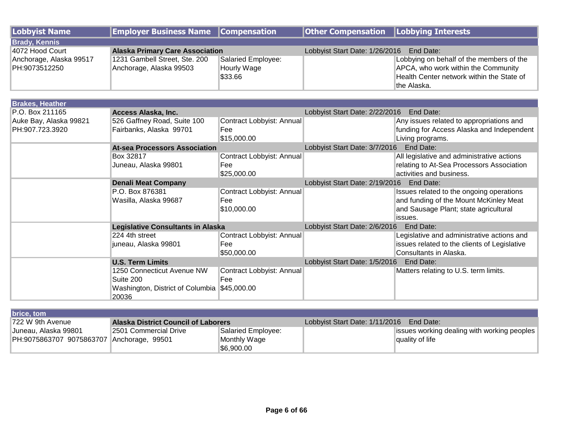| Lobbyist Name           | <b>Employer Business Name Compensation</b> |                    | <b>Other Compensation Lobbying Interests</b> |                                           |  |
|-------------------------|--------------------------------------------|--------------------|----------------------------------------------|-------------------------------------------|--|
| <b>Brady, Kennis</b>    |                                            |                    |                                              |                                           |  |
| 14072 Hood Court        | <b>Alaska Primary Care Association</b>     |                    | Lobbyist Start Date: 1/26/2016 End Date:     |                                           |  |
| Anchorage, Alaska 99517 | 1231 Gambell Street, Ste. 200              | Salaried Employee: |                                              | Lobbying on behalf of the members of the  |  |
| PH:9073512250           | Anchorage, Alaska 99503                    | Hourly Wage        |                                              | APCA, who work within the Community       |  |
|                         |                                            | \$33.66            |                                              | Health Center network within the State of |  |
|                         |                                            |                    |                                              | the Alaska.                               |  |

| <b>Brakes, Heather</b> |                                              |                           |                                             |                                              |
|------------------------|----------------------------------------------|---------------------------|---------------------------------------------|----------------------------------------------|
| P.O. Box 211165        | Access Alaska, Inc.                          |                           | Lobbyist Start Date: 2/22/2016              | End Date:                                    |
| Auke Bay, Alaska 99821 | 526 Gaffney Road, Suite 100                  | Contract Lobbyist: Annual |                                             | Any issues related to appropriations and     |
| PH:907.723.3920        | Fairbanks, Alaska 99701                      | Fee                       |                                             | funding for Access Alaska and Independent    |
|                        |                                              | \$15,000.00               |                                             | Living programs.                             |
|                        | <b>At-sea Processors Association</b>         |                           | Lobbyist Start Date: 3/7/2016               | End Date:                                    |
|                        | Box 32817                                    | Contract Lobbyist: Annual |                                             | All legislative and administrative actions   |
|                        | Juneau, Alaska 99801                         | Fee                       |                                             | relating to At-Sea Processors Association    |
|                        |                                              | \$25,000.00               |                                             | activities and business.                     |
|                        | <b>Denali Meat Company</b>                   |                           | Lobbyist Start Date: 2/19/2016<br>End Date: |                                              |
|                        | P.O. Box 876381                              | Contract Lobbyist: Annual |                                             | Issues related to the ongoing operations     |
|                        | Wasilla, Alaska 99687                        | Fee                       |                                             | and funding of the Mount McKinley Meat       |
|                        |                                              | \$10,000.00               |                                             | and Sausage Plant; state agricultural        |
|                        |                                              |                           |                                             | issues.                                      |
|                        | <b>Legislative Consultants in Alaska</b>     |                           | Lobbyist Start Date: 2/6/2016<br>End Date:  |                                              |
|                        | 224 4th street                               | Contract Lobbyist: Annual |                                             | Legislative and administrative actions and   |
|                        | juneau, Alaska 99801                         | Fee                       |                                             | issues related to the clients of Legislative |
|                        |                                              | \$50,000.00               |                                             | Consultants in Alaska.                       |
|                        | <b>U.S. Term Limits</b>                      |                           | Lobbyist Start Date: 1/5/2016               | End Date:                                    |
|                        | 1250 Connecticut Avenue NW                   | Contract Lobbyist: Annual |                                             | Matters relating to U.S. term limits.        |
|                        | Suite 200                                    | Fee                       |                                             |                                              |
|                        | Washington, District of Columbia \$45,000.00 |                           |                                             |                                              |
|                        | 20036                                        |                           |                                             |                                              |

| brice, tom                                |                                            |                    |                                          |                                             |
|-------------------------------------------|--------------------------------------------|--------------------|------------------------------------------|---------------------------------------------|
| 722 W 9th Avenue                          | <b>Alaska District Council of Laborers</b> |                    | Lobbyist Start Date: 1/11/2016 End Date: |                                             |
| Juneau, Alaska 99801                      | 2501 Commercial Drive                      | Salaried Employee: |                                          | issues working dealing with working peoples |
| PH:9075863707 9075863707 Anchorage, 99501 |                                            | Monthly Wage       |                                          | quality of life                             |
|                                           |                                            | \$6.900.00         |                                          |                                             |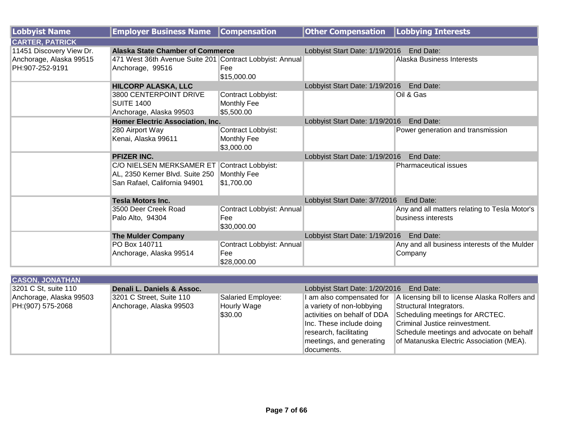| Lobbyist Name            | <b>Employer Business Name</b>                            | <b>Compensation</b>       | Other Compensation   Lobbying Interests  |                                               |
|--------------------------|----------------------------------------------------------|---------------------------|------------------------------------------|-----------------------------------------------|
| <b>CARTER, PATRICK</b>   |                                                          |                           |                                          |                                               |
| 11451 Discovery View Dr. | <b>Alaska State Chamber of Commerce</b>                  |                           | Lobbyist Start Date: 1/19/2016 End Date: |                                               |
| Anchorage, Alaska 99515  | 471 West 36th Avenue Suite 201 Contract Lobbyist: Annual |                           |                                          | Alaska Business Interests                     |
| PH:907-252-9191          | Anchorage, 99516                                         | Fee                       |                                          |                                               |
|                          |                                                          | \$15,000.00               |                                          |                                               |
|                          | <b>HILCORP ALASKA, LLC</b>                               |                           | Lobbyist Start Date: 1/19/2016 End Date: |                                               |
|                          | 3800 CENTERPOINT DRIVE                                   | Contract Lobbyist:        |                                          | Oil & Gas                                     |
|                          | <b>SUITE 1400</b>                                        | Monthly Fee               |                                          |                                               |
|                          | Anchorage, Alaska 99503                                  | \$5,500.00                |                                          |                                               |
|                          | Homer Electric Association, Inc.                         |                           | Lobbyist Start Date: 1/19/2016           | End Date:                                     |
|                          | 280 Airport Way                                          | Contract Lobbyist:        |                                          | Power generation and transmission             |
|                          | Kenai, Alaska 99611                                      | Monthly Fee               |                                          |                                               |
|                          |                                                          | \$3,000.00                |                                          |                                               |
|                          | <b>PFIZER INC.</b>                                       |                           | Lobbyist Start Date: 1/19/2016 End Date: |                                               |
|                          | C/O NIELSEN MERKSAMER ET Contract Lobbyist:              |                           |                                          | <b>Pharmaceutical issues</b>                  |
|                          | AL, 2350 Kerner Blvd. Suite 250                          | Monthly Fee               |                                          |                                               |
|                          | San Rafael, California 94901                             | \$1,700.00                |                                          |                                               |
|                          | <b>Tesla Motors Inc.</b>                                 |                           | Lobbyist Start Date: 3/7/2016            | End Date:                                     |
|                          | 3500 Deer Creek Road                                     | Contract Lobbyist: Annual |                                          | Any and all matters relating to Tesla Motor's |
|                          | Palo Alto, 94304                                         | Fee                       |                                          | business interests                            |
|                          |                                                          | \$30,000.00               |                                          |                                               |
|                          | <b>The Mulder Company</b>                                |                           | Lobbyist Start Date: 1/19/2016           | End Date:                                     |
|                          | PO Box 140711                                            | Contract Lobbyist: Annual |                                          | Any and all business interests of the Mulder  |
|                          | Anchorage, Alaska 99514                                  | Fee                       |                                          | Company                                       |
|                          |                                                          | \$28,000.00               |                                          |                                               |

| <b>CASON, JONATHAN</b>  |                            |                    |                                |                                                |
|-------------------------|----------------------------|--------------------|--------------------------------|------------------------------------------------|
| 3201 C St, suite 110    | Denali L. Daniels & Assoc. |                    | Lobbyist Start Date: 1/20/2016 | End Date:                                      |
| Anchorage, Alaska 99503 | 3201 C Street, Suite 110   | Salaried Employee: | I am also compensated for      | A licensing bill to license Alaska Rolfers and |
| PH:(907) 575-2068       | Anchorage, Alaska 99503    | Hourly Wage        | a variety of non-lobbying      | Structural Integrators.                        |
|                         |                            | \$30.00            | activities on behalf of DDA    | Scheduling meetings for ARCTEC.                |
|                         |                            |                    | Inc. These include doing       | Criminal Justice reinvestment.                 |
|                         |                            |                    | research, facilitating         | Schedule meetings and advocate on behalf       |
|                         |                            |                    | meetings, and generating       | of Matanuska Electric Association (MEA).       |
|                         |                            |                    | documents.                     |                                                |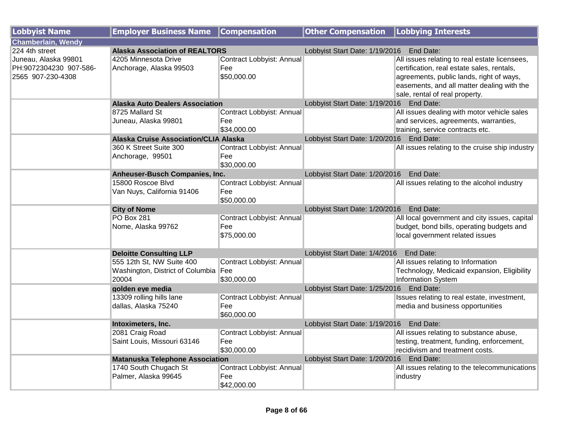| <b>Lobbyist Name</b>                                                | <b>Employer Business Name</b>                                              | <b>Compensation</b>                             | <b>Other Compensation</b>                | <b>Lobbying Interests</b>                                                                                                                                                                                               |
|---------------------------------------------------------------------|----------------------------------------------------------------------------|-------------------------------------------------|------------------------------------------|-------------------------------------------------------------------------------------------------------------------------------------------------------------------------------------------------------------------------|
| <b>Chamberlain, Wendy</b>                                           |                                                                            |                                                 |                                          |                                                                                                                                                                                                                         |
| 224 4th street                                                      | <b>Alaska Association of REALTORS</b>                                      |                                                 | Lobbyist Start Date: 1/19/2016           | End Date:                                                                                                                                                                                                               |
| Juneau, Alaska 99801<br>PH:9072304230 907-586-<br>2565 907-230-4308 | 4205 Minnesota Drive<br>Anchorage, Alaska 99503                            | Contract Lobbyist: Annual<br>Fee<br>\$50,000.00 |                                          | All issues relating to real estate licensees,<br>certification, real estate sales, rentals,<br>agreements, public lands, right of ways,<br>easements, and all matter dealing with the<br>sale, rental of real property. |
|                                                                     | <b>Alaska Auto Dealers Association</b>                                     |                                                 | Lobbyist Start Date: 1/19/2016 End Date: |                                                                                                                                                                                                                         |
|                                                                     | 8725 Mallard St<br>Juneau, Alaska 99801                                    | Contract Lobbyist: Annual<br>Fee<br>\$34,000.00 |                                          | All issues dealing with motor vehicle sales<br>and services, agreements, warranties,<br>training, service contracts etc.                                                                                                |
|                                                                     | <b>Alaska Cruise Association/CLIA Alaska</b>                               |                                                 | Lobbyist Start Date: 1/20/2016 End Date: |                                                                                                                                                                                                                         |
|                                                                     | 360 K Street Suite 300<br>Anchorage, 99501                                 | Contract Lobbyist: Annual<br>Fee<br>\$30,000.00 |                                          | All issues relating to the cruise ship industry                                                                                                                                                                         |
|                                                                     | Anheuser-Busch Companies, Inc.                                             |                                                 | Lobbyist Start Date: 1/20/2016           | End Date:                                                                                                                                                                                                               |
|                                                                     | 15800 Roscoe Blvd<br>Van Nuys, California 91406                            | Contract Lobbyist: Annual<br>Fee<br>\$50,000.00 |                                          | All issues relating to the alcohol industry                                                                                                                                                                             |
|                                                                     | <b>City of Nome</b>                                                        |                                                 | Lobbyist Start Date: 1/20/2016 End Date: |                                                                                                                                                                                                                         |
|                                                                     | <b>PO Box 281</b><br>Nome, Alaska 99762                                    | Contract Lobbyist: Annual<br>Fee<br>\$75,000.00 |                                          | All local government and city issues, capital<br>budget, bond bills, operating budgets and<br>local government related issues                                                                                           |
|                                                                     | <b>Deloitte Consulting LLP</b>                                             |                                                 | Lobbyist Start Date: 1/4/2016            | End Date:                                                                                                                                                                                                               |
|                                                                     | 555 12th St, NW Suite 400<br>Washington, District of Columbia Fee<br>20004 | Contract Lobbyist: Annual<br>\$30,000.00        |                                          | All issues relating to Information<br>Technology, Medicaid expansion, Eligibility<br>Information System                                                                                                                 |
|                                                                     | golden eye media                                                           |                                                 | Lobbyist Start Date: 1/25/2016 End Date: |                                                                                                                                                                                                                         |
|                                                                     | 13309 rolling hills lane<br>dallas, Alaska 75240                           | Contract Lobbyist: Annual<br>Fee<br>\$60,000.00 |                                          | Issues relating to real estate, investment,<br>media and business opportunities                                                                                                                                         |
|                                                                     | Intoximeters, Inc.                                                         |                                                 | Lobbyist Start Date: 1/19/2016 End Date: |                                                                                                                                                                                                                         |
|                                                                     | 2081 Craig Road<br>Saint Louis, Missouri 63146                             | Contract Lobbyist: Annual<br>Fee<br>\$30,000.00 |                                          | All issues relating to substance abuse,<br>testing, treatment, funding, enforcement,<br>recidivism and treatment costs.                                                                                                 |
|                                                                     | <b>Matanuska Telephone Association</b>                                     |                                                 | Lobbyist Start Date: 1/20/2016 End Date: |                                                                                                                                                                                                                         |
|                                                                     | 1740 South Chugach St<br>Palmer, Alaska 99645                              | Contract Lobbyist: Annual<br>Fee<br>\$42,000.00 |                                          | All issues relating to the telecommunications<br>industry                                                                                                                                                               |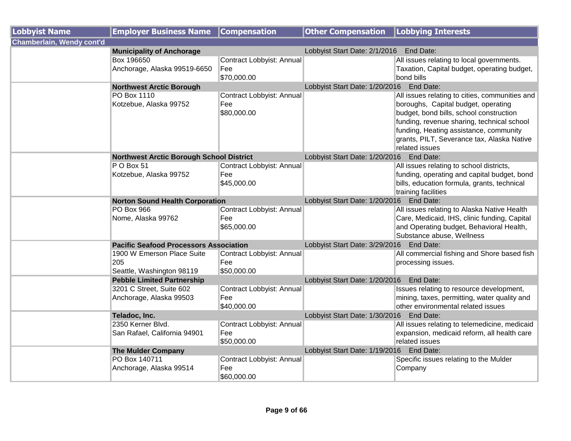| <b>Lobbyist Name</b>      | <b>Employer Business Name</b>                                  | <b>Compensation</b>                             | <b>Other Compensation</b>                   | <b>Lobbying Interests</b>                                                                                                                                                                                                                                                                |
|---------------------------|----------------------------------------------------------------|-------------------------------------------------|---------------------------------------------|------------------------------------------------------------------------------------------------------------------------------------------------------------------------------------------------------------------------------------------------------------------------------------------|
| Chamberlain, Wendy cont'd |                                                                |                                                 |                                             |                                                                                                                                                                                                                                                                                          |
|                           | <b>Municipality of Anchorage</b>                               |                                                 | Lobbyist Start Date: 2/1/2016 End Date:     |                                                                                                                                                                                                                                                                                          |
|                           | Box 196650<br>Anchorage, Alaska 99519-6650                     | Contract Lobbyist: Annual<br>Fee<br>\$70,000.00 |                                             | All issues relating to local governments.<br>Taxation, Capital budget, operating budget,<br>bond bills                                                                                                                                                                                   |
|                           | <b>Northwest Arctic Borough</b>                                |                                                 | Lobbyist Start Date: 1/20/2016 End Date:    |                                                                                                                                                                                                                                                                                          |
|                           | PO Box 1110<br>Kotzebue, Alaska 99752                          | Contract Lobbyist: Annual<br>Fee<br>\$80,000.00 |                                             | All issues relating to cities, communities and<br>boroughs, Capital budget, operating<br>budget, bond bills, school construction<br>funding, revenue sharing, technical school<br>funding, Heating assistance, community<br>grants, PILT, Severance tax, Alaska Native<br>related issues |
|                           | <b>Northwest Arctic Borough School District</b>                |                                                 | Lobbyist Start Date: 1/20/2016    End Date: |                                                                                                                                                                                                                                                                                          |
|                           | PO Box 51<br>Kotzebue, Alaska 99752                            | Contract Lobbyist: Annual<br>Fee<br>\$45,000.00 |                                             | All issues relating to school districts,<br>funding, operating and capital budget, bond<br>bills, education formula, grants, technical<br>training facilities                                                                                                                            |
|                           | <b>Norton Sound Health Corporation</b>                         |                                                 | Lobbyist Start Date: 1/20/2016 End Date:    |                                                                                                                                                                                                                                                                                          |
|                           | <b>PO Box 966</b><br>Nome, Alaska 99762                        | Contract Lobbyist: Annual<br>Fee<br>\$65,000.00 |                                             | All issues relating to Alaska Native Health<br>Care, Medicaid, IHS, clinic funding, Capital<br>and Operating budget, Behavioral Health,<br>Substance abuse, Wellness                                                                                                                     |
|                           | <b>Pacific Seafood Processors Association</b>                  |                                                 | Lobbyist Start Date: 3/29/2016              | End Date:                                                                                                                                                                                                                                                                                |
|                           | 1900 W Emerson Place Suite<br>205<br>Seattle, Washington 98119 | Contract Lobbyist: Annual<br>Fee<br>\$50,000.00 |                                             | All commercial fishing and Shore based fish<br>processing issues.                                                                                                                                                                                                                        |
|                           | <b>Pebble Limited Partnership</b>                              |                                                 | Lobbyist Start Date: 1/20/2016    End Date: |                                                                                                                                                                                                                                                                                          |
|                           | 3201 C Street, Suite 602<br>Anchorage, Alaska 99503            | Contract Lobbyist: Annual<br>Fee<br>\$40,000.00 |                                             | Issues relating to resource development,<br>mining, taxes, permitting, water quality and<br>other environmental related issues                                                                                                                                                           |
|                           | Teladoc, Inc.                                                  |                                                 | Lobbyist Start Date: 1/30/2016 End Date:    |                                                                                                                                                                                                                                                                                          |
|                           | 2350 Kerner Blvd.<br>San Rafael, California 94901              | Contract Lobbyist: Annual<br>Fee<br>\$50,000.00 |                                             | All issues relating to telemedicine, medicaid<br>expansion, medicaid reform, all health care<br>related issues                                                                                                                                                                           |
|                           | <b>The Mulder Company</b>                                      |                                                 | Lobbyist Start Date: 1/19/2016 End Date:    |                                                                                                                                                                                                                                                                                          |
|                           | PO Box 140711<br>Anchorage, Alaska 99514                       | Contract Lobbyist: Annual<br>Fee<br>\$60,000.00 |                                             | Specific issues relating to the Mulder<br>Company                                                                                                                                                                                                                                        |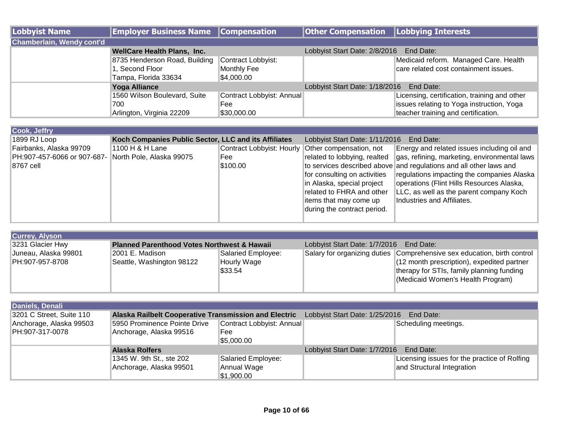| Lobbyist Name                    | <b>Employer Business Name Compensation</b> |                           | <b>Other Compensation   Lobbying Interests</b> |                                              |
|----------------------------------|--------------------------------------------|---------------------------|------------------------------------------------|----------------------------------------------|
| <b>Chamberlain, Wendy cont'd</b> |                                            |                           |                                                |                                              |
|                                  | <b>WellCare Health Plans, Inc.</b>         |                           | Lobbyist Start Date: 2/8/2016                  | End Date:                                    |
|                                  | 8735 Henderson Road, Building              | Contract Lobbyist:        |                                                | Medicaid reform. Managed Care. Health        |
|                                  | 1, Second Floor                            | Monthly Fee               |                                                | care related cost containment issues.        |
|                                  | Tampa, Florida 33634                       | \$4,000.00                |                                                |                                              |
|                                  | <b>Yoga Alliance</b>                       |                           | Lobbyist Start Date: 1/18/2016 End Date:       |                                              |
|                                  | 1560 Wilson Boulevard, Suite               | Contract Lobbyist: Annual |                                                | Licensing, certification, training and other |
|                                  | 700                                        | Fee                       |                                                | Issues relating to Yoga instruction, Yoga    |
|                                  | Arlington, Virginia 22209                  | \$30,000.00               |                                                | teacher training and certification.          |

| Cook, Jeffry                |                                                      |                                                   |                                |                                                                    |
|-----------------------------|------------------------------------------------------|---------------------------------------------------|--------------------------------|--------------------------------------------------------------------|
| 1899 RJ Loop                | Koch Companies Public Sector, LLC and its Affiliates |                                                   | Lobbyist Start Date: 1/11/2016 | End Date:                                                          |
| Fairbanks, Alaska 99709     | 1100 H & H Lane                                      | Contract Lobbyist: Hourly Other compensation, not |                                | Energy and related issues including oil and                        |
| PH:907-457-6066 or 907-687- | North Pole, Alaska 99075                             | Fee                                               | related to lobbying, realted   | gas, refining, marketing, environmental laws                       |
| 8767 cell                   |                                                      | \$100.00                                          |                                | to services described above and regulations and all other laws and |
|                             |                                                      |                                                   | for consulting on activities   | regulations impacting the companies Alaska                         |
|                             |                                                      |                                                   | in Alaska, special project     | operations (Flint Hills Resources Alaska,                          |
|                             |                                                      |                                                   | related to FHRA and other      | LLC, as well as the parent company Koch                            |
|                             |                                                      |                                                   | items that may come up         | Industries and Affiliates.                                         |
|                             |                                                      |                                                   | during the contract period.    |                                                                    |
|                             |                                                      |                                                   |                                |                                                                    |

| <b>Currey, Alyson</b>                                                      |                           |                                         |  |                                                                         |
|----------------------------------------------------------------------------|---------------------------|-----------------------------------------|--|-------------------------------------------------------------------------|
| 3231 Glacier Hwy<br><b>Planned Parenthood Votes Northwest &amp; Hawaii</b> |                           | Lobbyist Start Date: 1/7/2016 End Date: |  |                                                                         |
| Juneau, Alaska 99801                                                       | 2001 E. Madison           | Salaried Employee:                      |  | Salary for organizing duties Comprehensive sex education, birth control |
| PH:907-957-8708                                                            | Seattle, Washington 98122 | Hourly Wage                             |  | (12 month prescription), expedited partner                              |
|                                                                            |                           | \$33.54                                 |  | therapy for STIs, family planning funding                               |
|                                                                            |                           |                                         |  | (Medicaid Women's Health Program)                                       |
|                                                                            |                           |                                         |  |                                                                         |

| Daniels, Denali          |                                                                                                      |                           |                                            |                                              |
|--------------------------|------------------------------------------------------------------------------------------------------|---------------------------|--------------------------------------------|----------------------------------------------|
| 3201 C Street, Suite 110 | Lobbyist Start Date: 1/25/2016<br>End Date:<br>Alaska Railbelt Cooperative Transmission and Electric |                           |                                            |                                              |
| Anchorage, Alaska 99503  | 5950 Prominence Pointe Drive                                                                         | Contract Lobbyist: Annual |                                            | Scheduling meetings.                         |
| PH:907-317-0078          | Anchorage, Alaska 99516                                                                              | Fee                       |                                            |                                              |
|                          |                                                                                                      | \$5,000.00                |                                            |                                              |
|                          | <b>Alaska Rolfers</b>                                                                                |                           | Lobbyist Start Date: 1/7/2016<br>End Date: |                                              |
|                          | 1345 W. 9th St., ste 202                                                                             | Salaried Employee:        |                                            | Licensing issues for the practice of Rolfing |
|                          | Anchorage, Alaska 99501                                                                              | Annual Wage               |                                            | and Structural Integration                   |
|                          |                                                                                                      | \$1,900.00                |                                            |                                              |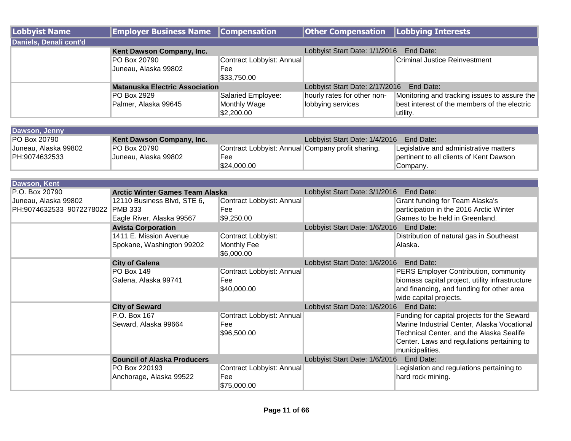| Lobbyist Name          | <b>Employer Business Name Compensation</b> |                           | <b>Other Compensation   Lobbying Interests</b> |                                              |  |
|------------------------|--------------------------------------------|---------------------------|------------------------------------------------|----------------------------------------------|--|
| Daniels, Denali cont'd |                                            |                           |                                                |                                              |  |
|                        | Kent Dawson Company, Inc.                  |                           | Lobbyist Start Date: 1/1/2016                  | End Date:                                    |  |
|                        | PO Box 20790                               | Contract Lobbyist: Annual |                                                | <b>Criminal Justice Reinvestment</b>         |  |
|                        | Juneau, Alaska 99802                       | Fee                       |                                                |                                              |  |
|                        |                                            | \$33,750.00               |                                                |                                              |  |
|                        | <b>Matanuska Electric Association</b>      |                           | Lobbyist Start Date: 2/17/2016<br>End Date:    |                                              |  |
|                        | PO Box 2929                                | Salaried Employee:        | hourly rates for other non-                    | Monitoring and tracking issues to assure the |  |
|                        | Palmer, Alaska 99645                       | Monthly Wage              | lobbying services                              | best interest of the members of the electric |  |
|                        |                                            | \$2,200.00                |                                                | utility.                                     |  |

| Dawson, Jenny        |                           |                                                   |                               |                                         |
|----------------------|---------------------------|---------------------------------------------------|-------------------------------|-----------------------------------------|
| <b>PO Box 20790</b>  | Kent Dawson Company, Inc. |                                                   | Lobbyist Start Date: 1/4/2016 | End Date:                               |
| Juneau, Alaska 99802 | <b>PO Box 20790</b>       | Contract Lobbyist: Annual Company profit sharing. |                               | Legislative and administrative matters  |
| PH:9074632533        | Juneau, Alaska 99802      | Fee                                               |                               | pertinent to all clients of Kent Dawson |
|                      |                           | \$24,000.00                                       |                               | Company.                                |

| Dawson, Kent             |                                        |                           |                                            |                                                 |  |
|--------------------------|----------------------------------------|---------------------------|--------------------------------------------|-------------------------------------------------|--|
| P.O. Box 20790           | <b>Arctic Winter Games Team Alaska</b> |                           | Lobbyist Start Date: 3/1/2016 End Date:    |                                                 |  |
| Juneau, Alaska 99802     | 12110 Business Blvd, STE 6,            | Contract Lobbyist: Annual |                                            | Grant funding for Team Alaska's                 |  |
| PH:9074632533 9072278022 | <b>PMB 333</b>                         | ∣Fee                      |                                            | participation in the 2016 Arctic Winter         |  |
|                          | Eagle River, Alaska 99567              | \$9,250.00                |                                            | Games to be held in Greenland.                  |  |
|                          | <b>Avista Corporation</b>              |                           | Lobbyist Start Date: 1/6/2016 End Date:    |                                                 |  |
|                          | 1411 E. Mission Avenue                 | Contract Lobbyist:        |                                            | Distribution of natural gas in Southeast        |  |
|                          | Spokane, Washington 99202              | Monthly Fee               |                                            | Alaska.                                         |  |
|                          |                                        | \$6,000.00                |                                            |                                                 |  |
|                          | <b>City of Galena</b>                  |                           | Lobbyist Start Date: 1/6/2016 End Date:    |                                                 |  |
|                          | <b>PO Box 149</b>                      | Contract Lobbyist: Annual |                                            | PERS Employer Contribution, community           |  |
|                          | Galena, Alaska 99741                   | Fee                       |                                            | biomass capital project, utility infrastructure |  |
|                          |                                        | \$40,000.00               |                                            | and financing, and funding for other area       |  |
|                          |                                        |                           |                                            | wide capital projects.                          |  |
|                          | <b>City of Seward</b>                  |                           | End Date:<br>Lobbyist Start Date: 1/6/2016 |                                                 |  |
|                          | P.O. Box 167                           | Contract Lobbyist: Annual |                                            | Funding for capital projects for the Seward     |  |
|                          | Seward, Alaska 99664                   | Fee                       |                                            | Marine Industrial Center, Alaska Vocational     |  |
|                          |                                        | \$96,500.00               |                                            | Technical Center, and the Alaska Sealife        |  |
|                          |                                        |                           |                                            | Center. Laws and regulations pertaining to      |  |
|                          |                                        |                           |                                            | municipalities.                                 |  |
|                          | <b>Council of Alaska Producers</b>     |                           | Lobbyist Start Date: 1/6/2016              | End Date:                                       |  |
|                          | PO Box 220193                          | Contract Lobbyist: Annual |                                            | Legislation and regulations pertaining to       |  |
|                          | Anchorage, Alaska 99522                | Fee                       |                                            | hard rock mining.                               |  |
|                          |                                        | \$75,000.00               |                                            |                                                 |  |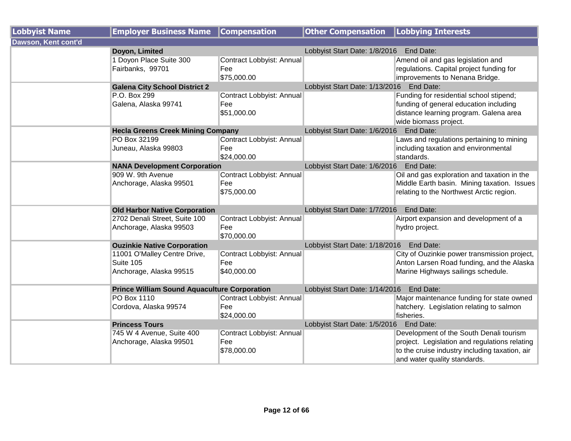| <b>Lobbyist Name</b> | <b>Employer Business Name</b>                                        | <b>Compensation</b>                             | <b>Other Compensation</b>                | <b>Lobbying Interests</b>                                                                                                                                                  |
|----------------------|----------------------------------------------------------------------|-------------------------------------------------|------------------------------------------|----------------------------------------------------------------------------------------------------------------------------------------------------------------------------|
| Dawson, Kent cont'd  |                                                                      |                                                 |                                          |                                                                                                                                                                            |
|                      | Doyon, Limited                                                       |                                                 | Lobbyist Start Date: 1/8/2016 End Date:  |                                                                                                                                                                            |
|                      | 1 Doyon Place Suite 300<br>Fairbanks, 99701                          | Contract Lobbyist: Annual<br>Fee<br>\$75,000.00 |                                          | Amend oil and gas legislation and<br>regulations. Capital project funding for<br>improvements to Nenana Bridge.                                                            |
|                      | <b>Galena City School District 2</b>                                 |                                                 | Lobbyist Start Date: 1/13/2016           | End Date:                                                                                                                                                                  |
|                      | P.O. Box 299<br>Galena, Alaska 99741                                 | Contract Lobbyist: Annual<br>Fee<br>\$51,000.00 |                                          | Funding for residential school stipend;<br>funding of general education including<br>distance learning program. Galena area<br>wide biomass project.                       |
|                      | <b>Hecla Greens Creek Mining Company</b>                             |                                                 | Lobbyist Start Date: 1/6/2016            | End Date:                                                                                                                                                                  |
|                      | PO Box 32199<br>Juneau, Alaska 99803                                 | Contract Lobbyist: Annual<br>Fee<br>\$24,000.00 |                                          | Laws and regulations pertaining to mining<br>including taxation and environmental<br>standards.                                                                            |
|                      | <b>NANA Development Corporation</b>                                  |                                                 | Lobbyist Start Date: 1/6/2016 End Date:  |                                                                                                                                                                            |
|                      | 909 W. 9th Avenue<br>Anchorage, Alaska 99501                         | Contract Lobbyist: Annual<br>Fee<br>\$75,000.00 |                                          | Oil and gas exploration and taxation in the<br>Middle Earth basin. Mining taxation. Issues<br>relating to the Northwest Arctic region.                                     |
|                      | <b>Old Harbor Native Corporation</b>                                 |                                                 | Lobbyist Start Date: 1/7/2016 End Date:  |                                                                                                                                                                            |
|                      | 2702 Denali Street, Suite 100<br>Anchorage, Alaska 99503             | Contract Lobbyist: Annual<br>Fee<br>\$70,000.00 |                                          | Airport expansion and development of a<br>hydro project.                                                                                                                   |
|                      | <b>Ouzinkie Native Corporation</b>                                   |                                                 | Lobbyist Start Date: 1/18/2016 End Date: |                                                                                                                                                                            |
|                      | 11001 O'Malley Centre Drive,<br>Suite 105<br>Anchorage, Alaska 99515 | Contract Lobbyist: Annual<br>Fee<br>\$40,000.00 |                                          | City of Ouzinkie power transmission project,<br>Anton Larsen Road funding, and the Alaska<br>Marine Highways sailings schedule.                                            |
|                      | <b>Prince William Sound Aquaculture Corporation</b>                  |                                                 | Lobbyist Start Date: 1/14/2016 End Date: |                                                                                                                                                                            |
|                      | PO Box 1110<br>Cordova, Alaska 99574                                 | Contract Lobbyist: Annual<br>Fee<br>\$24,000.00 |                                          | Major maintenance funding for state owned<br>hatchery. Legislation relating to salmon<br>fisheries.                                                                        |
|                      | <b>Princess Tours</b>                                                |                                                 | Lobbyist Start Date: 1/5/2016            | End Date:                                                                                                                                                                  |
|                      | 745 W 4 Avenue, Suite 400<br>Anchorage, Alaska 99501                 | Contract Lobbyist: Annual<br>Fee<br>\$78,000.00 |                                          | Development of the South Denali tourism<br>project. Legislation and regulations relating<br>to the cruise industry including taxation, air<br>and water quality standards. |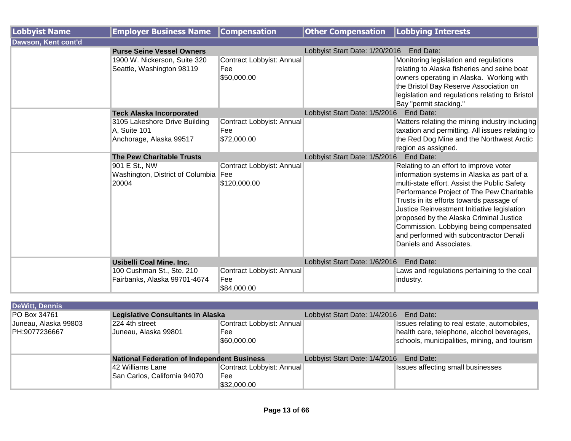| <b>Lobbyist Name</b> | <b>Employer Business Name</b>                                            | <b>Compensation</b>                             | <b>Other Compensation   Lobbying Interests</b> |                                                                                                                                                                                                                                                                                                                                                                                                                                         |
|----------------------|--------------------------------------------------------------------------|-------------------------------------------------|------------------------------------------------|-----------------------------------------------------------------------------------------------------------------------------------------------------------------------------------------------------------------------------------------------------------------------------------------------------------------------------------------------------------------------------------------------------------------------------------------|
| Dawson, Kent cont'd  |                                                                          |                                                 |                                                |                                                                                                                                                                                                                                                                                                                                                                                                                                         |
|                      | <b>Purse Seine Vessel Owners</b>                                         |                                                 | Lobbyist Start Date: 1/20/2016                 | End Date:                                                                                                                                                                                                                                                                                                                                                                                                                               |
|                      | 1900 W. Nickerson, Suite 320<br>Seattle, Washington 98119                | Contract Lobbyist: Annual<br>Fee<br>\$50,000.00 |                                                | Monitoring legislation and regulations<br>relating to Alaska fisheries and seine boat<br>owners operating in Alaska. Working with<br>the Bristol Bay Reserve Association on<br>legislation and regulations relating to Bristol<br>Bay "permit stacking."                                                                                                                                                                                |
|                      | <b>Teck Alaska Incorporated</b>                                          |                                                 | Lobbyist Start Date: 1/5/2016                  | End Date:                                                                                                                                                                                                                                                                                                                                                                                                                               |
|                      | 3105 Lakeshore Drive Building<br>A, Suite 101<br>Anchorage, Alaska 99517 | Contract Lobbyist: Annual<br>Fee<br>\$72,000.00 |                                                | Matters relating the mining industry including<br>taxation and permitting. All issues relating to<br>the Red Dog Mine and the Northwest Arctic<br>region as assigned.                                                                                                                                                                                                                                                                   |
|                      | <b>The Pew Charitable Trusts</b>                                         |                                                 | Lobbyist Start Date: 1/5/2016<br>End Date:     |                                                                                                                                                                                                                                                                                                                                                                                                                                         |
|                      | 901 E St., NW<br>Washington, District of Columbia Fee<br>20004           | Contract Lobbyist: Annual<br>\$120,000.00       |                                                | Relating to an effort to improve voter<br>information systems in Alaska as part of a<br>multi-state effort. Assist the Public Safety<br>Performance Project of The Pew Charitable<br>Trusts in its efforts towards passage of<br>Justice Reinvestment Initiative legislation<br>proposed by the Alaska Criminal Justice<br>Commission. Lobbying being compensated<br>and performed with subcontractor Denali<br>Daniels and Associates. |
|                      | <b>Usibelli Coal Mine. Inc.</b>                                          |                                                 | Lobbyist Start Date: 1/6/2016                  | End Date:                                                                                                                                                                                                                                                                                                                                                                                                                               |
|                      | 100 Cushman St., Ste. 210<br>Fairbanks, Alaska 99701-4674                | Contract Lobbyist: Annual<br>Fee<br>\$84,000.00 |                                                | Laws and regulations pertaining to the coal<br>industry.                                                                                                                                                                                                                                                                                                                                                                                |

| <b>DeWitt, Dennis</b> |                                                    |                           |                                         |                                              |
|-----------------------|----------------------------------------------------|---------------------------|-----------------------------------------|----------------------------------------------|
| PO Box 34761          | <b>Legislative Consultants in Alaska</b>           |                           | Lobbyist Start Date: 1/4/2016           | End Date:                                    |
| Juneau, Alaska 99803  | 224 4th street                                     | Contract Lobbyist: Annual |                                         | Issues relating to real estate, automobiles, |
| PH:9077236667         | Juneau, Alaska 99801                               | Fee                       |                                         | health care, telephone, alcohol beverages,   |
|                       |                                                    | \$60,000.00               |                                         | schools, municipalities, mining, and tourism |
|                       |                                                    |                           |                                         |                                              |
|                       | <b>National Federation of Independent Business</b> |                           | Lobbyist Start Date: 1/4/2016 End Date: |                                              |
|                       | 42 Williams Lane                                   | Contract Lobbyist: Annual |                                         | <b>Issues affecting small businesses</b>     |
|                       | San Carlos, California 94070                       | Fee                       |                                         |                                              |
|                       |                                                    | \$32,000.00               |                                         |                                              |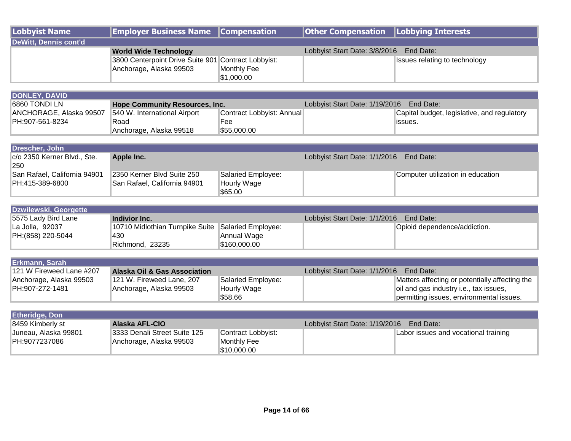| Lobbyist Name         | <b>Employer Business Name Compensation</b>          |             | Other Compensation   Lobbying Interests |                               |
|-----------------------|-----------------------------------------------------|-------------|-----------------------------------------|-------------------------------|
| DeWitt, Dennis cont'd |                                                     |             |                                         |                               |
|                       | <b>World Wide Technology</b>                        |             | Lobbyist Start Date: 3/8/2016 End Date: |                               |
|                       | 3800 Centerpoint Drive Suite 901 Contract Lobbyist: |             |                                         | Issues relating to technology |
|                       | Anchorage, Alaska 99503                             | Monthly Fee |                                         |                               |
|                       |                                                     | \$1,000.00  |                                         |                               |

| DONLEY, DAVID           |                                       |                           |                                |                                             |
|-------------------------|---------------------------------------|---------------------------|--------------------------------|---------------------------------------------|
| <b>6860 TONDI LN</b>    | <b>Hope Community Resources, Inc.</b> |                           | Lobbyist Start Date: 1/19/2016 | End Date:                                   |
| ANCHORAGE, Alaska 99507 | 540 W. International Airport          | Contract Lobbyist: Annual |                                | Capital budget, legislative, and regulatory |
| PH:907-561-8234         | Road                                  | Fee                       |                                | lissues.                                    |
|                         | Anchorage, Alaska 99518               | 1\$55,000.00              |                                |                                             |

| Drescher, John               |                              |                    |                                            |                                   |
|------------------------------|------------------------------|--------------------|--------------------------------------------|-----------------------------------|
| c/o 2350 Kerner Blvd., Ste.  | Apple Inc.                   |                    | Lobbyist Start Date: 1/1/2016<br>End Date: |                                   |
| 250                          |                              |                    |                                            |                                   |
| San Rafael, California 94901 | I2350 Kerner Blvd Suite 250  | Salaried Employee: |                                            | Computer utilization in education |
| PH:415-389-6800              | San Rafael, California 94901 | Hourly Wage        |                                            |                                   |
|                              |                              | \$65.00            |                                            |                                   |

| Dzwilewski, Georgette |                                                    |              |                               |                              |  |
|-----------------------|----------------------------------------------------|--------------|-------------------------------|------------------------------|--|
| 5575 Lady Bird Lane   | Indivior Inc.                                      |              | Lobbyist Start Date: 1/1/2016 | End Date:                    |  |
| La Jolla, 92037       | 10710 Midlothian Turnpike Suite Salaried Employee: |              |                               | Opioid dependence/addiction. |  |
| PH: (858) 220-5044    | 430                                                | Annual Wage  |                               |                              |  |
|                       | Richmond, 23235                                    | \$160,000.00 |                               |                              |  |

| <b>Erkmann, Sarah</b>    |                                         |                    |                                         |                                                |
|--------------------------|-----------------------------------------|--------------------|-----------------------------------------|------------------------------------------------|
| 121 W Fireweed Lane #207 | <b>Alaska Oil &amp; Gas Association</b> |                    | Lobbyist Start Date: 1/1/2016 End Date: |                                                |
| Anchorage, Alaska 99503  | 121 W. Fireweed Lane, 207               | Salaried Employee: |                                         | Matters affecting or potentially affecting the |
| PH:907-272-1481          | Anchorage, Alaska 99503                 | <b>Hourly Wage</b> |                                         | oil and gas industry i.e., tax issues,         |
|                          |                                         | \$58.66            |                                         | permitting issues, environmental issues.       |

| <b>Etheridge, Don</b> |                              |                    |                                |                                      |
|-----------------------|------------------------------|--------------------|--------------------------------|--------------------------------------|
| 8459 Kimberly st      | Alaska AFL-CIO               |                    | Lobbyist Start Date: 1/19/2016 | End Date:                            |
| Juneau, Alaska 99801  | 3333 Denali Street Suite 125 | Contract Lobbyist: |                                | Labor issues and vocational training |
| PH:9077237086         | Anchorage, Alaska 99503      | Monthly Fee        |                                |                                      |
|                       |                              | \$10,000.00        |                                |                                      |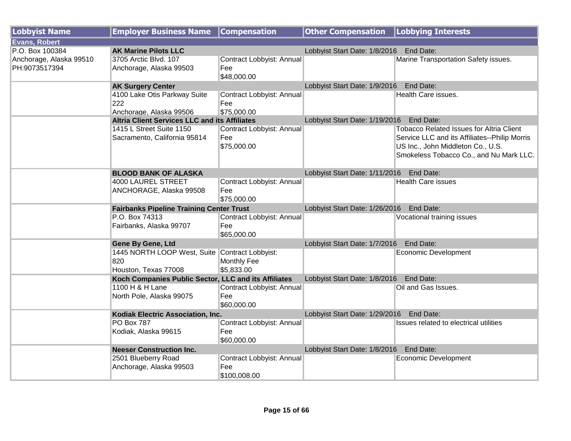| <b>Lobbyist Name</b>                     | <b>Employer Business Name</b>                                                 | <b>Compensation</b>                              | <b>Other Compensation   Lobbying Interests</b> |                                                                                                                                                                                  |
|------------------------------------------|-------------------------------------------------------------------------------|--------------------------------------------------|------------------------------------------------|----------------------------------------------------------------------------------------------------------------------------------------------------------------------------------|
| <b>Evans, Robert</b>                     |                                                                               |                                                  |                                                |                                                                                                                                                                                  |
| P.O. Box 100384                          | <b>AK Marine Pilots LLC</b>                                                   |                                                  | Lobbyist Start Date: 1/8/2016                  | End Date:                                                                                                                                                                        |
| Anchorage, Alaska 99510<br>PH:9073517394 | 3705 Arctic Blvd. 107<br>Anchorage, Alaska 99503                              | Contract Lobbyist: Annual<br>Fee<br>\$48,000.00  |                                                | Marine Transportation Safety issues.                                                                                                                                             |
|                                          | <b>AK Surgery Center</b>                                                      |                                                  | Lobbyist Start Date: 1/9/2016                  | End Date:                                                                                                                                                                        |
|                                          | 4100 Lake Otis Parkway Suite<br>222<br>Anchorage, Alaska 99506                | Contract Lobbyist: Annual<br>Fee<br>\$75,000.00  |                                                | <b>Health Care issues.</b>                                                                                                                                                       |
|                                          | <b>Altria Client Services LLC and its Affiliates</b>                          |                                                  | Lobbyist Start Date: 1/19/2016 End Date:       |                                                                                                                                                                                  |
|                                          | 1415 L Street Suite 1150<br>Sacramento, California 95814                      | Contract Lobbyist: Annual<br>Fee<br>\$75,000.00  |                                                | <b>Tobacco Related Issues for Altria Client</b><br>Service LLC and its Affiliates--Philip Morris<br>US Inc., John Middleton Co., U.S.<br>Smokeless Tobacco Co., and Nu Mark LLC. |
|                                          | <b>BLOOD BANK OF ALASKA</b>                                                   |                                                  | Lobbyist Start Date: 1/11/2016 End Date:       |                                                                                                                                                                                  |
|                                          | 4000 LAUREL STREET<br>ANCHORAGE, Alaska 99508                                 | Contract Lobbyist: Annual<br>Fee<br>\$75,000.00  |                                                | <b>Health Care issues</b>                                                                                                                                                        |
|                                          | <b>Fairbanks Pipeline Training Center Trust</b>                               |                                                  | Lobbyist Start Date: 1/26/2016 End Date:       |                                                                                                                                                                                  |
|                                          | P.O. Box 74313<br>Fairbanks, Alaska 99707                                     | Contract Lobbyist: Annual<br>Fee<br>\$65,000.00  |                                                | Vocational training issues                                                                                                                                                       |
|                                          | Gene By Gene, Ltd                                                             |                                                  | Lobbyist Start Date: 1/7/2016                  | End Date:                                                                                                                                                                        |
|                                          | 1445 NORTH LOOP West, Suite Contract Lobbyist:<br>820<br>Houston, Texas 77008 | <b>Monthly Fee</b><br>\$5,833.00                 |                                                | <b>Economic Development</b>                                                                                                                                                      |
|                                          | Koch Companies Public Sector, LLC and its Affiliates                          |                                                  | Lobbyist Start Date: 1/8/2016                  | End Date:                                                                                                                                                                        |
|                                          | 1100 H & H Lane<br>North Pole, Alaska 99075                                   | Contract Lobbyist: Annual<br>Fee<br>\$60,000.00  |                                                | Oil and Gas Issues.                                                                                                                                                              |
|                                          | Kodiak Electric Association, Inc.                                             |                                                  | Lobbyist Start Date: 1/29/2016 End Date:       |                                                                                                                                                                                  |
|                                          | <b>PO Box 787</b><br>Kodiak, Alaska 99615                                     | Contract Lobbyist: Annual<br>Fee<br>\$60,000.00  |                                                | Issues related to electrical utilities                                                                                                                                           |
|                                          | <b>Neeser Construction Inc.</b>                                               |                                                  | Lobbyist Start Date: 1/8/2016                  | End Date:                                                                                                                                                                        |
|                                          | 2501 Blueberry Road<br>Anchorage, Alaska 99503                                | Contract Lobbyist: Annual<br>Fee<br>\$100,008.00 |                                                | Economic Development                                                                                                                                                             |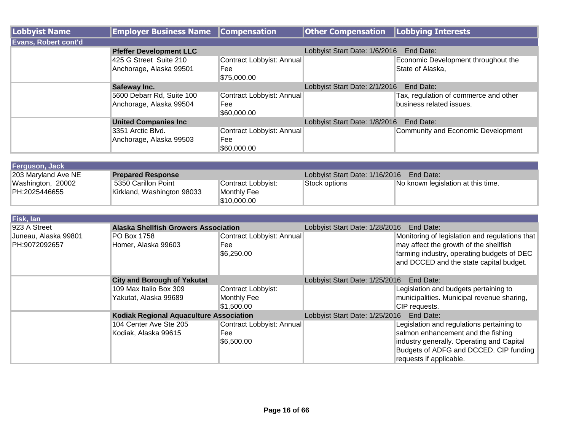| Lobbyist Name               | <b>Employer Business Name</b>                        | <b>Compensation</b>                             | <b>Other Compensation   Lobbying Interests</b> |                                                                   |
|-----------------------------|------------------------------------------------------|-------------------------------------------------|------------------------------------------------|-------------------------------------------------------------------|
| <b>Evans, Robert cont'd</b> |                                                      |                                                 |                                                |                                                                   |
|                             | <b>Pfeffer Development LLC</b>                       |                                                 | Lobbyist Start Date: 1/6/2016                  | End Date:                                                         |
|                             | 425 G Street Suite 210<br>Anchorage, Alaska 99501    | Contract Lobbyist: Annual<br>Fee<br>\$75,000.00 |                                                | Economic Development throughout the<br>State of Alaska,           |
|                             | Safeway Inc.                                         |                                                 | Lobbyist Start Date: 2/1/2016<br>End Date:     |                                                                   |
|                             | 5600 Debarr Rd, Suite 100<br>Anchorage, Alaska 99504 | Contract Lobbyist: Annual<br>Fee<br>\$60,000.00 |                                                | Tax, regulation of commerce and other<br>business related issues. |
|                             | <b>United Companies Inc.</b>                         |                                                 | Lobbyist Start Date: 1/8/2016                  | End Date:                                                         |
|                             | 3351 Arctic Blvd.<br>Anchorage, Alaska 99503         | Contract Lobbyist: Annual<br>Fee<br>\$60,000.00 |                                                | Community and Economic Development                                |

| Ferguson, Jack      |                            |                    |                                |                                    |
|---------------------|----------------------------|--------------------|--------------------------------|------------------------------------|
| 203 Maryland Ave NE | <b>Prepared Response</b>   |                    | Lobbyist Start Date: 1/16/2016 | End Date:                          |
| Washington, 20002   | 5350 Carillon Point        | Contract Lobbyist: | Stock options                  | No known legislation at this time. |
| PH:2025446655       | Kirkland, Washington 98033 | Monthly Fee        |                                |                                    |
|                     |                            | \$10,000.00        |                                |                                    |

| Fisk, lan            |                                                |                           |                                             |                                                |
|----------------------|------------------------------------------------|---------------------------|---------------------------------------------|------------------------------------------------|
| 923 A Street         | <b>Alaska Shellfish Growers Association</b>    |                           | Lobbyist Start Date: 1/28/2016<br>End Date: |                                                |
| Juneau, Alaska 99801 | PO Box 1758                                    | Contract Lobbyist: Annual |                                             | Monitoring of legislation and regulations that |
| PH:9072092657        | Homer, Alaska 99603                            | Fee                       |                                             | may affect the growth of the shellfish         |
|                      |                                                | \$6,250.00                |                                             | farming industry, operating budgets of DEC     |
|                      |                                                |                           |                                             | and DCCED and the state capital budget.        |
|                      |                                                |                           |                                             |                                                |
|                      | <b>City and Borough of Yakutat</b>             |                           | Lobbyist Start Date: 1/25/2016<br>End Date: |                                                |
|                      | 109 Max Italio Box 309                         | Contract Lobbyist:        |                                             | Legislation and budgets pertaining to          |
|                      | Yakutat, Alaska 99689                          | Monthly Fee               |                                             | municipalities. Municipal revenue sharing,     |
|                      |                                                | \$1,500.00                |                                             | CIP requests.                                  |
|                      | <b>Kodiak Regional Aquaculture Association</b> |                           | Lobbyist Start Date: 1/25/2016<br>End Date: |                                                |
|                      | 104 Center Ave Ste 205                         | Contract Lobbyist: Annual |                                             | Legislation and regulations pertaining to      |
|                      | Kodiak, Alaska 99615                           | Fee                       |                                             | salmon enhancement and the fishing             |
|                      |                                                | \$6,500.00                |                                             | industry generally. Operating and Capital      |
|                      |                                                |                           |                                             | Budgets of ADFG and DCCED. CIP funding         |
|                      |                                                |                           |                                             | requests if applicable.                        |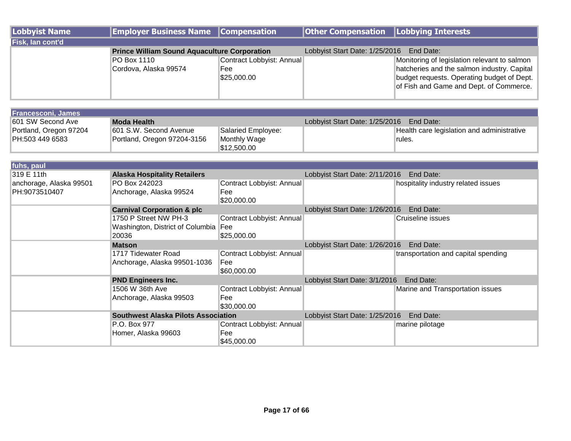| Lobbyist Name    | <b>Employer Business Name Compensation</b>          |                           | <b>Other Compensation</b> Lobbying Interests |                                              |
|------------------|-----------------------------------------------------|---------------------------|----------------------------------------------|----------------------------------------------|
| Fisk, lan cont'd |                                                     |                           |                                              |                                              |
|                  | <b>Prince William Sound Aquaculture Corporation</b> |                           | Lobbyist Start Date: 1/25/2016               | End Date:                                    |
|                  | <b>PO Box 1110</b>                                  | Contract Lobbyist: Annual |                                              | Monitoring of legislation relevant to salmon |
|                  | Cordova, Alaska 99574                               | Fee                       |                                              | hatcheries and the salmon industry. Capital  |
|                  |                                                     | \$25,000.00               |                                              | budget requests. Operating budget of Dept.   |
|                  |                                                     |                           |                                              | of Fish and Game and Dept. of Commerce.      |
|                  |                                                     |                           |                                              |                                              |

| <b>Francesconi, James</b> |                             |                    |                                |                                            |
|---------------------------|-----------------------------|--------------------|--------------------------------|--------------------------------------------|
| 601 SW Second Ave         | Moda Health                 |                    | Lobbyist Start Date: 1/25/2016 | End Date:                                  |
| Portland, Oregon 97204    | 1601 S.W. Second Avenue     | Salaried Employee: |                                | Health care legislation and administrative |
| PH:503 449 6583           | Portland, Oregon 97204-3156 | Monthly Wage       |                                | ¶rules.                                    |
|                           |                             | \$12,500.00        |                                |                                            |

| fuhs, paul              |                                            |                           |                                             |                                     |
|-------------------------|--------------------------------------------|---------------------------|---------------------------------------------|-------------------------------------|
| 319 E 11th              | <b>Alaska Hospitality Retailers</b>        |                           | Lobbyist Start Date: 2/11/2016              | End Date:                           |
| anchorage, Alaska 99501 | PO Box 242023                              | Contract Lobbyist: Annual |                                             | hospitality industry related issues |
| PH:9073510407           | Anchorage, Alaska 99524                    | Fee                       |                                             |                                     |
|                         |                                            | \$20,000.00               |                                             |                                     |
|                         | <b>Carnival Corporation &amp; plc</b>      |                           | Lobbyist Start Date: 1/26/2016              | End Date:                           |
|                         | 1750 P Street NW PH-3                      | Contract Lobbyist: Annual |                                             | Cruiseline issues                   |
|                         | Washington, District of Columbia           | Fee                       |                                             |                                     |
|                         | 20036                                      | \$25,000.00               |                                             |                                     |
|                         | <b>Matson</b>                              |                           | End Date:<br>Lobbyist Start Date: 1/26/2016 |                                     |
|                         | 1717 Tidewater Road                        | Contract Lobbyist: Annual |                                             | transportation and capital spending |
|                         | Anchorage, Alaska 99501-1036               | Fee                       |                                             |                                     |
|                         |                                            | \$60,000.00               |                                             |                                     |
|                         | <b>PND Engineers Inc.</b>                  |                           | Lobbyist Start Date: 3/1/2016<br>End Date:  |                                     |
|                         | 1506 W 36th Ave                            | Contract Lobbyist: Annual |                                             | Marine and Transportation issues    |
|                         | Anchorage, Alaska 99503                    | Fee                       |                                             |                                     |
|                         |                                            | \$30,000.00               |                                             |                                     |
|                         | <b>Southwest Alaska Pilots Association</b> |                           | Lobbyist Start Date: 1/25/2016              | End Date:                           |
|                         | P.O. Box 977                               | Contract Lobbyist: Annual |                                             | marine pilotage                     |
|                         | Homer, Alaska 99603                        | Fee                       |                                             |                                     |
|                         |                                            | \$45,000.00               |                                             |                                     |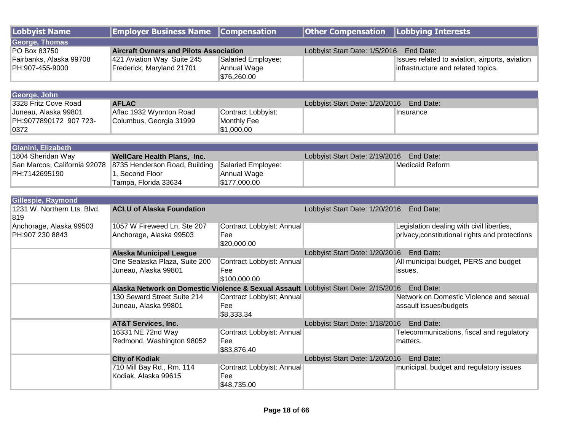| <b>Lobbyist Name</b>         | <b>Employer Business Name</b>                                                                 | <b>Compensation</b>              | <b>Other Compensation</b>                | <b>Lobbying Interests</b>                            |
|------------------------------|-----------------------------------------------------------------------------------------------|----------------------------------|------------------------------------------|------------------------------------------------------|
| <b>George, Thomas</b>        |                                                                                               |                                  |                                          |                                                      |
| PO Box 83750                 | <b>Aircraft Owners and Pilots Association</b>                                                 |                                  | Lobbyist Start Date: 1/5/2016 End Date:  |                                                      |
| Fairbanks, Alaska 99708      | 421 Aviation Way Suite 245                                                                    | Salaried Employee:               |                                          | Issues related to aviation, airports, aviation       |
| PH:907-455-9000              | Frederick, Maryland 21701                                                                     | Annual Wage                      |                                          | infrastructure and related topics.                   |
|                              |                                                                                               | \$76,260.00                      |                                          |                                                      |
| George, John                 |                                                                                               |                                  |                                          |                                                      |
| 3328 Fritz Cove Road         | <b>AFLAC</b>                                                                                  |                                  | Lobbyist Start Date: 1/20/2016 End Date: |                                                      |
| Juneau, Alaska 99801         | Aflac 1932 Wynnton Road                                                                       | Contract Lobbyist:               |                                          | Insurance                                            |
| PH:9077890172 907 723-       | Columbus, Georgia 31999                                                                       | Monthly Fee                      |                                          |                                                      |
| 0372                         |                                                                                               | \$1,000.00                       |                                          |                                                      |
|                              |                                                                                               |                                  |                                          |                                                      |
| Gianini, Elizabeth           |                                                                                               |                                  |                                          |                                                      |
| 1804 Sheridan Way            | <b>WellCare Health Plans, Inc.</b>                                                            |                                  | Lobbyist Start Date: 2/19/2016           | End Date:                                            |
| San Marcos, California 92078 | 8735 Henderson Road, Building                                                                 | Salaried Employee:               |                                          | <b>Medicaid Reform</b>                               |
| PH:7142695190                | 1. Second Floor                                                                               | Annual Wage<br>\$177,000.00      |                                          |                                                      |
|                              | Tampa, Florida 33634                                                                          |                                  |                                          |                                                      |
| Gillespie, Raymond           |                                                                                               |                                  |                                          |                                                      |
| 1231 W. Northern Lts. Blvd.  | <b>ACLU of Alaska Foundation</b>                                                              |                                  | Lobbyist Start Date: 1/20/2016           | End Date:                                            |
| 819                          |                                                                                               |                                  |                                          |                                                      |
| Anchorage, Alaska 99503      | 1057 W Fireweed Ln, Ste 207                                                                   | Contract Lobbyist: Annual        |                                          | Legislation dealing with civil liberties,            |
| PH:907 230 8843              | Anchorage, Alaska 99503                                                                       | Fee                              |                                          | privacy, constitutional rights and protections       |
|                              |                                                                                               | \$20,000.00                      |                                          |                                                      |
|                              | <b>Alaska Municipal League</b><br>One Sealaska Plaza, Suite 200                               |                                  | Lobbyist Start Date: 1/20/2016 End Date: |                                                      |
|                              | Juneau, Alaska 99801                                                                          | Contract Lobbyist: Annual<br>Fee |                                          | All municipal budget, PERS and budget<br>issues.     |
|                              |                                                                                               | \$100,000.00                     |                                          |                                                      |
|                              | Alaska Network on Domestic Violence & Sexual Assault Lobbyist Start Date: 2/15/2016 End Date: |                                  |                                          |                                                      |
|                              | 130 Seward Street Suite 214                                                                   | Contract Lobbyist: Annual        |                                          | Network on Domestic Violence and sexual              |
|                              | Juneau, Alaska 99801                                                                          | Fee                              |                                          | assault issues/budgets                               |
|                              |                                                                                               | \$8,333.34                       |                                          |                                                      |
|                              | <b>AT&amp;T Services, Inc.</b>                                                                |                                  | Lobbyist Start Date: 1/18/2016 End Date: |                                                      |
|                              | 16331 NE 72nd Way                                                                             | Contract Lobbyist: Annual        |                                          | Telecommunications, fiscal and regulatory            |
|                              | Redmond, Washington 98052                                                                     | Fee                              |                                          | matters.                                             |
|                              |                                                                                               | \$83,876.40                      |                                          |                                                      |
|                              | <b>City of Kodiak</b><br>710 Mill Bay Rd., Rm. 114                                            | Contract Lobbyist: Annual        | Lobbyist Start Date: 1/20/2016           | End Date:<br>municipal, budget and regulatory issues |
|                              | Kodiak, Alaska 99615                                                                          | Fee                              |                                          |                                                      |
|                              |                                                                                               | \$48,735.00                      |                                          |                                                      |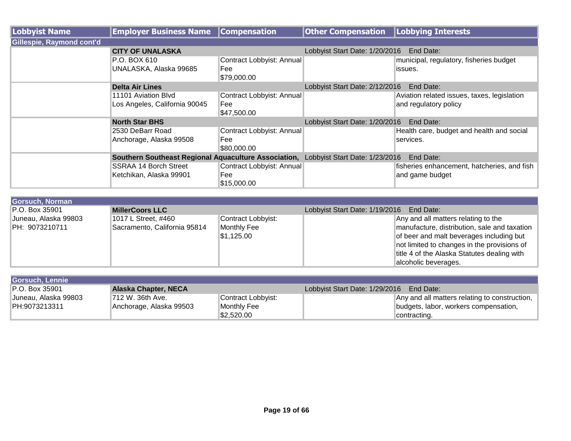| Lobbyist Name             | <b>Employer Business Name</b>                                                       | <b>Compensation</b>       | <b>Other Compensation</b>                   | Lobbying Interests                          |
|---------------------------|-------------------------------------------------------------------------------------|---------------------------|---------------------------------------------|---------------------------------------------|
| Gillespie, Raymond cont'd |                                                                                     |                           |                                             |                                             |
|                           | <b>CITY OF UNALASKA</b>                                                             |                           | Lobbyist Start Date: 1/20/2016              | End Date:                                   |
|                           | P.O. BOX 610                                                                        | Contract Lobbyist: Annual |                                             | municipal, regulatory, fisheries budget     |
|                           | UNALASKA, Alaska 99685                                                              | Fee                       |                                             | issues.                                     |
|                           |                                                                                     | \$79,000.00               |                                             |                                             |
|                           | <b>Delta Air Lines</b>                                                              |                           | Lobbyist Start Date: 2/12/2016              | End Date:                                   |
|                           | 11101 Aviation Blvd                                                                 | Contract Lobbyist: Annual |                                             | Aviation related issues, taxes, legislation |
|                           | Los Angeles, California 90045                                                       | Fee                       |                                             | and regulatory policy                       |
|                           |                                                                                     | \$47,500.00               |                                             |                                             |
|                           | <b>North Star BHS</b>                                                               |                           | Lobbyist Start Date: 1/20/2016<br>End Date: |                                             |
|                           | 2530 DeBarr Road                                                                    | Contract Lobbyist: Annual |                                             | Health care, budget and health and social   |
|                           | Anchorage, Alaska 99508                                                             | Fee                       |                                             | services.                                   |
|                           |                                                                                     | \$80,000.00               |                                             |                                             |
|                           | Southern Southeast Regional Aquaculture Association, Lobbyist Start Date: 1/23/2016 |                           |                                             | End Date:                                   |
|                           | SSRAA 14 Borch Street                                                               | Contract Lobbyist: Annual |                                             | fisheries enhancement, hatcheries, and fish |
|                           | Ketchikan, Alaska 99901                                                             | Fee                       |                                             | and game budget                             |
|                           |                                                                                     | \$15,000.00               |                                             |                                             |

| Gorsuch, Norman       |                              |                    |                                              |
|-----------------------|------------------------------|--------------------|----------------------------------------------|
| <b>P.O. Box 35901</b> | <b>MillerCoors LLC</b>       |                    | Lobbyist Start Date: 1/19/2016 End Date:     |
| Juneau, Alaska 99803  | 1017 L Street, #460          | Contract Lobbyist: | Any and all matters relating to the          |
| IPH: 9073210711       | Sacramento, California 95814 | Monthly Fee        | manufacture, distribution, sale and taxation |
|                       |                              | \$1,125.00         | of beer and malt beverages including but     |
|                       |                              |                    | not limited to changes in the provisions of  |
|                       |                              |                    | title 4 of the Alaska Statutes dealing with  |
|                       |                              |                    | alcoholic beverages.                         |

| Gorsuch, Lennie       |                             |                    |                                               |
|-----------------------|-----------------------------|--------------------|-----------------------------------------------|
| <b>P.O. Box 35901</b> | <b>Alaska Chapter, NECA</b> |                    | Lobbyist Start Date: 1/29/2016<br>End Date:   |
| Juneau, Alaska 99803  | 712 W. 36th Ave.            | Contract Lobbyist: | Any and all matters relating to construction, |
| PH:9073213311         | Anchorage, Alaska 99503     | Monthly Fee        | budgets, labor, workers compensation,         |
|                       |                             | \$2,520.00         | contracting.                                  |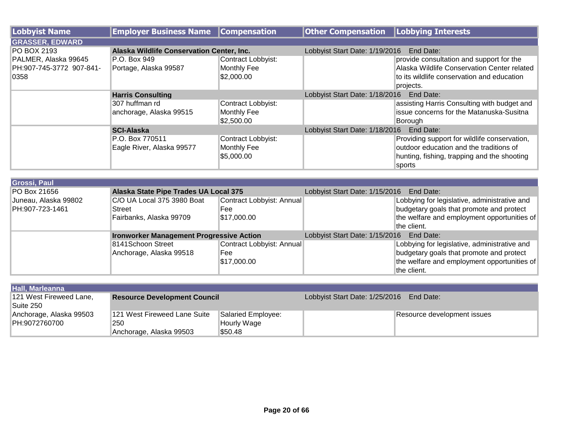| Lobbyist Name            | <b>Employer Business Name</b>             | <b>Compensation</b> | <b>Other Compensation</b>                | Lobbying Interests                           |
|--------------------------|-------------------------------------------|---------------------|------------------------------------------|----------------------------------------------|
| <b>GRASSER, EDWARD</b>   |                                           |                     |                                          |                                              |
| <b>PO BOX 2193</b>       | Alaska Wildlife Conservation Center, Inc. |                     | Lobbyist Start Date: 1/19/2016           | <b>End Date:</b>                             |
| PALMER, Alaska 99645     | P.O. Box 949                              | Contract Lobbyist:  |                                          | provide consultation and support for the     |
| PH:907-745-3772 907-841- | Portage, Alaska 99587                     | Monthly Fee         |                                          | Alaska Wildlife Conservation Center related  |
| 0358                     |                                           | 1\$2,000.00         |                                          | to its wildlife conservation and education   |
|                          |                                           |                     |                                          | projects.                                    |
|                          | <b>Harris Consulting</b>                  |                     | Lobbyist Start Date: 1/18/2016 End Date: |                                              |
|                          | 307 huffman rd                            | Contract Lobbyist:  |                                          | assisting Harris Consulting with budget and  |
|                          | anchorage, Alaska 99515                   | Monthly Fee         |                                          | issue concerns for the Matanuska-Susitna     |
|                          |                                           | \$2,500.00          |                                          | Borough                                      |
|                          | <b>SCI-Alaska</b>                         |                     | Lobbyist Start Date: 1/18/2016           | End Date:                                    |
|                          | P.O. Box 770511                           | Contract Lobbyist:  |                                          | Providing support for wildlife conservation, |
|                          | Eagle River, Alaska 99577                 | <b>Monthly Fee</b>  |                                          | outdoor education and the traditions of      |
|                          |                                           | \$5,000.00          |                                          | hunting, fishing, trapping and the shooting  |
|                          |                                           |                     |                                          | sports                                       |

| Grossi, Paul         |                                                 |                           |                                |                                              |
|----------------------|-------------------------------------------------|---------------------------|--------------------------------|----------------------------------------------|
| PO Box 21656         | Alaska State Pipe Trades UA Local 375           |                           | Lobbyist Start Date: 1/15/2016 | End Date:                                    |
| Juneau, Alaska 99802 | C/O UA Local 375 3980 Boat                      | Contract Lobbyist: Annual |                                | Lobbying for legislative, administrative and |
| PH:907-723-1461      | Street                                          | Fee                       |                                | budgetary goals that promote and protect     |
|                      | Fairbanks, Alaska 99709                         | \$17,000.00               |                                | the welfare and employment opportunities of  |
|                      |                                                 |                           |                                | the client.                                  |
|                      | <b>Ironworker Management Progressive Action</b> |                           | Lobbyist Start Date: 1/15/2016 | End Date:                                    |
|                      | 8141Schoon Street                               | Contract Lobbyist: Annual |                                | Lobbying for legislative, administrative and |
|                      | Anchorage, Alaska 99518                         | Fee                       |                                | budgetary goals that promote and protect     |
|                      |                                                 | \$17,000.00               |                                | the welfare and employment opportunities of  |
|                      |                                                 |                           |                                | the client.                                  |

| Hall, Marleanna         |                                     |                    |                                             |                             |
|-------------------------|-------------------------------------|--------------------|---------------------------------------------|-----------------------------|
| 121 West Fireweed Lane, | <b>Resource Development Council</b> |                    | Lobbyist Start Date: 1/25/2016<br>End Date: |                             |
| Suite 250               |                                     |                    |                                             |                             |
| Anchorage, Alaska 99503 | 121 West Fireweed Lane Suite        | Salaried Employee: |                                             | Resource development issues |
| PH:9072760700           | 250                                 | Hourly Wage        |                                             |                             |
|                         | Anchorage, Alaska 99503             | \$50.48            |                                             |                             |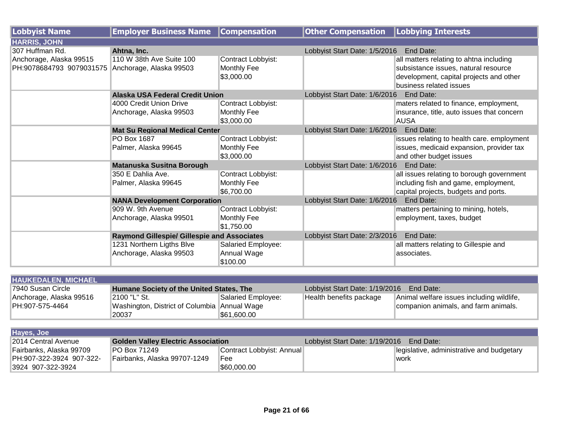| <b>Lobbyist Name</b>     | <b>Employer Business Name</b>                      | <b>Compensation</b> | <b>Other Compensation</b>                  | Lobbying Interests                         |  |
|--------------------------|----------------------------------------------------|---------------------|--------------------------------------------|--------------------------------------------|--|
| <b>HARRIS, JOHN</b>      |                                                    |                     |                                            |                                            |  |
| 307 Huffman Rd.          | Ahtna, Inc.                                        |                     | Lobbyist Start Date: 1/5/2016              | End Date:                                  |  |
| Anchorage, Alaska 99515  | 110 W 38th Ave Suite 100                           | Contract Lobbyist:  |                                            | all matters relating to ahtna including    |  |
| PH:9078684793 9079031575 | Anchorage, Alaska 99503                            | Monthly Fee         |                                            | subsistance issues, natural resource       |  |
|                          |                                                    | \$3,000.00          |                                            | development, capital projects and other    |  |
|                          |                                                    |                     |                                            | business related issues                    |  |
|                          | <b>Alaska USA Federal Credit Union</b>             |                     | Lobbyist Start Date: 1/6/2016 End Date:    |                                            |  |
|                          | 4000 Credit Union Drive                            | Contract Lobbyist:  |                                            | maters related to finance, employment,     |  |
|                          | Anchorage, Alaska 99503                            | Monthly Fee         |                                            | insurance, title, auto issues that concern |  |
|                          |                                                    | \$3,000.00          |                                            | <b>AUSA</b>                                |  |
|                          | <b>Mat Su Regional Medical Center</b>              |                     | Lobbyist Start Date: 1/6/2016              | End Date:                                  |  |
|                          | PO Box 1687                                        | Contract Lobbyist:  |                                            | issues relating to health care. employment |  |
|                          | Palmer, Alaska 99645                               | Monthly Fee         |                                            | issues, medicaid expansion, provider tax   |  |
|                          |                                                    | \$3,000.00          |                                            | and other budget issues                    |  |
|                          | <b>Matanuska Susitna Borough</b>                   |                     | Lobbyist Start Date: 1/6/2016<br>End Date: |                                            |  |
|                          | 350 E Dahlia Ave.                                  | Contract Lobbyist:  |                                            | all issues relating to borough government  |  |
|                          | Palmer, Alaska 99645                               | Monthly Fee         |                                            | including fish and game, employment,       |  |
|                          |                                                    | \$6,700.00          |                                            | capital projects, budgets and ports.       |  |
|                          | <b>NANA Development Corporation</b>                |                     | Lobbyist Start Date: 1/6/2016              | End Date:                                  |  |
|                          | 909 W. 9th Avenue                                  | Contract Lobbyist:  |                                            | matters pertaining to mining, hotels,      |  |
|                          | Anchorage, Alaska 99501                            | Monthly Fee         |                                            | employment, taxes, budget                  |  |
|                          |                                                    | \$1,750.00          |                                            |                                            |  |
|                          | <b>Raymond Gillespie/ Gillespie and Associates</b> |                     | Lobbyist Start Date: 2/3/2016              | End Date:                                  |  |
|                          | 1231 Northern Ligths Blve                          | Salaried Employee:  |                                            | all matters relating to Gillespie and      |  |
|                          | Anchorage, Alaska 99503                            | Annual Wage         |                                            | associates.                                |  |
|                          |                                                    | \$100.00            |                                            |                                            |  |

| <b>HAUKEDALEN, MICHAEL</b> |                                                 |                    |                                |                                           |  |
|----------------------------|-------------------------------------------------|--------------------|--------------------------------|-------------------------------------------|--|
| 17940 Susan Circle         | <b>Humane Society of the United States. The</b> |                    | Lobbyist Start Date: 1/19/2016 | End Date:                                 |  |
| Anchorage, Alaska 99516    | 2100 "L" St.                                    | Salaried Employee: | Health benefits package        | Animal welfare issues including wildlife, |  |
| PH:907-575-4464            | Washington, District of Columbia Annual Wage    |                    |                                | companion animals, and farm animals.      |  |
|                            | 20037                                           | 561.600.00         |                                |                                           |  |

| Hayes, Joe                |                                           |                           |                                             |                                           |
|---------------------------|-------------------------------------------|---------------------------|---------------------------------------------|-------------------------------------------|
| 2014 Central Avenue       | <b>Golden Valley Electric Association</b> |                           | Lobbyist Start Date: 1/19/2016<br>End Date: |                                           |
| ∥Fairbanks. Alaska 99709  | <b>PO Box 71249</b>                       | Contract Lobbyist: Annual |                                             | legislative, administrative and budgetary |
| IPH:907-322-3924 907-322- | Fairbanks, Alaska 99707-1249              | <b>Fee</b>                |                                             | 'work                                     |
| 3924 907-322-3924         |                                           | \$60,000.00               |                                             |                                           |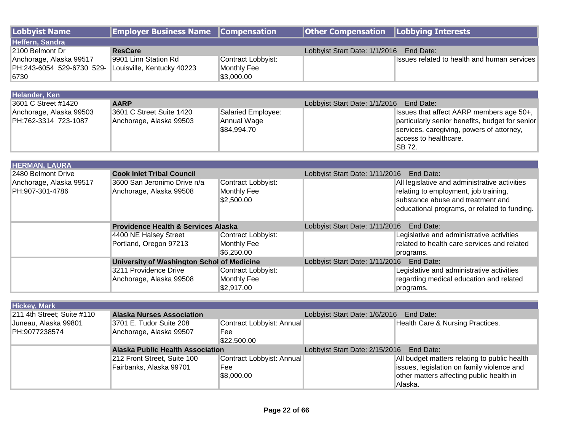| <b>Lobbyist Name</b>       | <b>Employer Business Name</b>                  | <b>Compensation</b>              | <b>Other Compensation</b>                | <b>Lobbying Interests</b>                                                              |  |
|----------------------------|------------------------------------------------|----------------------------------|------------------------------------------|----------------------------------------------------------------------------------------|--|
| Heffern, Sandra            |                                                |                                  |                                          |                                                                                        |  |
| 2100 Belmont Dr            | <b>ResCare</b>                                 |                                  | Lobbyist Start Date: 1/1/2016            | End Date:                                                                              |  |
| Anchorage, Alaska 99517    | 9901 Linn Station Rd                           | Contract Lobbyist:               |                                          | Issues related to health and human services                                            |  |
| PH:243-6054 529-6730 529-  | Louisville, Kentucky 40223                     | Monthly Fee                      |                                          |                                                                                        |  |
| 6730                       |                                                | \$3,000.00                       |                                          |                                                                                        |  |
|                            |                                                |                                  |                                          |                                                                                        |  |
| Helander, Ken              |                                                |                                  |                                          |                                                                                        |  |
| 3601 C Street #1420        | <b>AARP</b>                                    |                                  | Lobbyist Start Date: 1/1/2016            | End Date:                                                                              |  |
| Anchorage, Alaska 99503    | 3601 C Street Suite 1420                       | Salaried Employee:               |                                          | Issues that affect AARP members age 50+,                                               |  |
| PH:762-3314 723-1087       | Anchorage, Alaska 99503                        | Annual Wage                      |                                          | particularly senior benefits, budget for senior                                        |  |
|                            |                                                | \$84,994.70                      |                                          | services, caregiving, powers of attorney,                                              |  |
|                            |                                                |                                  |                                          | access to healthcare.<br>SB 72.                                                        |  |
|                            |                                                |                                  |                                          |                                                                                        |  |
| <b>HERMAN, LAURA</b>       |                                                |                                  |                                          |                                                                                        |  |
| 2480 Belmont Drive         | <b>Cook Inlet Tribal Council</b>               |                                  | Lobbyist Start Date: 1/11/2016           | End Date:                                                                              |  |
| Anchorage, Alaska 99517    | 3600 San Jeronimo Drive n/a                    | Contract Lobbyist:               |                                          | All legislative and administrative activities                                          |  |
| PH:907-301-4786            | Anchorage, Alaska 99508                        | Monthly Fee                      |                                          | relating to employment, job training,                                                  |  |
|                            |                                                | \$2,500.00                       |                                          | substance abuse and treatment and                                                      |  |
|                            |                                                |                                  |                                          | educational programs, or related to funding.                                           |  |
|                            |                                                |                                  |                                          |                                                                                        |  |
|                            | <b>Providence Health &amp; Services Alaska</b> |                                  | Lobbyist Start Date: 1/11/2016           | End Date:                                                                              |  |
|                            | 4400 NE Halsey Street                          | Contract Lobbyist:               |                                          | Legislative and administrative activities                                              |  |
|                            | Portland, Oregon 97213                         | Monthly Fee                      |                                          | related to health care services and related                                            |  |
|                            |                                                | \$6,250.00                       |                                          | programs.                                                                              |  |
|                            | University of Washington Schol of Medicine     |                                  | Lobbyist Start Date: 1/11/2016 End Date: |                                                                                        |  |
|                            | 3211 Providence Drive                          | Contract Lobbyist:               |                                          | Legislative and administrative activities                                              |  |
|                            | Anchorage, Alaska 99508                        | Monthly Fee                      |                                          | regarding medical education and related                                                |  |
|                            |                                                | \$2,917.00                       |                                          | programs.                                                                              |  |
|                            |                                                |                                  |                                          |                                                                                        |  |
| <b>Hickey, Mark</b>        |                                                |                                  |                                          |                                                                                        |  |
| 211 4th Street; Suite #110 | <b>Alaska Nurses Association</b>               |                                  | Lobbyist Start Date: 1/6/2016            | End Date:                                                                              |  |
| Juneau, Alaska 99801       | 3701 E. Tudor Suite 208                        | Contract Lobbyist: Annual        |                                          | Health Care & Nursing Practices.                                                       |  |
| PH:9077238574              | Anchorage, Alaska 99507                        | Fee                              |                                          |                                                                                        |  |
|                            |                                                | \$22,500.00                      |                                          |                                                                                        |  |
|                            | <b>Alaska Public Health Association</b>        |                                  | Lobbyist Start Date: 2/15/2016           | End Date:                                                                              |  |
|                            | 212 Front Street, Suite 100                    | Contract Lobbyist: Annual<br>Fee |                                          | All budget matters relating to public health                                           |  |
|                            | Fairbanks, Alaska 99701                        | \$8,000.00                       |                                          | issues, legislation on family violence and<br>other matters affecting public health in |  |
|                            |                                                |                                  |                                          | Alaska.                                                                                |  |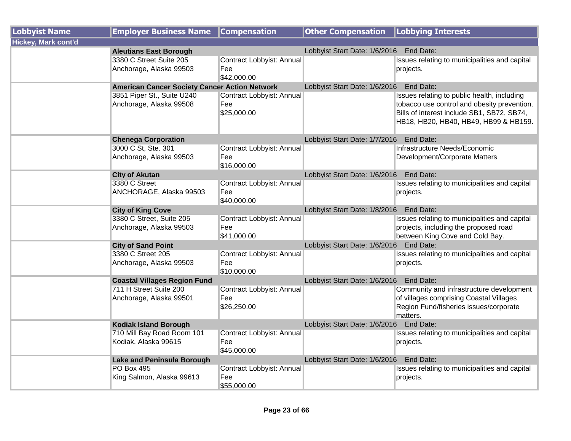| <b>Lobbyist Name</b>       | <b>Employer Business Name</b>                         | <b>Compensation</b>                             | <b>Other Compensation</b>               | <b>Lobbying Interests</b>                                                                                                                                                         |
|----------------------------|-------------------------------------------------------|-------------------------------------------------|-----------------------------------------|-----------------------------------------------------------------------------------------------------------------------------------------------------------------------------------|
| <b>Hickey, Mark cont'd</b> |                                                       |                                                 |                                         |                                                                                                                                                                                   |
|                            | <b>Aleutians East Borough</b>                         |                                                 | Lobbyist Start Date: 1/6/2016           | End Date:                                                                                                                                                                         |
|                            | 3380 C Street Suite 205<br>Anchorage, Alaska 99503    | Contract Lobbyist: Annual<br>Fee<br>\$42,000.00 |                                         | Issues relating to municipalities and capital<br>projects.                                                                                                                        |
|                            | <b>American Cancer Society Cancer Action Network</b>  |                                                 | Lobbyist Start Date: 1/6/2016 End Date: |                                                                                                                                                                                   |
|                            | 3851 Piper St., Suite U240<br>Anchorage, Alaska 99508 | Contract Lobbyist: Annual<br>Fee<br>\$25,000.00 |                                         | Issues relating to public health, including<br>tobacco use control and obesity prevention.<br>Bills of interest include SB1, SB72, SB74,<br>HB18, HB20, HB40, HB49, HB99 & HB159. |
|                            | <b>Chenega Corporation</b>                            |                                                 | Lobbyist Start Date: 1/7/2016 End Date: |                                                                                                                                                                                   |
|                            | 3000 C St, Ste. 301<br>Anchorage, Alaska 99503        | Contract Lobbyist: Annual<br>Fee<br>\$16,000.00 |                                         | Infrastructure Needs/Economic<br>Development/Corporate Matters                                                                                                                    |
|                            | <b>City of Akutan</b>                                 |                                                 | Lobbyist Start Date: 1/6/2016 End Date: |                                                                                                                                                                                   |
|                            | 3380 C Street<br>ANCHORAGE, Alaska 99503              | Contract Lobbyist: Annual<br>Fee<br>\$40,000.00 |                                         | Issues relating to municipalities and capital<br>projects.                                                                                                                        |
|                            | <b>City of King Cove</b>                              |                                                 | Lobbyist Start Date: 1/8/2016           | End Date:                                                                                                                                                                         |
|                            | 3380 C Street, Suite 205<br>Anchorage, Alaska 99503   | Contract Lobbyist: Annual<br>Fee<br>\$41,000.00 |                                         | Issues relating to municipalities and capital<br>projects, including the proposed road<br>between King Cove and Cold Bay.                                                         |
|                            | <b>City of Sand Point</b>                             |                                                 | Lobbyist Start Date: 1/6/2016           | End Date:                                                                                                                                                                         |
|                            | 3380 C Street 205<br>Anchorage, Alaska 99503          | Contract Lobbyist: Annual<br>Fee<br>\$10,000.00 |                                         | Issues relating to municipalities and capital<br>projects.                                                                                                                        |
|                            | <b>Coastal Villages Region Fund</b>                   |                                                 | Lobbyist Start Date: 1/6/2016 End Date: |                                                                                                                                                                                   |
|                            | 711 H Street Suite 200<br>Anchorage, Alaska 99501     | Contract Lobbyist: Annual<br>Fee<br>\$26,250.00 |                                         | Community and infrastructure development<br>of villages comprising Coastal Villages<br>Region Fund/fisheries issues/corporate<br>matters.                                         |
|                            | <b>Kodiak Island Borough</b>                          |                                                 | Lobbyist Start Date: 1/6/2016 End Date: |                                                                                                                                                                                   |
|                            | 710 Mill Bay Road Room 101<br>Kodiak, Alaska 99615    | Contract Lobbyist: Annual<br>Fee<br>\$45,000.00 |                                         | Issues relating to municipalities and capital<br>projects.                                                                                                                        |
|                            | Lake and Peninsula Borough                            |                                                 | Lobbyist Start Date: 1/6/2016 End Date: |                                                                                                                                                                                   |
|                            | <b>PO Box 495</b><br>King Salmon, Alaska 99613        | Contract Lobbyist: Annual<br>Fee<br>\$55,000.00 |                                         | Issues relating to municipalities and capital<br>projects.                                                                                                                        |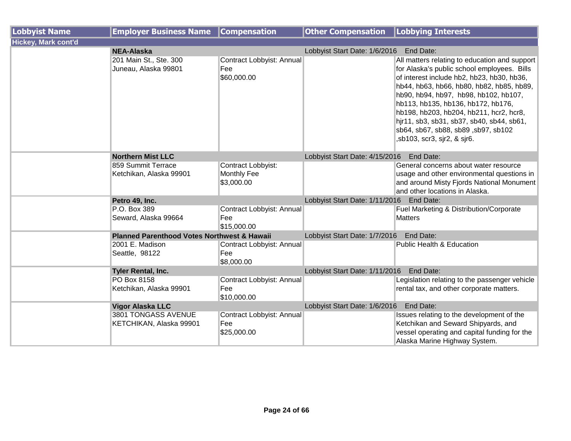| <b>Lobbyist Name</b>       | <b>Employer Business Name</b>                          | <b>Compensation</b>                             | <b>Other Compensation</b>                | Lobbying Interests                                                                                                                                                                                                                                                                                                                                                                                                                   |
|----------------------------|--------------------------------------------------------|-------------------------------------------------|------------------------------------------|--------------------------------------------------------------------------------------------------------------------------------------------------------------------------------------------------------------------------------------------------------------------------------------------------------------------------------------------------------------------------------------------------------------------------------------|
| <b>Hickey, Mark cont'd</b> |                                                        |                                                 |                                          |                                                                                                                                                                                                                                                                                                                                                                                                                                      |
|                            | <b>NEA-Alaska</b>                                      |                                                 | Lobbyist Start Date: 1/6/2016 End Date:  |                                                                                                                                                                                                                                                                                                                                                                                                                                      |
|                            | 201 Main St., Ste. 300<br>Juneau, Alaska 99801         | Contract Lobbyist: Annual<br>Fee<br>\$60,000.00 |                                          | All matters relating to education and support<br>for Alaska's public school employees. Bills<br>of interest include hb2, hb23, hb30, hb36,<br>hb44, hb63, hb66, hb80, hb82, hb85, hb89,<br>hb90, hb94, hb97, hb98, hb102, hb107,<br>hb113, hb135, hb136, hb172, hb176,<br>hb198, hb203, hb204, hb211, hcr2, hcr8,<br>hjr11, sb3, sb31, sb37, sb40, sb44, sb61,<br>sb64, sb67, sb88, sb89, sb97, sb102<br>,sb103, scr3, sjr2, & sjr6. |
|                            | <b>Northern Mist LLC</b>                               |                                                 | Lobbyist Start Date: 4/15/2016           | End Date:                                                                                                                                                                                                                                                                                                                                                                                                                            |
|                            | 859 Summit Terrace<br>Ketchikan, Alaska 99901          | Contract Lobbyist:<br>Monthly Fee<br>\$3,000.00 |                                          | General concerns about water resource<br>usage and other environmental questions in<br>and around Misty Fjords National Monument<br>and other locations in Alaska.                                                                                                                                                                                                                                                                   |
|                            | Petro 49, Inc.                                         |                                                 | Lobbyist Start Date: 1/11/2016 End Date: |                                                                                                                                                                                                                                                                                                                                                                                                                                      |
|                            | P.O. Box 389<br>Seward, Alaska 99664                   | Contract Lobbyist: Annual<br>Fee<br>\$15,000.00 |                                          | Fuel Marketing & Distribution/Corporate<br>Matters                                                                                                                                                                                                                                                                                                                                                                                   |
|                            | <b>Planned Parenthood Votes Northwest &amp; Hawaii</b> |                                                 | Lobbyist Start Date: 1/7/2016            | End Date:                                                                                                                                                                                                                                                                                                                                                                                                                            |
|                            | 2001 E. Madison<br>Seattle, 98122                      | Contract Lobbyist: Annual<br>Fee<br>\$8,000.00  |                                          | <b>Public Health &amp; Education</b>                                                                                                                                                                                                                                                                                                                                                                                                 |
|                            | <b>Tyler Rental, Inc.</b>                              |                                                 | Lobbyist Start Date: 1/11/2016           | End Date:                                                                                                                                                                                                                                                                                                                                                                                                                            |
|                            | PO Box 8158<br>Ketchikan, Alaska 99901                 | Contract Lobbyist: Annual<br>Fee<br>\$10,000.00 |                                          | Legislation relating to the passenger vehicle<br>rental tax, and other corporate matters.                                                                                                                                                                                                                                                                                                                                            |
|                            | <b>Vigor Alaska LLC</b>                                |                                                 | Lobbyist Start Date: 1/6/2016            | End Date:                                                                                                                                                                                                                                                                                                                                                                                                                            |
|                            | 3801 TONGASS AVENUE<br>KETCHIKAN, Alaska 99901         | Contract Lobbyist: Annual<br>Fee<br>\$25,000.00 |                                          | Issues relating to the development of the<br>Ketchikan and Seward Shipyards, and<br>vessel operating and capital funding for the<br>Alaska Marine Highway System.                                                                                                                                                                                                                                                                    |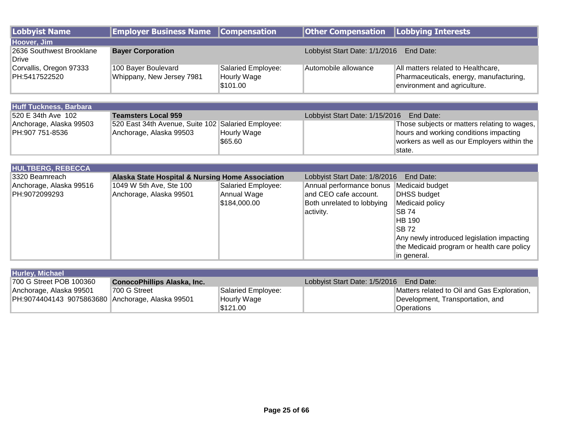| Lobbyist Name                            | <b>Employer Business Name Compensation</b>       |                                               | Other Compensation   Lobbying Interests    |                                                                                                               |  |
|------------------------------------------|--------------------------------------------------|-----------------------------------------------|--------------------------------------------|---------------------------------------------------------------------------------------------------------------|--|
| Hoover, Jim                              |                                                  |                                               |                                            |                                                                                                               |  |
| 2636 Southwest Brooklane<br>Drive        | <b>Bayer Corporation</b>                         |                                               | Lobbyist Start Date: 1/1/2016<br>End Date: |                                                                                                               |  |
| Corvallis, Oregon 97333<br>PH:5417522520 | 100 Bayer Boulevard<br>Whippany, New Jersey 7981 | Salaried Employee:<br>Hourly Wage<br>\$101.00 | Automobile allowance                       | All matters related to Healthcare,<br>Pharmaceuticals, energy, manufacturing,<br>environment and agriculture. |  |

| <b>Huff Tuckness, Barbara</b> |                                                    |             |                                          |                                              |
|-------------------------------|----------------------------------------------------|-------------|------------------------------------------|----------------------------------------------|
| 520 E 34th Ave 102            | <b>Teamsters Local 959</b>                         |             | Lobbyist Start Date: 1/15/2016 End Date: |                                              |
| Anchorage, Alaska 99503       | 520 East 34th Avenue, Suite 102 Salaried Employee: |             |                                          | Those subjects or matters relating to wages, |
| PH:907 751-8536               | Anchorage, Alaska 99503                            | Hourly Wage |                                          | hours and working conditions impacting       |
|                               |                                                    | \$65.60     |                                          | workers as well as our Employers within the  |
|                               |                                                    |             |                                          | state.                                       |

| <b>HULTBERG, REBECCA</b> |                                                  |                    |                            |                                            |  |
|--------------------------|--------------------------------------------------|--------------------|----------------------------|--------------------------------------------|--|
| 3320 Beamreach           | Alaska State Hospital & Nursing Home Association |                    |                            | Lobbyist Start Date: 1/8/2016<br>End Date: |  |
| Anchorage, Alaska 99516  | 1049 W 5th Ave, Ste 100                          | Salaried Employee: | Annual performance bonus   | Medicaid budget                            |  |
| PH:9072099293            | Anchorage, Alaska 99501                          | Annual Wage        | and CEO cafe account.      | <b>DHSS budget</b>                         |  |
|                          |                                                  | \$184,000.00       | Both unrelated to lobbying | Medicaid policy                            |  |
|                          |                                                  |                    | activity.                  | ISB 74                                     |  |
|                          |                                                  |                    |                            | HB 190                                     |  |
|                          |                                                  |                    |                            | <b>SB72</b>                                |  |
|                          |                                                  |                    |                            | Any newly introduced legislation impacting |  |
|                          |                                                  |                    |                            | the Medicaid program or health care policy |  |
|                          |                                                  |                    |                            | in general.                                |  |

| <b>Hurley, Michael</b>                           |                                    |                    |                                         |                                             |
|--------------------------------------------------|------------------------------------|--------------------|-----------------------------------------|---------------------------------------------|
| 700 G Street POB 100360                          | <b>ConocoPhillips Alaska, Inc.</b> |                    | Lobbyist Start Date: 1/5/2016 End Date: |                                             |
| Anchorage, Alaska 99501                          | 1700 G Street                      | Salaried Employee: |                                         | Matters related to Oil and Gas Exploration, |
| PH:9074404143 9075863680 Anchorage, Alaska 99501 |                                    | Hourly Wage        |                                         | Development, Transportation, and            |
|                                                  |                                    | \$121.00           |                                         | <b>Operations</b>                           |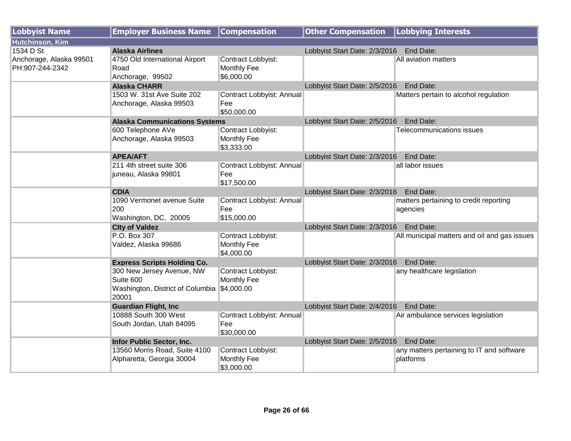| <b>Lobbyist Name</b>    | <b>Employer Business Name</b>               | <b>Compensation</b>              | <b>Other Compensation</b>                  | Lobbying Interests                           |
|-------------------------|---------------------------------------------|----------------------------------|--------------------------------------------|----------------------------------------------|
| <b>Hutchinson, Kim</b>  |                                             |                                  |                                            |                                              |
| 1534 D St               | <b>Alaska Airlines</b>                      |                                  | Lobbyist Start Date: 2/3/2016 End Date:    |                                              |
| Anchorage, Alaska 99501 | 4750 Old International Airport              | Contract Lobbyist:               |                                            | All aviation matters                         |
| PH:907-244-2342         | Road                                        | Monthly Fee                      |                                            |                                              |
|                         | Anchorage, 99502                            | \$6,000.00                       |                                            |                                              |
|                         | <b>Alaska CHARR</b>                         |                                  | Lobbyist Start Date: 2/5/2016              | End Date:                                    |
|                         | 1503 W. 31st Ave Suite 202                  | Contract Lobbyist: Annual        |                                            | Matters pertain to alcohol regulation        |
|                         | Anchorage, Alaska 99503                     | Fee                              |                                            |                                              |
|                         |                                             | \$50,000.00                      |                                            |                                              |
|                         | <b>Alaska Communications Systems</b>        |                                  | Lobbyist Start Date: 2/5/2016              | End Date:                                    |
|                         | 600 Telephone AVe                           | Contract Lobbyist:               |                                            | Telecommunications issues                    |
|                         | Anchorage, Alaska 99503                     | <b>Monthly Fee</b>               |                                            |                                              |
|                         |                                             | \$3,333.00                       |                                            | End Date:                                    |
|                         | <b>APEA/AFT</b><br>211 4th street suite 306 | Contract Lobbyist: Annual        | Lobbyist Start Date: 2/3/2016              | all labor issues                             |
|                         | juneau, Alaska 99801                        | Fee                              |                                            |                                              |
|                         |                                             | \$17,500.00                      |                                            |                                              |
|                         | <b>CDIA</b>                                 |                                  | Lobbyist Start Date: 2/3/2016              | End Date:                                    |
|                         | 1090 Vermonet avenue Suite                  | Contract Lobbyist: Annual        |                                            | matters pertaining to credit reporting       |
|                         | 200                                         | Fee                              |                                            | agencies                                     |
|                         | Washington, DC, 20005                       | \$15,000.00                      |                                            |                                              |
|                         | <b>City of Valdez</b>                       |                                  | Lobbyist Start Date: 2/3/2016              | End Date:                                    |
|                         | P.O. Box 307                                | Contract Lobbyist:               |                                            | All municipal matters and oil and gas issues |
|                         | Valdez, Alaska 99686                        | Monthly Fee                      |                                            |                                              |
|                         |                                             | \$4,000.00                       |                                            |                                              |
|                         | <b>Express Scripts Holding Co.</b>          |                                  | Lobbyist Start Date: 2/3/2016<br>End Date: |                                              |
|                         | 300 New Jersey Avenue, NW                   | Contract Lobbyist:               |                                            | any healthcare legislation                   |
|                         | Suite 600                                   | Monthly Fee                      |                                            |                                              |
|                         | Washington, District of Columbia \$4,000.00 |                                  |                                            |                                              |
|                         | 20001                                       |                                  |                                            |                                              |
|                         | <b>Guardian Flight, Inc.</b>                |                                  | Lobbyist Start Date: 2/4/2016              | End Date:                                    |
|                         | 10888 South 300 West                        | Contract Lobbyist: Annual<br>Fee |                                            | Air ambulance services legislation           |
|                         | South Jordan, Utah 84095                    |                                  |                                            |                                              |
|                         | Infor Public Sector, Inc.                   | \$30,000.00                      | Lobbyist Start Date: 2/5/2016              | End Date:                                    |
|                         | 13560 Morris Road, Suite 4100               | Contract Lobbyist:               |                                            | any matters pertaining to IT and software    |
|                         | Alpharetta, Georgia 30004                   | Monthly Fee                      |                                            | platforms                                    |
|                         |                                             | \$3,000.00                       |                                            |                                              |
|                         |                                             |                                  |                                            |                                              |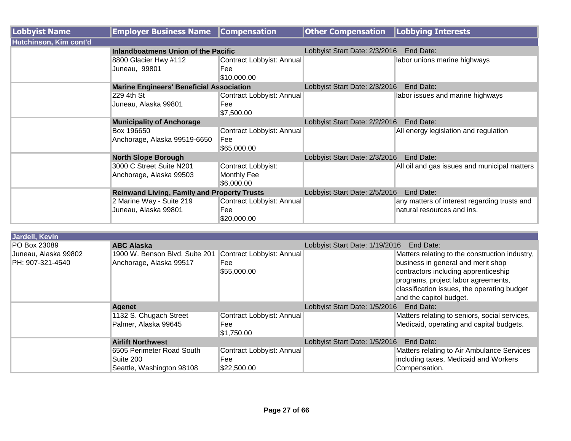| <b>Lobbyist Name</b>   | <b>Employer Business Name</b>                      | <b>Compensation</b>       | <b>Other Compensation</b>                  | <b>Lobbying Interests</b>                    |  |
|------------------------|----------------------------------------------------|---------------------------|--------------------------------------------|----------------------------------------------|--|
| Hutchinson, Kim cont'd |                                                    |                           |                                            |                                              |  |
|                        | Inlandboatmens Union of the Pacific                |                           | Lobbyist Start Date: 2/3/2016              | End Date:                                    |  |
|                        | 8800 Glacier Hwy #112                              | Contract Lobbyist: Annual |                                            | labor unions marine highways                 |  |
|                        | Juneau, 99801                                      | Fee                       |                                            |                                              |  |
|                        |                                                    | \$10,000.00               |                                            |                                              |  |
|                        | <b>Marine Engineers' Beneficial Association</b>    |                           | Lobbyist Start Date: 2/3/2016              | End Date:                                    |  |
|                        | 229 4th St                                         | Contract Lobbyist: Annual |                                            | labor issues and marine highways             |  |
|                        | Juneau, Alaska 99801                               | Fee                       |                                            |                                              |  |
|                        |                                                    | \$7,500.00                |                                            |                                              |  |
|                        | <b>Municipality of Anchorage</b>                   |                           | Lobbyist Start Date: 2/2/2016<br>End Date: |                                              |  |
|                        | Box 196650                                         | Contract Lobbyist: Annual |                                            | All energy legislation and regulation        |  |
|                        | Anchorage, Alaska 99519-6650                       | Fee                       |                                            |                                              |  |
|                        |                                                    | \$65,000.00               |                                            |                                              |  |
|                        | <b>North Slope Borough</b>                         |                           | Lobbyist Start Date: 2/3/2016<br>End Date: |                                              |  |
|                        | 3000 C Street Suite N201                           | Contract Lobbyist:        |                                            | All oil and gas issues and municipal matters |  |
|                        | Anchorage, Alaska 99503                            | <b>Monthly Fee</b>        |                                            |                                              |  |
|                        |                                                    | \$6,000.00                |                                            |                                              |  |
|                        | <b>Reinwand Living, Family and Property Trusts</b> |                           | Lobbyist Start Date: 2/5/2016              | End Date:                                    |  |
|                        | 2 Marine Way - Suite 219                           | Contract Lobbyist: Annual |                                            | any matters of interest regarding trusts and |  |
|                        | Juneau, Alaska 99801                               | Fee                       |                                            | natural resources and ins.                   |  |
|                        |                                                    | \$20,000.00               |                                            |                                              |  |

| Jardell, Kevin                           |                                                           |                                                 |                                             |                                                                                                                                                                                                                                               |
|------------------------------------------|-----------------------------------------------------------|-------------------------------------------------|---------------------------------------------|-----------------------------------------------------------------------------------------------------------------------------------------------------------------------------------------------------------------------------------------------|
| <b>PO Box 23089</b>                      | <b>ABC Alaska</b>                                         |                                                 | Lobbyist Start Date: 1/19/2016<br>End Date: |                                                                                                                                                                                                                                               |
| Juneau, Alaska 99802<br>PH: 907-321-4540 | 1900 W. Benson Blvd. Suite 201<br>Anchorage, Alaska 99517 | Contract Lobbyist: Annual<br>Fee<br>\$55,000.00 |                                             | Matters relating to the construction industry,<br>business in general and merit shop<br>contractors including apprenticeship<br>programs, project labor agreements,<br>classification issues, the operating budget<br>and the capitol budget. |
|                                          | <b>Agenet</b>                                             |                                                 | End Date:<br>Lobbyist Start Date: 1/5/2016  |                                                                                                                                                                                                                                               |
|                                          | 1132 S. Chugach Street                                    | Contract Lobbyist: Annual                       |                                             | Matters relating to seniors, social services,                                                                                                                                                                                                 |
|                                          | Palmer, Alaska 99645                                      | Fee                                             |                                             | Medicaid, operating and capital budgets.                                                                                                                                                                                                      |
|                                          |                                                           | \$1,750.00                                      |                                             |                                                                                                                                                                                                                                               |
|                                          | <b>Airlift Northwest</b>                                  |                                                 | Lobbyist Start Date: 1/5/2016               | End Date:                                                                                                                                                                                                                                     |
|                                          | 6505 Perimeter Road South                                 | Contract Lobbyist: Annual                       |                                             | Matters relating to Air Ambulance Services                                                                                                                                                                                                    |
|                                          | Suite 200                                                 | Fee                                             |                                             | including taxes, Medicaid and Workers                                                                                                                                                                                                         |
|                                          | Seattle, Washington 98108                                 | \$22,500.00                                     |                                             | Compensation.                                                                                                                                                                                                                                 |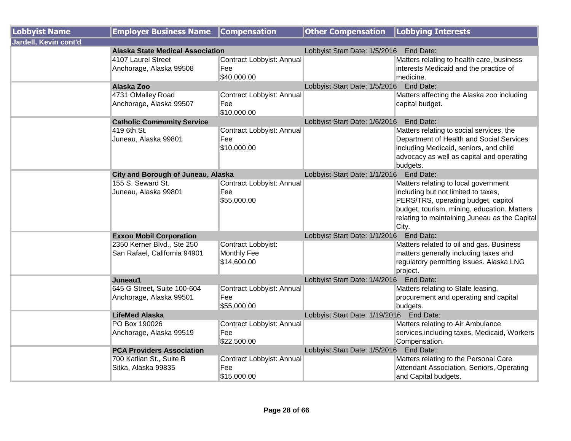| <b>Lobbyist Name</b>  | <b>Employer Business Name</b>                              | <b>Compensation</b>                                     | <b>Other Compensation</b>                | <b>Lobbying Interests</b>                                                                                                                                                                                                   |
|-----------------------|------------------------------------------------------------|---------------------------------------------------------|------------------------------------------|-----------------------------------------------------------------------------------------------------------------------------------------------------------------------------------------------------------------------------|
| Jardell, Kevin cont'd |                                                            |                                                         |                                          |                                                                                                                                                                                                                             |
|                       | <b>Alaska State Medical Association</b>                    |                                                         | Lobbyist Start Date: 1/5/2016 End Date:  |                                                                                                                                                                                                                             |
|                       | 4107 Laurel Street<br>Anchorage, Alaska 99508              | Contract Lobbyist: Annual<br>Fee                        |                                          | Matters relating to health care, business<br>interests Medicaid and the practice of                                                                                                                                         |
|                       |                                                            | \$40,000.00                                             |                                          | medicine.                                                                                                                                                                                                                   |
|                       | Alaska Zoo                                                 |                                                         | Lobbyist Start Date: 1/5/2016 End Date:  |                                                                                                                                                                                                                             |
|                       | 4731 OMalley Road                                          | Contract Lobbyist: Annual                               |                                          | Matters affecting the Alaska zoo including                                                                                                                                                                                  |
|                       | Anchorage, Alaska 99507                                    | Fee<br>\$10,000.00                                      |                                          | capital budget.                                                                                                                                                                                                             |
|                       | <b>Catholic Community Service</b>                          |                                                         | Lobbyist Start Date: 1/6/2016            | End Date:                                                                                                                                                                                                                   |
|                       | 419 6th St.<br>Juneau, Alaska 99801                        | Contract Lobbyist: Annual<br>Fee<br>\$10,000.00         |                                          | Matters relating to social services, the<br>Department of Health and Social Services<br>including Medicaid, seniors, and child<br>advocacy as well as capital and operating<br>budgets.                                     |
|                       | City and Borough of Juneau, Alaska                         |                                                         | Lobbyist Start Date: 1/1/2016 End Date:  |                                                                                                                                                                                                                             |
|                       | 155 S. Seward St.<br>Juneau, Alaska 99801                  | Contract Lobbyist: Annual<br>Fee<br>\$55,000.00         |                                          | Matters relating to local government<br>including but not limited to taxes,<br>PERS/TRS, operating budget, capitol<br>budget, tourism, mining, education. Matters<br>relating to maintaining Juneau as the Capital<br>City. |
|                       | <b>Exxon Mobil Corporation</b>                             |                                                         | Lobbyist Start Date: 1/1/2016            | End Date:                                                                                                                                                                                                                   |
|                       | 2350 Kerner Blvd., Ste 250<br>San Rafael, California 94901 | Contract Lobbyist:<br><b>Monthly Fee</b><br>\$14,600.00 |                                          | Matters related to oil and gas. Business<br>matters generally including taxes and<br>regulatory permitting issues. Alaska LNG<br>project.                                                                                   |
|                       | Juneau1                                                    |                                                         | Lobbyist Start Date: 1/4/2016 End Date:  |                                                                                                                                                                                                                             |
|                       | 645 G Street, Suite 100-604<br>Anchorage, Alaska 99501     | Contract Lobbyist: Annual<br>Fee<br>\$55,000.00         |                                          | Matters relating to State leasing,<br>procurement and operating and capital<br>budgets.                                                                                                                                     |
|                       | <b>LifeMed Alaska</b>                                      |                                                         | Lobbyist Start Date: 1/19/2016 End Date: |                                                                                                                                                                                                                             |
|                       | PO Box 190026                                              | Contract Lobbyist: Annual                               |                                          | Matters relating to Air Ambulance                                                                                                                                                                                           |
|                       | Anchorage, Alaska 99519                                    | Fee<br>\$22,500.00                                      |                                          | services, including taxes, Medicaid, Workers<br>Compensation.                                                                                                                                                               |
|                       | <b>PCA Providers Association</b>                           |                                                         | Lobbyist Start Date: 1/5/2016 End Date:  |                                                                                                                                                                                                                             |
|                       | 700 Katlian St., Suite B<br>Sitka, Alaska 99835            | Contract Lobbyist: Annual<br>Fee<br>\$15,000.00         |                                          | Matters relating to the Personal Care<br>Attendant Association, Seniors, Operating<br>and Capital budgets.                                                                                                                  |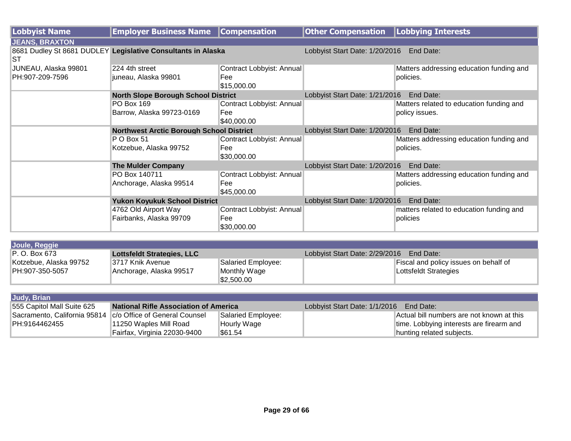| <b>Lobbyist Name</b>  | <b>Employer Business Name</b>                                | <b>Compensation</b>       | <b>Other Compensation</b>                   | <b>Lobbying Interests</b>                |
|-----------------------|--------------------------------------------------------------|---------------------------|---------------------------------------------|------------------------------------------|
| <b>JEANS, BRAXTON</b> |                                                              |                           |                                             |                                          |
| <b>ST</b>             | 8681 Dudley St 8681 DUDLEY Legislative Consultants in Alaska |                           | Lobbyist Start Date: 1/20/2016              | End Date:                                |
| JUNEAU, Alaska 99801  | 224 4th street                                               | Contract Lobbyist: Annual |                                             | Matters addressing education funding and |
| PH:907-209-7596       | juneau, Alaska 99801                                         | Fee<br>\$15,000.00        |                                             | policies.                                |
|                       | <b>North Slope Borough School District</b>                   |                           | Lobbyist Start Date: 1/21/2016              | End Date:                                |
|                       | PO Box 169                                                   | Contract Lobbyist: Annual |                                             | Matters related to education funding and |
|                       | Barrow, Alaska 99723-0169                                    | Fee                       |                                             | policy issues.                           |
|                       |                                                              | \$40,000.00               |                                             |                                          |
|                       | <b>Northwest Arctic Borough School District</b>              |                           | Lobbyist Start Date: 1/20/2016              | End Date:                                |
|                       | PO Box 51                                                    | Contract Lobbyist: Annual |                                             | Matters addressing education funding and |
|                       | Kotzebue, Alaska 99752                                       | Fee                       |                                             | policies.                                |
|                       |                                                              | \$30,000.00               |                                             |                                          |
|                       | <b>The Mulder Company</b>                                    |                           | End Date:<br>Lobbyist Start Date: 1/20/2016 |                                          |
|                       | PO Box 140711                                                | Contract Lobbyist: Annual |                                             | Matters addressing education funding and |
|                       | Anchorage, Alaska 99514                                      | Fee                       |                                             | policies.                                |
|                       |                                                              | \$45,000.00               |                                             |                                          |
|                       | <b>Yukon Koyukuk School District</b>                         |                           | Lobbyist Start Date: 1/20/2016              | End Date:                                |
|                       | 4762 Old Airport Way                                         | Contract Lobbyist: Annual |                                             | matters related to education funding and |
|                       | Fairbanks, Alaska 99709                                      | Fee                       |                                             | policies                                 |
|                       |                                                              | \$30,000.00               |                                             |                                          |

| Joule, Reggie          |                                   |                    |                                |                                       |  |
|------------------------|-----------------------------------|--------------------|--------------------------------|---------------------------------------|--|
| IP. O. Box 673         | <b>Lottsfeldt Strategies, LLC</b> |                    | Lobbyist Start Date: 2/29/2016 | End Date:                             |  |
| Kotzebue, Alaska 99752 | I3717 Knik Avenue                 | Salaried Employee: |                                | Fiscal and policy issues on behalf of |  |
| PH:907-350-5057        | Anchorage, Alaska 99517           | Monthly Wage       |                                | Lottsfeldt Strategies                 |  |
|                        |                                   | \$2,500.00         |                                |                                       |  |

| Judy, Brian                  |                                              |                    |                               |                                           |  |
|------------------------------|----------------------------------------------|--------------------|-------------------------------|-------------------------------------------|--|
| 555 Capitol Mall Suite 625   | <b>National Rifle Association of America</b> |                    | Lobbyist Start Date: 1/1/2016 | End Date:                                 |  |
| Sacramento, California 95814 | c/o Office of General Counsel                | Salaried Employee: |                               | Actual bill numbers are not known at this |  |
| PH:9164462455                | 11250 Waples Mill Road                       | Hourly Wage        |                               | time. Lobbying interests are firearm and  |  |
|                              | Fairfax, Virginia 22030-9400                 | \$61.54            |                               | hunting related subjects.                 |  |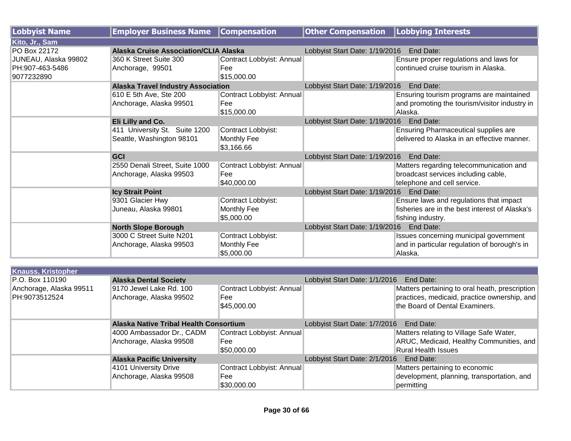| <b>Lobbyist Name</b> | <b>Employer Business Name</b>             | <b>Compensation</b>       | <b>Other Compensation</b>                | <b>Lobbying Interests</b>                      |
|----------------------|-------------------------------------------|---------------------------|------------------------------------------|------------------------------------------------|
| Kito, Jr., Sam       |                                           |                           |                                          |                                                |
| PO Box 22172         | Alaska Cruise Association/CLIA Alaska     |                           | Lobbyist Start Date: 1/19/2016 End Date: |                                                |
| JUNEAU, Alaska 99802 | 360 K Street Suite 300                    | Contract Lobbyist: Annual |                                          | Ensure proper regulations and laws for         |
| PH:907-463-5486      | Anchorage, 99501                          | Fee                       |                                          | continued cruise tourism in Alaska.            |
| 9077232890           |                                           | \$15,000.00               |                                          |                                                |
|                      | <b>Alaska Travel Industry Association</b> |                           | Lobbyist Start Date: 1/19/2016 End Date: |                                                |
|                      | 610 E 5th Ave, Ste 200                    | Contract Lobbyist: Annual |                                          | Ensuring tourism programs are maintained       |
|                      | Anchorage, Alaska 99501                   | Fee                       |                                          | and promoting the tourism/visitor industry in  |
|                      |                                           | \$15,000.00               |                                          | Alaska.                                        |
|                      | Eli Lilly and Co.                         |                           | Lobbyist Start Date: 1/19/2016           | End Date:                                      |
|                      | 411 University St. Suite 1200             | Contract Lobbyist:        |                                          | <b>Ensuring Pharmaceutical supplies are</b>    |
|                      | Seattle, Washington 98101                 | Monthly Fee               |                                          | delivered to Alaska in an effective manner.    |
|                      |                                           | \$3,166.66                |                                          |                                                |
|                      | <b>GCI</b>                                |                           | Lobbyist Start Date: 1/19/2016           | End Date:                                      |
|                      | 2550 Denali Street, Suite 1000            | Contract Lobbyist: Annual |                                          | Matters regarding telecommunication and        |
|                      | Anchorage, Alaska 99503                   | Fee                       |                                          | broadcast services including cable,            |
|                      |                                           | \$40,000.00               |                                          | telephone and cell service.                    |
|                      | <b>Icy Strait Point</b>                   |                           | Lobbyist Start Date: 1/19/2016 End Date: |                                                |
|                      | 9301 Glacier Hwy                          | Contract Lobbyist:        |                                          | Ensure laws and regulations that impact        |
|                      | Juneau, Alaska 99801                      | Monthly Fee               |                                          | fisheries are in the best interest of Alaska's |
|                      |                                           | \$5,000.00                |                                          | fishing industry.                              |
|                      | <b>North Slope Borough</b>                |                           | Lobbyist Start Date: 1/19/2016 End Date: |                                                |
|                      | 3000 C Street Suite N201                  | Contract Lobbyist:        |                                          | Issues concerning municipal government         |
|                      | Anchorage, Alaska 99503                   | Monthly Fee               |                                          | and in particular regulation of borough's in   |
|                      |                                           | \$5,000.00                |                                          | Alaska.                                        |

| <b>Knauss, Kristopher</b> |                                               |                           |                                            |                                                |  |
|---------------------------|-----------------------------------------------|---------------------------|--------------------------------------------|------------------------------------------------|--|
| P.O. Box 110190           | <b>Alaska Dental Society</b>                  |                           |                                            | Lobbyist Start Date: 1/1/2016<br>End Date:     |  |
| Anchorage, Alaska 99511   | 9170 Jewel Lake Rd. 100                       | Contract Lobbyist: Annual |                                            | Matters pertaining to oral heath, prescription |  |
| PH:9073512524             | Anchorage, Alaska 99502                       | Fee                       |                                            | practices, medicaid, practice ownership, and   |  |
|                           |                                               | \$45,000.00               |                                            | the Board of Dental Examiners.                 |  |
|                           | <b>Alaska Native Tribal Health Consortium</b> |                           | Lobbyist Start Date: 1/7/2016<br>End Date: |                                                |  |
|                           | 4000 Ambassador Dr., CADM                     | Contract Lobbyist: Annual |                                            | Matters relating to Village Safe Water,        |  |
|                           | Anchorage, Alaska 99508                       | <b>Fee</b>                |                                            | ARUC, Medicaid, Healthy Communities, and       |  |
|                           |                                               | \$50,000.00               |                                            | <b>Rural Health Issues</b>                     |  |
|                           | <b>Alaska Pacific University</b>              |                           | Lobbyist Start Date: 2/1/2016<br>End Date: |                                                |  |
|                           | 4101 University Drive                         | Contract Lobbyist: Annual |                                            | Matters pertaining to economic                 |  |
|                           | Anchorage, Alaska 99508                       | Fee                       |                                            | development, planning, transportation, and     |  |
|                           |                                               | \$30,000.00               |                                            | permitting                                     |  |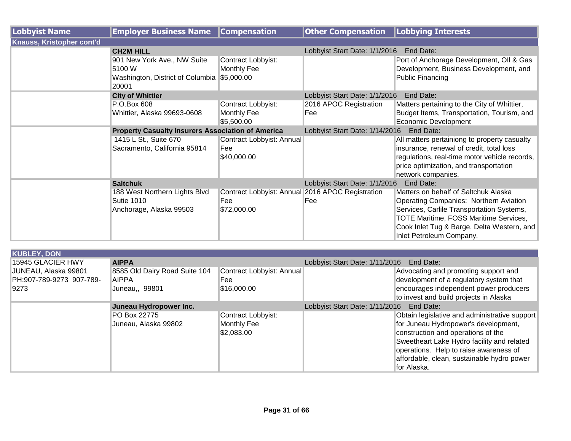| <b>Lobbyist Name</b>             | <b>Employer Business Name</b>                            | <b>Compensation</b>                              | <b>Other Compensation</b>                   | <b>Lobbying Interests</b>                                                                                         |  |
|----------------------------------|----------------------------------------------------------|--------------------------------------------------|---------------------------------------------|-------------------------------------------------------------------------------------------------------------------|--|
| <b>Knauss, Kristopher cont'd</b> |                                                          |                                                  |                                             |                                                                                                                   |  |
|                                  | <b>CH2M HILL</b>                                         |                                                  | Lobbyist Start Date: 1/1/2016               | End Date:                                                                                                         |  |
|                                  | 901 New York Ave., NW Suite<br>5100 W                    | Contract Lobbyist:<br>Monthly Fee                |                                             | Port of Anchorage Development, OII & Gas<br>Development, Business Development, and                                |  |
|                                  | Washington, District of Columbia<br>20001                | \$5,000.00                                       |                                             | <b>Public Financing</b>                                                                                           |  |
|                                  | <b>City of Whittier</b>                                  |                                                  | Lobbyist Start Date: 1/1/2016               | End Date:                                                                                                         |  |
|                                  | P.O.Box 608<br>Whittier, Alaska 99693-0608               | Contract Lobbyist:<br>Monthly Fee<br>\$5,500.00  | 2016 APOC Registration<br>Fee               | Matters pertaining to the City of Whittier,<br>Budget Items, Transportation, Tourism, and<br>Economic Development |  |
|                                  | <b>Property Casualty Insurers Association of America</b> |                                                  | Lobbyist Start Date: 1/14/2016<br>End Date: |                                                                                                                   |  |
|                                  | 1415 L St., Suite 670                                    | Contract Lobbyist: Annual                        |                                             | All matters pertainiong to property casualty                                                                      |  |
|                                  | Sacramento, California 95814                             | Fee                                              |                                             | insurance, renewal of credit, total loss                                                                          |  |
|                                  |                                                          | \$40,000.00                                      |                                             | regulations, real-time motor vehicle records,                                                                     |  |
|                                  |                                                          |                                                  |                                             | price optimization, and transportation                                                                            |  |
|                                  |                                                          |                                                  |                                             | network companies.                                                                                                |  |
|                                  | <b>Saltchuk</b>                                          |                                                  | Lobbyist Start Date: 1/1/2016               | End Date:                                                                                                         |  |
|                                  | 188 West Northern Lights Blvd                            | Contract Lobbyist: Annual 2016 APOC Registration |                                             | Matters on behalf of Saltchuk Alaska                                                                              |  |
|                                  | <b>Sutie 1010</b>                                        | Fee                                              | Fee                                         | <b>Operating Companies: Northern Aviation</b>                                                                     |  |
|                                  | Anchorage, Alaska 99503                                  | \$72,000.00                                      |                                             | Services, Carlile Transportation Systems,                                                                         |  |
|                                  |                                                          |                                                  |                                             | <b>TOTE Maritime, FOSS Maritime Services,</b>                                                                     |  |
|                                  |                                                          |                                                  |                                             | Cook Inlet Tug & Barge, Delta Western, and<br>Inlet Petroleum Company.                                            |  |

| <b>KUBLEY, DON</b>       |                               |                           |                                             |                                               |
|--------------------------|-------------------------------|---------------------------|---------------------------------------------|-----------------------------------------------|
| 15945 GLACIER HWY        | <b>AIPPA</b>                  |                           | Lobbyist Start Date: 1/11/2016<br>End Date: |                                               |
| JUNEAU, Alaska 99801     | 8585 Old Dairy Road Suite 104 | Contract Lobbyist: Annual |                                             | Advocating and promoting support and          |
| PH:907-789-9273 907-789- | <b>AIPPA</b>                  | Fee                       |                                             | development of a regulatory system that       |
| 9273                     | Juneau,, 99801                | \$16,000.00               |                                             | encourages independent power producers        |
|                          |                               |                           |                                             | to invest and build projects in Alaska        |
|                          | Juneau Hydropower Inc.        |                           | End Date:<br>Lobbyist Start Date: 1/11/2016 |                                               |
|                          | PO Box 22775                  | Contract Lobbyist:        |                                             | Obtain legislative and administrative support |
|                          | Juneau, Alaska 99802          | <b>Monthly Fee</b>        |                                             | for Juneau Hydropower's development,          |
|                          |                               | \$2,083.00                |                                             | construction and operations of the            |
|                          |                               |                           |                                             | Sweetheart Lake Hydro facility and related    |
|                          |                               |                           |                                             | operations. Help to raise awareness of        |
|                          |                               |                           |                                             | affordable, clean, sustainable hydro power    |
|                          |                               |                           |                                             | for Alaska.                                   |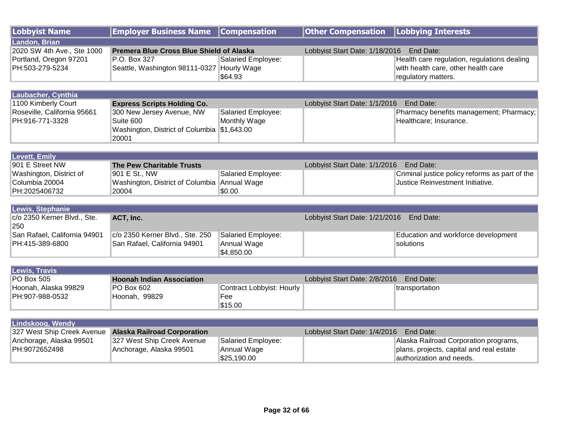| <b>Lobbyist Name</b>         | <b>Employer Business Name</b>                | <b>Compensation</b>              | <b>Other Compensation</b>      | <b>Lobbying Interests</b>                      |
|------------------------------|----------------------------------------------|----------------------------------|--------------------------------|------------------------------------------------|
| Landon, Brian                |                                              |                                  |                                |                                                |
| 2020 SW 4th Ave., Ste 1000   | Premera Blue Cross Blue Shield of Alaska     |                                  | Lobbyist Start Date: 1/18/2016 | End Date:                                      |
| Portland, Oregon 97201       | P.O. Box 327                                 | <b>Salaried Employee:</b>        |                                | Health care regulation, regulations dealing    |
| PH:503-279-5234              | Seattle, Washington 98111-0327 Hourly Wage   |                                  |                                | with health care, other health care            |
|                              |                                              | \$64.93                          |                                | regulatory matters.                            |
|                              |                                              |                                  |                                |                                                |
| Laubacher, Cynthia           |                                              |                                  |                                |                                                |
| 1100 Kimberly Court          | <b>Express Scripts Holding Co.</b>           |                                  | Lobbyist Start Date: 1/1/2016  | End Date:                                      |
| Roseville, California 95661  | 300 New Jersey Avenue, NW                    | Salaried Employee:               |                                | Pharmacy benefits management; Pharmacy;        |
| PH:916-771-3328              | Suite 600                                    | Monthly Wage                     |                                | Healthcare; Insurance.                         |
|                              | Washington, District of Columbia \$1,643.00  |                                  |                                |                                                |
|                              | 20001                                        |                                  |                                |                                                |
|                              |                                              |                                  |                                |                                                |
| <b>Levett, Emily</b>         |                                              |                                  |                                |                                                |
| 901 E Street NW              | <b>The Pew Charitable Trusts</b>             |                                  | Lobbyist Start Date: 1/1/2016  | End Date:                                      |
| Washington, District of      | 901 E St., NW                                | <b>Salaried Employee:</b>        |                                | Criminal justice policy reforms as part of the |
| Columbia 20004               | Washington, District of Columbia Annual Wage |                                  |                                | Justice Reinvestment Initiative.               |
| PH:2025406732                | 20004                                        | \$0.00                           |                                |                                                |
|                              |                                              |                                  |                                |                                                |
| Lewis, Stephanie             |                                              |                                  |                                |                                                |
| c/o 2350 Kerner Blvd., Ste.  | ACT, Inc.                                    |                                  | Lobbyist Start Date: 1/21/2016 | End Date:                                      |
| 250                          |                                              |                                  |                                |                                                |
| San Rafael, California 94901 | c/o 2350 Kerner Blvd., Ste. 250              | Salaried Employee:               |                                | Education and workforce development            |
| PH:415-389-6800              | San Rafael, California 94901                 | Annual Wage                      |                                | solutions                                      |
|                              |                                              | \$4,850.00                       |                                |                                                |
|                              |                                              |                                  |                                |                                                |
| <b>Lewis, Travis</b>         |                                              |                                  |                                |                                                |
| <b>PO Box 505</b>            | <b>Hoonah Indian Association</b>             |                                  | Lobbyist Start Date: 2/8/2016  | End Date:                                      |
| Hoonah, Alaska 99829         | PO Box 602                                   | <b>Contract Lobbyist: Hourly</b> |                                | transportation                                 |
| PH:907-988-0532              | Hoonah, 99829                                | Fee                              |                                |                                                |
|                              |                                              | \$15.00                          |                                |                                                |
|                              |                                              |                                  |                                |                                                |
| Lindskoog, Wendy             |                                              |                                  |                                |                                                |
| 327 West Ship Creek Avenue   | <b>Alaska Railroad Corporation</b>           |                                  | Lobbyist Start Date: 1/4/2016  | End Date:                                      |
| Anchorage, Alaska 99501      | 327 West Ship Creek Avenue                   | Salaried Employee:               |                                | Alaska Railroad Corporation programs,          |
| PH:9072652498                | Anchorage, Alaska 99501                      | Annual Wage                      |                                | plans, projects, capital and real estate       |
|                              |                                              | \$25,190.00                      |                                | authorization and needs.                       |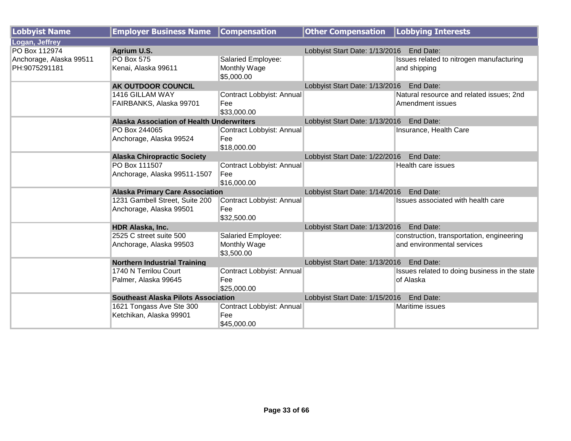| <b>Lobbyist Name</b>    | <b>Employer Business Name Compensation</b>       |                           | <b>Other Compensation   Lobbying Interests</b> |                                               |
|-------------------------|--------------------------------------------------|---------------------------|------------------------------------------------|-----------------------------------------------|
| Logan, Jeffrey          |                                                  |                           |                                                |                                               |
| PO Box 112974           | Agrium U.S.                                      |                           | Lobbyist Start Date: 1/13/2016                 | End Date:                                     |
| Anchorage, Alaska 99511 | <b>PO Box 575</b>                                | Salaried Employee:        |                                                | Issues related to nitrogen manufacturing      |
| PH:9075291181           | Kenai, Alaska 99611                              | Monthly Wage              |                                                | and shipping                                  |
|                         |                                                  | \$5,000.00                |                                                |                                               |
|                         | AK OUTDOOR COUNCIL                               |                           | Lobbyist Start Date: 1/13/2016 End Date:       |                                               |
|                         | 1416 GILLAM WAY                                  | Contract Lobbyist: Annual |                                                | Natural resource and related issues; 2nd      |
|                         | FAIRBANKS, Alaska 99701                          | Fee                       |                                                | Amendment issues                              |
|                         |                                                  | \$33,000.00               |                                                |                                               |
|                         | <b>Alaska Association of Health Underwriters</b> |                           | Lobbyist Start Date: 1/13/2016                 | End Date:                                     |
|                         | PO Box 244065                                    | Contract Lobbyist: Annual |                                                | Insurance, Health Care                        |
|                         | Anchorage, Alaska 99524                          | Fee                       |                                                |                                               |
|                         |                                                  | \$18,000.00               |                                                |                                               |
|                         | <b>Alaska Chiropractic Society</b>               |                           | Lobbyist Start Date: 1/22/2016                 | End Date:                                     |
|                         | PO Box 111507                                    | Contract Lobbyist: Annual |                                                | Health care issues                            |
|                         | Anchorage, Alaska 99511-1507                     | Fee                       |                                                |                                               |
|                         |                                                  | \$16,000.00               |                                                |                                               |
|                         | <b>Alaska Primary Care Association</b>           |                           | Lobbyist Start Date: 1/14/2016                 | End Date:                                     |
|                         | 1231 Gambell Street, Suite 200                   | Contract Lobbyist: Annual |                                                | Issues associated with health care            |
|                         | Anchorage, Alaska 99501                          | Fee                       |                                                |                                               |
|                         |                                                  | \$32,500.00               |                                                |                                               |
|                         | HDR Alaska, Inc.                                 |                           | Lobbyist Start Date: 1/13/2016 End Date:       |                                               |
|                         | 2525 C street suite 500                          | Salaried Employee:        |                                                | construction, transportation, engineering     |
|                         | Anchorage, Alaska 99503                          | Monthly Wage              |                                                | and environmental services                    |
|                         |                                                  | \$3,500.00                |                                                |                                               |
|                         | <b>Northern Industrial Training</b>              |                           | Lobbyist Start Date: 1/13/2016 End Date:       |                                               |
|                         | 1740 N Terrilou Court                            | Contract Lobbyist: Annual |                                                | Issues related to doing business in the state |
|                         | Palmer, Alaska 99645                             | Fee                       |                                                | of Alaska                                     |
|                         |                                                  | \$25,000.00               |                                                |                                               |
|                         | <b>Southeast Alaska Pilots Association</b>       |                           | Lobbyist Start Date: 1/15/2016                 | End Date:                                     |
|                         | 1621 Tongass Ave Ste 300                         | Contract Lobbyist: Annual |                                                | Maritime issues                               |
|                         | Ketchikan, Alaska 99901                          | Fee                       |                                                |                                               |
|                         |                                                  | \$45,000.00               |                                                |                                               |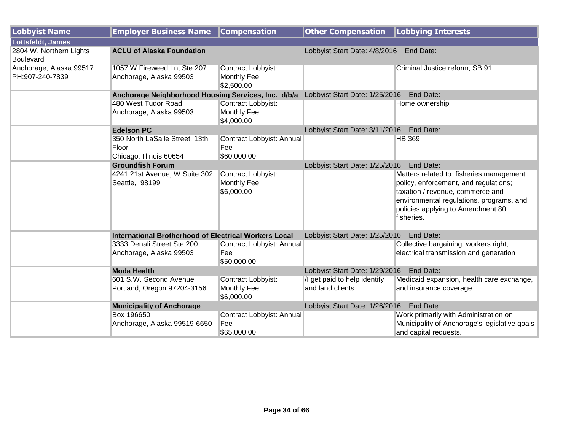| <b>Lobbyist Name</b>                        | <b>Employer Business Name</b>                                      | <b>Compensation</b>                                    | <b>Other Compensation   Lobbying Interests</b>   |                                                                                                                                                                                                                       |  |
|---------------------------------------------|--------------------------------------------------------------------|--------------------------------------------------------|--------------------------------------------------|-----------------------------------------------------------------------------------------------------------------------------------------------------------------------------------------------------------------------|--|
| Lottsfeldt, James                           |                                                                    |                                                        |                                                  |                                                                                                                                                                                                                       |  |
| 2804 W. Northern Lights<br><b>Boulevard</b> | <b>ACLU of Alaska Foundation</b>                                   |                                                        | Lobbyist Start Date: 4/8/2016 End Date:          |                                                                                                                                                                                                                       |  |
| Anchorage, Alaska 99517<br>PH:907-240-7839  | 1057 W Fireweed Ln, Ste 207<br>Anchorage, Alaska 99503             | Contract Lobbyist:<br><b>Monthly Fee</b><br>\$2,500.00 |                                                  | Criminal Justice reform, SB 91                                                                                                                                                                                        |  |
|                                             | Anchorage Neighborhood Housing Services, Inc. d/b/a                |                                                        | Lobbyist Start Date: 1/25/2016                   | End Date:                                                                                                                                                                                                             |  |
|                                             | 480 West Tudor Road<br>Anchorage, Alaska 99503                     | Contract Lobbyist:<br>Monthly Fee<br>\$4,000.00        |                                                  | Home ownership                                                                                                                                                                                                        |  |
|                                             | <b>Edelson PC</b>                                                  |                                                        | Lobbyist Start Date: 3/11/2016                   | End Date:                                                                                                                                                                                                             |  |
|                                             | 350 North LaSalle Street, 13th<br>Floor<br>Chicago, Illinois 60654 | Contract Lobbyist: Annual<br>Fee<br>\$60,000.00        |                                                  | <b>HB 369</b>                                                                                                                                                                                                         |  |
|                                             | <b>Groundfish Forum</b>                                            |                                                        | Lobbyist Start Date: 1/25/2016<br>End Date:      |                                                                                                                                                                                                                       |  |
|                                             | 4241 21st Avenue, W Suite 302<br>Seattle, 98199                    | Contract Lobbyist:<br>Monthly Fee<br>\$6,000.00        |                                                  | Matters related to: fisheries management,<br>policy, enforcement, and regulations;<br>taxation / revenue, commerce and<br>environmental regulations, programs, and<br>policies applying to Amendment 80<br>fisheries. |  |
|                                             | <b>International Brotherhood of Electrical Workers Local</b>       |                                                        | Lobbyist Start Date: 1/25/2016                   | End Date:                                                                                                                                                                                                             |  |
|                                             | 3333 Denali Street Ste 200<br>Anchorage, Alaska 99503              | Contract Lobbyist: Annual<br>Fee<br>\$50,000.00        |                                                  | Collective bargaining, workers right,<br>electrical transmission and generation                                                                                                                                       |  |
|                                             | <b>Moda Health</b>                                                 |                                                        | Lobbyist Start Date: 1/29/2016                   | End Date:                                                                                                                                                                                                             |  |
|                                             | 601 S.W. Second Avenue<br>Portland, Oregon 97204-3156              | Contract Lobbyist:<br>Monthly Fee<br>\$6,000.00        | /I get paid to help identify<br>and land clients | Medicaid expansion, health care exchange,<br>and insurance coverage                                                                                                                                                   |  |
|                                             | <b>Municipality of Anchorage</b>                                   |                                                        | Lobbyist Start Date: 1/26/2016                   | End Date:                                                                                                                                                                                                             |  |
|                                             | Box 196650<br>Anchorage, Alaska 99519-6650                         | Contract Lobbyist: Annual<br>Fee<br>\$65,000.00        |                                                  | Work primarily with Administration on<br>Municipality of Anchorage's legislative goals<br>and capital requests.                                                                                                       |  |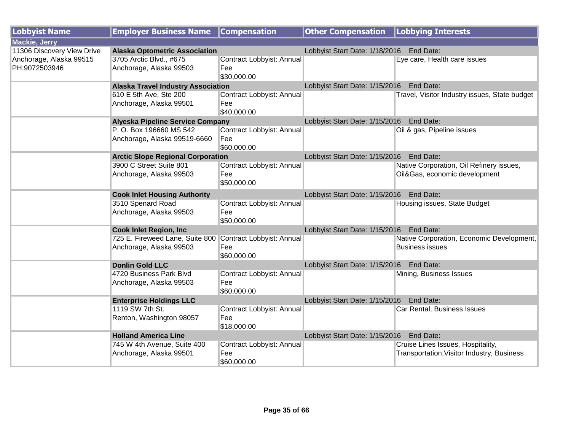| Lobbyist Name              | <b>Employer Business Name</b>                             | <b>Compensation</b>              | Other Compensation   Lobbying Interests     |                                               |
|----------------------------|-----------------------------------------------------------|----------------------------------|---------------------------------------------|-----------------------------------------------|
| <b>Mackie, Jerry</b>       |                                                           |                                  |                                             |                                               |
| 11306 Discovery View Drive | <b>Alaska Optometric Association</b>                      |                                  | Lobbyist Start Date: 1/18/2016<br>End Date: |                                               |
| Anchorage, Alaska 99515    | 3705 Arctic Blvd., #675                                   | Contract Lobbyist: Annual        |                                             | Eye care, Health care issues                  |
| PH:9072503946              | Anchorage, Alaska 99503                                   | Fee                              |                                             |                                               |
|                            |                                                           | \$30,000.00                      |                                             |                                               |
|                            | <b>Alaska Travel Industry Association</b>                 |                                  | Lobbyist Start Date: 1/15/2016 End Date:    |                                               |
|                            | 610 E 5th Ave, Ste 200                                    | Contract Lobbyist: Annual        |                                             | Travel, Visitor Industry issues, State budget |
|                            | Anchorage, Alaska 99501                                   | Fee                              |                                             |                                               |
|                            |                                                           | \$40,000.00                      |                                             |                                               |
|                            | <b>Alyeska Pipeline Service Company</b>                   |                                  | Lobbyist Start Date: 1/15/2016              | End Date:                                     |
|                            | P. O. Box 196660 MS 542                                   | Contract Lobbyist: Annual        |                                             | Oil & gas, Pipeline issues                    |
|                            | Anchorage, Alaska 99519-6660                              | Fee                              |                                             |                                               |
|                            |                                                           | \$60,000.00                      |                                             |                                               |
|                            | <b>Arctic Slope Regional Corporation</b>                  |                                  | Lobbyist Start Date: 1/15/2016 End Date:    |                                               |
|                            | 3900 C Street Suite 801                                   | Contract Lobbyist: Annual        |                                             | Native Corporation, Oil Refinery issues,      |
|                            | Anchorage, Alaska 99503                                   | Fee                              |                                             | Oil&Gas, economic development                 |
|                            |                                                           | \$50,000.00                      |                                             |                                               |
|                            | <b>Cook Inlet Housing Authority</b>                       |                                  | Lobbyist Start Date: 1/15/2016 End Date:    |                                               |
|                            | 3510 Spenard Road                                         | Contract Lobbyist: Annual        |                                             | Housing issues, State Budget                  |
|                            | Anchorage, Alaska 99503                                   | Fee                              |                                             |                                               |
|                            |                                                           | \$50,000.00                      |                                             |                                               |
|                            | <b>Cook Inlet Region, Inc.</b>                            |                                  | Lobbyist Start Date: 1/15/2016              | End Date:                                     |
|                            | 725 E. Fireweed Lane, Suite 800 Contract Lobbyist: Annual |                                  |                                             | Native Corporation, Economic Development,     |
|                            | Anchorage, Alaska 99503                                   | Fee                              |                                             | <b>Business issues</b>                        |
|                            |                                                           | \$60,000.00                      |                                             |                                               |
|                            | <b>Donlin Gold LLC</b><br>4720 Business Park Blvd         |                                  | Lobbyist Start Date: 1/15/2016 End Date:    |                                               |
|                            |                                                           | Contract Lobbyist: Annual<br>Fee |                                             | Mining, Business Issues                       |
|                            | Anchorage, Alaska 99503                                   | \$60,000.00                      |                                             |                                               |
|                            | <b>Enterprise Holdings LLC</b>                            |                                  | Lobbyist Start Date: 1/15/2016 End Date:    |                                               |
|                            | 1119 SW 7th St.                                           | Contract Lobbyist: Annual        |                                             | Car Rental, Business Issues                   |
|                            | Renton, Washington 98057                                  | Fee                              |                                             |                                               |
|                            |                                                           | \$18,000.00                      |                                             |                                               |
|                            | <b>Holland America Line</b>                               |                                  | Lobbyist Start Date: 1/15/2016 End Date:    |                                               |
|                            | 745 W 4th Avenue, Suite 400                               | Contract Lobbyist: Annual        |                                             | Cruise Lines Issues, Hospitality,             |
|                            | Anchorage, Alaska 99501                                   | Fee                              |                                             | Transportation, Visitor Industry, Business    |
|                            |                                                           | \$60,000.00                      |                                             |                                               |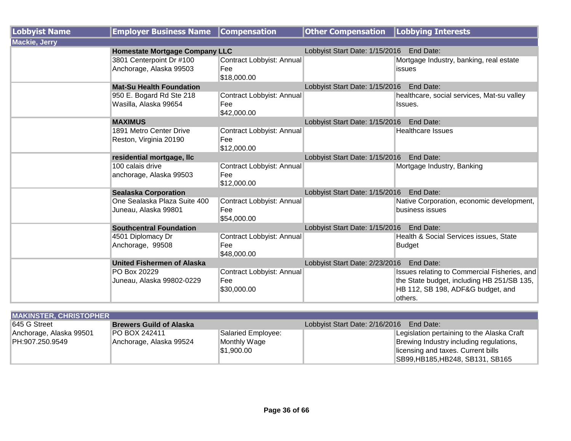| <b>Lobbyist Name</b> | <b>Employer Business Name</b>                               | <b>Compensation</b>              | <b>Other Compensation   Lobbying Interests</b> |                                                              |
|----------------------|-------------------------------------------------------------|----------------------------------|------------------------------------------------|--------------------------------------------------------------|
| <b>Mackie, Jerry</b> |                                                             |                                  |                                                |                                                              |
|                      | <b>Homestate Mortgage Company LLC</b>                       |                                  | Lobbyist Start Date: 1/15/2016                 | End Date:                                                    |
|                      | 3801 Centerpoint Dr #100                                    | Contract Lobbyist: Annual        |                                                | Mortgage Industry, banking, real estate                      |
|                      | Anchorage, Alaska 99503                                     | Fee                              |                                                | issues                                                       |
|                      |                                                             | \$18,000.00                      |                                                |                                                              |
|                      | <b>Mat-Su Health Foundation</b>                             |                                  | Lobbyist Start Date: 1/15/2016 End Date:       |                                                              |
|                      | 950 E. Bogard Rd Ste 218                                    | Contract Lobbyist: Annual        |                                                | healthcare, social services, Mat-su valley                   |
|                      | Wasilla, Alaska 99654                                       | Fee                              |                                                | Issues.                                                      |
|                      |                                                             | \$42,000.00                      |                                                |                                                              |
|                      | <b>MAXIMUS</b>                                              |                                  | Lobbyist Start Date: 1/15/2016                 | End Date:                                                    |
|                      | 1891 Metro Center Drive                                     | Contract Lobbyist: Annual        |                                                | <b>Healthcare Issues</b>                                     |
|                      | Reston, Virginia 20190                                      | Fee                              |                                                |                                                              |
|                      |                                                             | \$12,000.00                      |                                                |                                                              |
|                      | residential mortgage, Ilc                                   |                                  | Lobbyist Start Date: 1/15/2016                 | End Date:                                                    |
|                      | 100 calais drive                                            | Contract Lobbyist: Annual        |                                                | Mortgage Industry, Banking                                   |
|                      | anchorage, Alaska 99503                                     | Fee                              |                                                |                                                              |
|                      |                                                             | \$12,000.00                      |                                                |                                                              |
|                      | <b>Sealaska Corporation</b><br>One Sealaska Plaza Suite 400 |                                  | Lobbyist Start Date: 1/15/2016 End Date:       |                                                              |
|                      |                                                             | Contract Lobbyist: Annual<br>Fee |                                                | Native Corporation, economic development,<br>business issues |
|                      | Juneau, Alaska 99801                                        | \$54,000.00                      |                                                |                                                              |
|                      | <b>Southcentral Foundation</b>                              |                                  | Lobbyist Start Date: 1/15/2016 End Date:       |                                                              |
|                      | 4501 Diplomacy Dr                                           | Contract Lobbyist: Annual        |                                                | Health & Social Services issues, State                       |
|                      | Anchorage, 99508                                            | Fee                              |                                                | Budget                                                       |
|                      |                                                             | \$48,000.00                      |                                                |                                                              |
|                      | <b>United Fishermen of Alaska</b>                           |                                  | Lobbyist Start Date: 2/23/2016                 | End Date:                                                    |
|                      | PO Box 20229                                                | Contract Lobbyist: Annual        |                                                | Issues relating to Commercial Fisheries, and                 |
|                      | Juneau, Alaska 99802-0229                                   | Fee                              |                                                | the State budget, including HB 251/SB 135,                   |
|                      |                                                             | \$30,000.00                      |                                                | HB 112, SB 198, ADF&G budget, and                            |
|                      |                                                             |                                  |                                                | lothers.                                                     |

| <b>MAKINSTER, CHRISTOPHER</b> |                                |                    |                                             |  |  |
|-------------------------------|--------------------------------|--------------------|---------------------------------------------|--|--|
| <b>1645 G Street</b>          | <b>Brewers Guild of Alaska</b> |                    | Lobbyist Start Date: 2/16/2016<br>End Date: |  |  |
| Anchorage, Alaska 99501       | <b>PO BOX 242411</b>           | Salaried Employee: | Legislation pertaining to the Alaska Craft  |  |  |
| PH:907.250.9549               | Anchorage, Alaska 99524        | Monthly Wage       | Brewing Industry including regulations,     |  |  |
|                               |                                | l\$1.900.00        | licensing and taxes. Current bills          |  |  |
|                               |                                |                    | SB99, HB185, HB248, SB131, SB165            |  |  |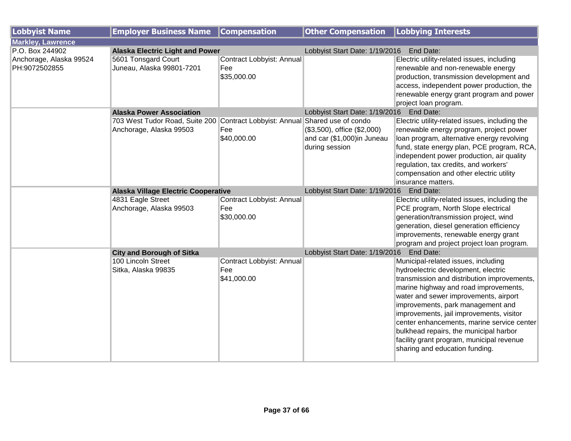| <b>Lobbyist Name</b>     | <b>Employer Business Name</b>                            | <b>Compensation</b>       | <b>Other Compensation</b>                   | Lobbying Interests                                                                   |
|--------------------------|----------------------------------------------------------|---------------------------|---------------------------------------------|--------------------------------------------------------------------------------------|
| <b>Markley, Lawrence</b> |                                                          |                           |                                             |                                                                                      |
| P.O. Box 244902          | <b>Alaska Electric Light and Power</b>                   |                           | Lobbyist Start Date: 1/19/2016              | End Date:                                                                            |
| Anchorage, Alaska 99524  | 5601 Tonsgard Court                                      | Contract Lobbyist: Annual |                                             | Electric utility-related issues, including                                           |
| PH:9072502855            | Juneau, Alaska 99801-7201                                | Fee                       |                                             | renewable and non-renewable energy                                                   |
|                          |                                                          | \$35,000.00               |                                             | production, transmission development and                                             |
|                          |                                                          |                           |                                             | access, independent power production, the                                            |
|                          |                                                          |                           |                                             | renewable energy grant program and power                                             |
|                          |                                                          |                           |                                             | project loan program.                                                                |
|                          | <b>Alaska Power Association</b>                          |                           | Lobbyist Start Date: 1/19/2016 End Date:    |                                                                                      |
|                          | 703 West Tudor Road, Suite 200 Contract Lobbyist: Annual |                           | Shared use of condo                         | Electric utility-related issues, including the                                       |
|                          | Anchorage, Alaska 99503                                  | Fee                       | $($3,500)$ , office $($2,000)$              | renewable energy program, project power                                              |
|                          |                                                          | \$40,000.00               | and car (\$1,000)in Juneau                  | loan program, alternative energy revolving                                           |
|                          |                                                          |                           | during session                              | fund, state energy plan, PCE program, RCA,                                           |
|                          |                                                          |                           |                                             | independent power production, air quality                                            |
|                          |                                                          |                           |                                             | regulation, tax credits, and workers'                                                |
|                          |                                                          |                           |                                             | compensation and other electric utility                                              |
|                          |                                                          |                           |                                             | insurance matters.                                                                   |
|                          | <b>Alaska Village Electric Cooperative</b>               |                           | Lobbyist Start Date: 1/19/2016<br>End Date: |                                                                                      |
|                          | 4831 Eagle Street                                        | Contract Lobbyist: Annual |                                             | Electric utility-related issues, including the                                       |
|                          | Anchorage, Alaska 99503                                  | Fee                       |                                             | PCE program, North Slope electrical                                                  |
|                          |                                                          | \$30,000.00               |                                             | generation/transmission project, wind                                                |
|                          |                                                          |                           |                                             | generation, diesel generation efficiency                                             |
|                          |                                                          |                           |                                             | improvements, renewable energy grant                                                 |
|                          |                                                          |                           |                                             | program and project project loan program.                                            |
|                          | <b>City and Borough of Sitka</b>                         |                           | Lobbyist Start Date: 1/19/2016 End Date:    |                                                                                      |
|                          | 100 Lincoln Street                                       | Contract Lobbyist: Annual |                                             | Municipal-related issues, including                                                  |
|                          | Sitka, Alaska 99835                                      | Fee                       |                                             | hydroelectric development, electric                                                  |
|                          |                                                          | \$41,000.00               |                                             | transmission and distribution improvements,<br>marine highway and road improvements, |
|                          |                                                          |                           |                                             | water and sewer improvements, airport                                                |
|                          |                                                          |                           |                                             | improvements, park management and                                                    |
|                          |                                                          |                           |                                             | improvements, jail improvements, visitor                                             |
|                          |                                                          |                           |                                             | center enhancements, marine service center                                           |
|                          |                                                          |                           |                                             | bulkhead repairs, the municipal harbor                                               |
|                          |                                                          |                           |                                             | facility grant program, municipal revenue                                            |
|                          |                                                          |                           |                                             | sharing and education funding.                                                       |
|                          |                                                          |                           |                                             |                                                                                      |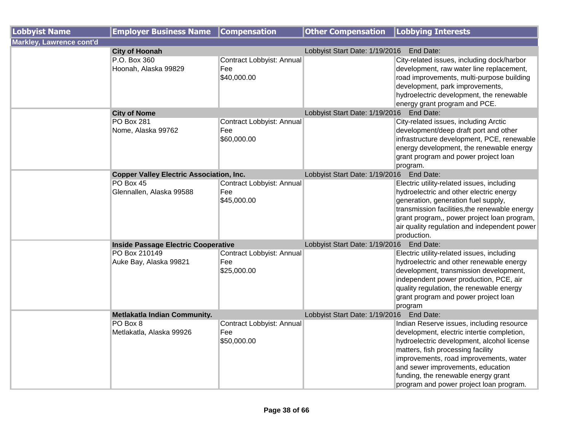| <b>Lobbyist Name</b>            | <b>Employer Business Name</b>                                                                        | <b>Compensation</b>                                                          | <b>Other Compensation</b>                   | <b>Lobbying Interests</b>                                                                                                                                                                                                                                                                                                                   |
|---------------------------------|------------------------------------------------------------------------------------------------------|------------------------------------------------------------------------------|---------------------------------------------|---------------------------------------------------------------------------------------------------------------------------------------------------------------------------------------------------------------------------------------------------------------------------------------------------------------------------------------------|
| <b>Markley, Lawrence cont'd</b> |                                                                                                      |                                                                              |                                             |                                                                                                                                                                                                                                                                                                                                             |
|                                 | <b>City of Hoonah</b>                                                                                |                                                                              | Lobbyist Start Date: 1/19/2016<br>End Date: |                                                                                                                                                                                                                                                                                                                                             |
|                                 | P.O. Box 360<br>Hoonah, Alaska 99829                                                                 | Contract Lobbyist: Annual<br>Fee<br>\$40,000.00                              |                                             | City-related issues, including dock/harbor<br>development, raw water line replacement,<br>road improvements, multi-purpose building                                                                                                                                                                                                         |
|                                 |                                                                                                      |                                                                              |                                             | development, park improvements,<br>hydroelectric development, the renewable<br>energy grant program and PCE.                                                                                                                                                                                                                                |
|                                 | <b>City of Nome</b>                                                                                  |                                                                              | Lobbyist Start Date: 1/19/2016    End Date: |                                                                                                                                                                                                                                                                                                                                             |
|                                 | <b>PO Box 281</b><br>Nome, Alaska 99762                                                              | Contract Lobbyist: Annual<br>Fee<br>\$60,000.00                              |                                             | City-related issues, including Arctic<br>development/deep draft port and other<br>infrastructure development, PCE, renewable<br>energy development, the renewable energy<br>grant program and power project loan<br>program.                                                                                                                |
|                                 | <b>Copper Valley Electric Association, Inc.</b>                                                      |                                                                              | Lobbyist Start Date: 1/19/2016 End Date:    |                                                                                                                                                                                                                                                                                                                                             |
|                                 | PO Box 45<br>Glennallen, Alaska 99588<br><b>Inside Passage Electric Cooperative</b><br>PO Box 210149 | Contract Lobbyist: Annual<br>Fee<br>\$45,000.00<br>Contract Lobbyist: Annual | Lobbyist Start Date: 1/19/2016 End Date:    | Electric utility-related issues, including<br>hydroelectric and other electric energy<br>generation, generation fuel supply,<br>transmission facilities, the renewable energy<br>grant program,, power project loan program,<br>air quality regulation and independent power<br>production.<br>Electric utility-related issues, including   |
|                                 | Auke Bay, Alaska 99821                                                                               | Fee<br>\$25,000.00                                                           |                                             | hydroelectric and other renewable energy<br>development, transmission development,<br>independent power production, PCE, air<br>quality regulation, the renewable energy<br>grant program and power project loan<br>program                                                                                                                 |
|                                 | Metlakatla Indian Community.                                                                         |                                                                              | Lobbyist Start Date: 1/19/2016 End Date:    |                                                                                                                                                                                                                                                                                                                                             |
|                                 | PO Box 8<br>Metlakatla, Alaska 99926                                                                 | Contract Lobbyist: Annual<br>Fee<br>\$50,000.00                              |                                             | Indian Reserve issues, including resource<br>development, electric intertie completion,<br>hydroelectric development, alcohol license<br>matters, fish processing facility<br>improvements, road improvements, water<br>and sewer improvements, education<br>funding, the renewable energy grant<br>program and power project loan program. |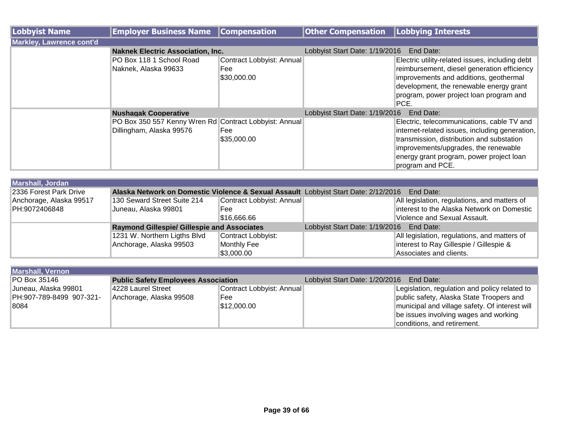| Lobbyist Name            | <b>Employer Business Name</b>                                                      | <b>Compensation</b>                             | <b>Other Compensation</b>      | <b>Lobbying Interests</b>                                                                                                                                                                                                                         |
|--------------------------|------------------------------------------------------------------------------------|-------------------------------------------------|--------------------------------|---------------------------------------------------------------------------------------------------------------------------------------------------------------------------------------------------------------------------------------------------|
| Markley, Lawrence cont'd |                                                                                    |                                                 |                                |                                                                                                                                                                                                                                                   |
|                          | <b>Naknek Electric Association, Inc.</b>                                           |                                                 | Lobbyist Start Date: 1/19/2016 | <b>End Date:</b>                                                                                                                                                                                                                                  |
|                          | PO Box 118 1 School Road<br>Naknek, Alaska 99633                                   | Contract Lobbyist: Annual<br>Fee<br>\$30,000.00 |                                | Electric utility-related issues, including debt<br>reimbursement, diesel generation efficiency<br>improvements and additions, geothermal<br>development, the renewable energy grant<br>program, power project loan program and<br>PCE.            |
|                          | <b>Nushagak Cooperative</b>                                                        |                                                 | Lobbyist Start Date: 1/19/2016 | End Date:                                                                                                                                                                                                                                         |
|                          | PO Box 350 557 Kenny Wren Rd Contract Lobbyist: Annual<br>Dillingham, Alaska 99576 | Fee<br>\$35,000.00                              |                                | Electric, telecommunications, cable TV and<br>internet-related issues, including generation,<br>transmission, distribution and substation<br>improvements/upgrades, the renewable<br>energy grant program, power project loan<br>program and PCE. |

| <b>Marshall, Jordan</b> |                                                                                                  |                           |                                          |                                              |  |  |
|-------------------------|--------------------------------------------------------------------------------------------------|---------------------------|------------------------------------------|----------------------------------------------|--|--|
| 2336 Forest Park Drive  | Alaska Network on Domestic Violence & Sexual Assault Lobbyist Start Date: 2/12/2016<br>End Date: |                           |                                          |                                              |  |  |
| Anchorage, Alaska 99517 | 130 Seward Street Suite 214                                                                      | Contract Lobbyist: Annual |                                          | All legislation, regulations, and matters of |  |  |
| PH:9072406848           | Juneau, Alaska 99801                                                                             | <b>Fee</b>                |                                          | interest to the Alaska Network on Domestic   |  |  |
|                         |                                                                                                  | \$16,666.66               |                                          | Violence and Sexual Assault.                 |  |  |
|                         | <b>Raymond Gillespie/ Gillespie and Associates</b>                                               |                           | Lobbyist Start Date: 1/19/2016 End Date: |                                              |  |  |
|                         | 1231 W. Northern Ligths Blvd                                                                     | Contract Lobbyist:        |                                          | All legislation, regulations, and matters of |  |  |
|                         | Anchorage, Alaska 99503                                                                          | Monthly Fee               |                                          | interest to Ray Gillespie / Gillespie &      |  |  |
|                         |                                                                                                  | \$3,000.00                |                                          | Associates and clients.                      |  |  |

| <b>Marshall, Vernon</b>  |                                            |                           |                                          |                                                |
|--------------------------|--------------------------------------------|---------------------------|------------------------------------------|------------------------------------------------|
| <b>PO Box 35146</b>      | <b>Public Safety Employees Association</b> |                           | Lobbyist Start Date: 1/20/2016 End Date: |                                                |
| Juneau, Alaska 99801     | 4228 Laurel Street                         | Contract Lobbyist: Annual |                                          | Legislation, regulation and policy related to  |
| PH:907-789-8499 907-321- | Anchorage, Alaska 99508                    | Fee                       |                                          | public safety, Alaska State Troopers and       |
| 8084                     |                                            | \$12,000.00               |                                          | municipal and village safety. Of interest will |
|                          |                                            |                           |                                          | be issues involving wages and working          |
|                          |                                            |                           |                                          | conditions, and retirement.                    |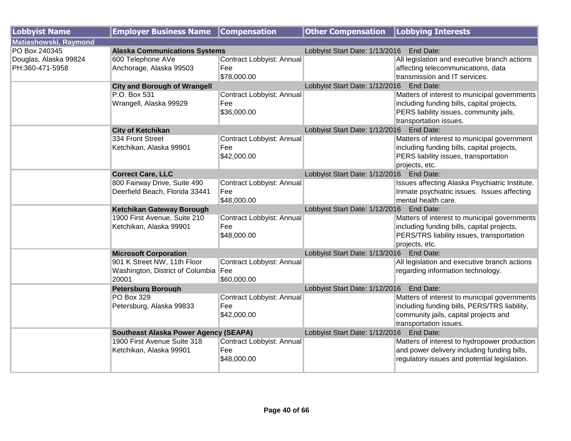| <b>Lobbyist Name</b>         | <b>Employer Business Name</b>                | <b>Compensation</b>       | <b>Other Compensation   Lobbying Interests</b> |                                                |
|------------------------------|----------------------------------------------|---------------------------|------------------------------------------------|------------------------------------------------|
| <b>Matiashowski, Raymond</b> |                                              |                           |                                                |                                                |
| PO Box 240345                | <b>Alaska Communications Systems</b>         |                           | Lobbyist Start Date: 1/13/2016 End Date:       |                                                |
| Douglas, Alaska 99824        | 600 Telephone AVe                            | Contract Lobbyist: Annual |                                                | All legislation and executive branch actions   |
| PH:360-471-5958              | Anchorage, Alaska 99503                      | Fee                       |                                                | affecting telecommunications, data             |
|                              |                                              | \$78,000.00               |                                                | transmission and IT services.                  |
|                              | <b>City and Borough of Wrangell</b>          |                           | Lobbyist Start Date: 1/12/2016 End Date:       |                                                |
|                              | P.O. Box 531                                 | Contract Lobbyist: Annual |                                                | Matters of interest to municipal governments   |
|                              | Wrangell, Alaska 99929                       | Fee                       |                                                | including funding bills, capital projects,     |
|                              |                                              | \$36,000.00               |                                                | PERS liability issues, community jails,        |
|                              |                                              |                           |                                                | transportation issues.                         |
|                              | <b>City of Ketchikan</b>                     |                           | Lobbyist Start Date: 1/12/2016 End Date:       |                                                |
|                              | 334 Front Street                             | Contract Lobbyist: Annual |                                                | Matters of interest to municipal government    |
|                              | Ketchikan, Alaska 99901                      | Fee                       |                                                | including funding bills, capital projects,     |
|                              |                                              | \$42,000.00               |                                                | PERS liability issues, transportation          |
|                              |                                              |                           |                                                | projects, etc.                                 |
|                              | <b>Correct Care, LLC</b>                     |                           | Lobbyist Start Date: 1/12/2016 End Date:       |                                                |
|                              | 800 Fairway Drive, Suite 490                 | Contract Lobbyist: Annual |                                                | Issues affecting Alaska Psychiatric Institute. |
|                              | Deerfield Beach, Florida 33441               | Fee                       |                                                | Inmate psychiatric issues. Issues affecting    |
|                              |                                              | \$48,000.00               |                                                | mental health care.                            |
|                              | Ketchikan Gateway Borough                    |                           | Lobbyist Start Date: 1/12/2016 End Date:       |                                                |
|                              | 1900 First Avenue, Suite 210                 | Contract Lobbyist: Annual |                                                | Matters of interest to municipal governments   |
|                              | Ketchikan, Alaska 99901                      | Fee                       |                                                | including funding bills, capital projects,     |
|                              |                                              | \$48,000.00               |                                                | PERS/TRS liability issues, transportation      |
|                              |                                              |                           |                                                | projects, etc.                                 |
|                              | <b>Microsoft Corporation</b>                 |                           | Lobbyist Start Date: 1/13/2016 End Date:       |                                                |
|                              | 901 K Street NW, 11th Floor                  | Contract Lobbyist: Annual |                                                | All legislation and executive branch actions   |
|                              | Washington, District of Columbia Fee         |                           |                                                | regarding information technology.              |
|                              | 20001                                        | \$60,000.00               |                                                |                                                |
|                              | <b>Petersburg Borough</b>                    |                           | Lobbyist Start Date: 1/12/2016 End Date:       |                                                |
|                              | <b>PO Box 329</b>                            | Contract Lobbyist: Annual |                                                | Matters of interest to municipal governments   |
|                              | Petersburg, Alaska 99833                     | Fee                       |                                                | including funding bills, PERS/TRS liability,   |
|                              |                                              | \$42,000.00               |                                                | community jails, capital projects and          |
|                              |                                              |                           |                                                | transportation issues.                         |
|                              | <b>Southeast Alaska Power Agency (SEAPA)</b> |                           | Lobbyist Start Date: 1/12/2016 End Date:       |                                                |
|                              | 1900 First Avenue Suite 318                  | Contract Lobbyist: Annual |                                                | Matters of interest to hydropower production   |
|                              | Ketchikan, Alaska 99901                      | Fee                       |                                                | and power delivery including funding bills,    |
|                              |                                              | \$48,000.00               |                                                | regulatory issues and potential legislation.   |
|                              |                                              |                           |                                                |                                                |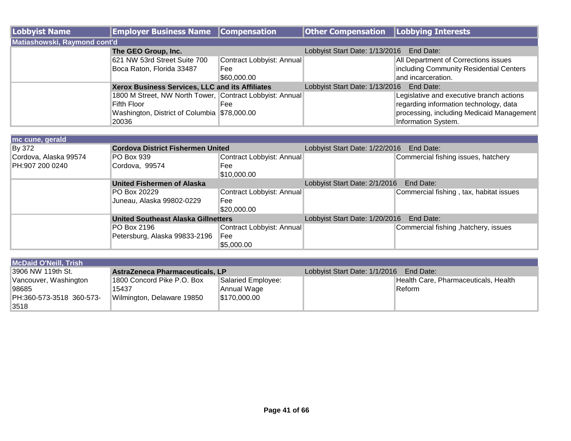| Lobbyist Name                | <b>Employer Business Name Compensation</b>               |                           | <b>Other Compensation   Lobbying Interests</b> |                                           |
|------------------------------|----------------------------------------------------------|---------------------------|------------------------------------------------|-------------------------------------------|
| Matiashowski, Raymond cont'd |                                                          |                           |                                                |                                           |
|                              | The GEO Group, Inc.                                      |                           | Lobbyist Start Date: 1/13/2016                 | End Date:                                 |
|                              | 621 NW 53rd Street Suite 700                             | Contract Lobbyist: Annual |                                                | All Department of Corrections issues      |
|                              | Boca Raton, Florida 33487                                | Fee                       |                                                | including Community Residential Centers   |
|                              |                                                          | \$60,000.00               |                                                | and incarceration.                        |
|                              | Xerox Business Services, LLC and its Affiliates          |                           | Lobbyist Start Date: 1/13/2016                 | End Date:                                 |
|                              | 1800 M Street, NW North Tower, Contract Lobbyist: Annual |                           |                                                | Legislative and executive branch actions  |
|                              | Fifth Floor                                              | Fee                       |                                                | regarding information technology, data    |
|                              | Washington, District of Columbia \$78,000.00             |                           |                                                | processing, including Medicaid Management |
|                              | 20036                                                    |                           |                                                | Information System.                       |

| mc cune, gerald       |                                            |                           |                                             |                                         |
|-----------------------|--------------------------------------------|---------------------------|---------------------------------------------|-----------------------------------------|
| By 372                | <b>Cordova District Fishermen United</b>   |                           | Lobbyist Start Date: 1/22/2016<br>End Date: |                                         |
| Cordova, Alaska 99574 | PO Box 939                                 | Contract Lobbyist: Annual |                                             | Commercial fishing issues, hatchery     |
| PH:907 200 0240       | Cordova, 99574                             | Fee                       |                                             |                                         |
|                       |                                            | \$10,000.00               |                                             |                                         |
|                       | United Fishermen of Alaska                 |                           | Lobbyist Start Date: 2/1/2016<br>End Date:  |                                         |
|                       | PO Box 20229                               | Contract Lobbyist: Annual |                                             | Commercial fishing, tax, habitat issues |
|                       | Juneau, Alaska 99802-0229                  | Fee                       |                                             |                                         |
|                       |                                            | \$20,000.00               |                                             |                                         |
|                       | <b>United Southeast Alaska Gillnetters</b> |                           | Lobbyist Start Date: 1/20/2016              | End Date:                               |
|                       | PO Box 2196                                | Contract Lobbyist: Annual |                                             | Commercial fishing, hatchery, issues    |
|                       | Petersburg, Alaska 99833-2196              | Fee                       |                                             |                                         |
|                       |                                            | \$5,000.00                |                                             |                                         |

| <b>McDaid O'Neill, Trish</b> |                                 |                    |                                         |                                      |
|------------------------------|---------------------------------|--------------------|-----------------------------------------|--------------------------------------|
| I3906 NW 119th St.           | AstraZeneca Pharmaceuticals, LP |                    | Lobbyist Start Date: 1/1/2016 End Date: |                                      |
| Vancouver, Washington        | 1800 Concord Pike P.O. Box      | Salaried Employee: |                                         | Health Care, Pharmaceuticals, Health |
| 98685                        | 15437                           | Annual Wage        |                                         | Reform                               |
| PH:360-573-3518 360-573-     | Wilmington, Delaware 19850      | \$170,000.00       |                                         |                                      |
| 3518                         |                                 |                    |                                         |                                      |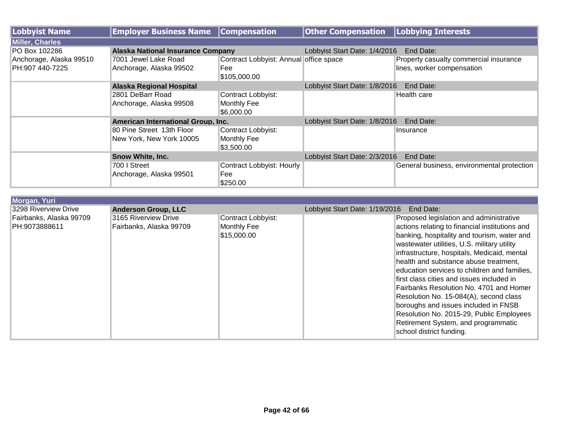| Lobbyist Name           | <b>Employer Business Name</b>            | <b>Compensation</b>                    | <b>Other Compensation</b>     | Lobbying Interests                         |
|-------------------------|------------------------------------------|----------------------------------------|-------------------------------|--------------------------------------------|
| <b>Miller, Charles</b>  |                                          |                                        |                               |                                            |
| PO Box 102286           | <b>Alaska National Insurance Company</b> |                                        | Lobbyist Start Date: 1/4/2016 | End Date:                                  |
| Anchorage, Alaska 99510 | 7001 Jewel Lake Road                     | Contract Lobbyist: Annual office space |                               | Property casualty commercial insurance     |
| PH:907 440-7225         | Anchorage, Alaska 99502                  | Fee                                    |                               | lines, worker compensation                 |
|                         |                                          | \$105,000.00                           |                               |                                            |
|                         | <b>Alaska Regional Hospital</b>          |                                        | Lobbyist Start Date: 1/8/2016 | End Date:                                  |
|                         | 2801 DeBarr Road                         | Contract Lobbyist:                     |                               | Health care                                |
|                         | Anchorage, Alaska 99508                  | <b>Monthly Fee</b>                     |                               |                                            |
|                         |                                          | \$6,000.00                             |                               |                                            |
|                         | American International Group, Inc.       |                                        | Lobbyist Start Date: 1/8/2016 | End Date:                                  |
|                         | 80 Pine Street 13th Floor                | Contract Lobbyist:                     |                               | Insurance                                  |
|                         | New York, New York 10005                 | Monthly Fee                            |                               |                                            |
|                         |                                          | \$3,500.00                             |                               |                                            |
|                         | Snow White, Inc.                         |                                        | Lobbyist Start Date: 2/3/2016 | End Date:                                  |
|                         | 700 I Street                             | Contract Lobbyist: Hourly              |                               | General business, environmental protection |
|                         | Anchorage, Alaska 99501                  | Fee                                    |                               |                                            |
|                         |                                          | \$250.00                               |                               |                                            |

| <b>Morgan, Yuri</b>     |                            |                    |                                             |                                                |
|-------------------------|----------------------------|--------------------|---------------------------------------------|------------------------------------------------|
| 3298 Riverview Drive    | <b>Anderson Group, LLC</b> |                    | Lobbyist Start Date: 1/19/2016<br>End Date: |                                                |
| Fairbanks, Alaska 99709 | 3165 Riverview Drive       | Contract Lobbyist: |                                             | Proposed legislation and administrative        |
| PH:9073888611           | Fairbanks, Alaska 99709    | Monthly Fee        |                                             | actions relating to financial institutions and |
|                         |                            | \$15,000.00        |                                             | banking, hospitality and tourism, water and    |
|                         |                            |                    |                                             | wastewater utilities, U.S. military utility    |
|                         |                            |                    |                                             | infrastructure, hospitals, Medicaid, mental    |
|                         |                            |                    |                                             | health and substance abuse treatment,          |
|                         |                            |                    |                                             | education services to children and families.   |
|                         |                            |                    |                                             | first class cities and issues included in      |
|                         |                            |                    |                                             | Fairbanks Resolution No. 4701 and Homer        |
|                         |                            |                    |                                             | Resolution No. 15-084(A), second class         |
|                         |                            |                    |                                             | boroughs and issues included in FNSB           |
|                         |                            |                    |                                             | Resolution No. 2015-29, Public Employees       |
|                         |                            |                    |                                             | Retirement System, and programmatic            |
|                         |                            |                    |                                             | school district funding.                       |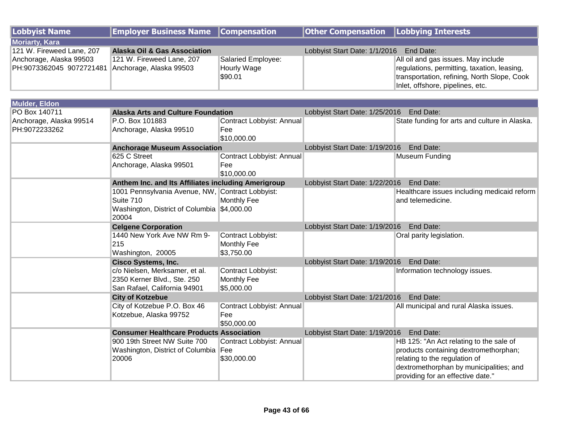| Lobbyist Name                                    | <b>Employer Business Name Compensation</b> |                    | <b>Other Compensation</b> Lobbying Interests |                                              |
|--------------------------------------------------|--------------------------------------------|--------------------|----------------------------------------------|----------------------------------------------|
| <b>Moriarty, Kara</b>                            |                                            |                    |                                              |                                              |
| 121 W. Fireweed Lane, 207                        | <b>Alaska Oil &amp; Gas Association</b>    |                    | Lobbyist Start Date: 1/1/2016 End Date:      |                                              |
| Anchorage, Alaska 99503                          | 121 W. Fireweed Lane, 207                  | Salaried Employee: |                                              | All oil and gas issues. May include          |
| PH:9073362045 9072721481 Anchorage, Alaska 99503 |                                            | <b>Hourly Wage</b> |                                              | regulations, permitting, taxation, leasing,  |
|                                                  |                                            | \$90.01            |                                              | Itransportation, refining, North Slope, Cook |
|                                                  |                                            |                    |                                              | Inlet, offshore, pipelines, etc.             |

| <b>Mulder, Eldon</b>    |                                                     |                           |                                          |                                               |  |
|-------------------------|-----------------------------------------------------|---------------------------|------------------------------------------|-----------------------------------------------|--|
| PO Box 140711           | <b>Alaska Arts and Culture Foundation</b>           |                           | Lobbyist Start Date: 1/25/2016 End Date: |                                               |  |
| Anchorage, Alaska 99514 | P.O. Box 101883                                     | Contract Lobbyist: Annual |                                          | State funding for arts and culture in Alaska. |  |
| PH:9072233262           | Anchorage, Alaska 99510                             | <b>Fee</b>                |                                          |                                               |  |
|                         |                                                     | \$10,000.00               |                                          |                                               |  |
|                         | <b>Anchorage Museum Association</b>                 |                           | Lobbyist Start Date: 1/19/2016 End Date: |                                               |  |
|                         | 625 C Street                                        | Contract Lobbyist: Annual |                                          | Museum Funding                                |  |
|                         | Anchorage, Alaska 99501                             | Fee                       |                                          |                                               |  |
|                         |                                                     | \$10,000.00               |                                          |                                               |  |
|                         | Anthem Inc. and Its Affiliates including Amerigroup |                           | Lobbyist Start Date: 1/22/2016           | End Date:                                     |  |
|                         | 1001 Pennsylvania Avenue, NW, Contract Lobbyist:    |                           |                                          | Healthcare issues including medicaid reform   |  |
|                         | Suite 710                                           | <b>Monthly Fee</b>        |                                          | and telemedicine.                             |  |
|                         | Washington, District of Columbia \$4,000.00         |                           |                                          |                                               |  |
|                         | 20004                                               |                           |                                          |                                               |  |
|                         | <b>Celgene Corporation</b>                          |                           | Lobbyist Start Date: 1/19/2016           | End Date:                                     |  |
|                         | 1440 New York Ave NW Rm 9-                          | Contract Lobbyist:        |                                          | Oral parity legislation.                      |  |
|                         | 215                                                 | Monthly Fee               |                                          |                                               |  |
|                         | Washington, 20005                                   | \$3,750.00                |                                          |                                               |  |
|                         | <b>Cisco Systems, Inc.</b>                          |                           | Lobbyist Start Date: 1/19/2016 End Date: |                                               |  |
|                         | c/o Nielsen, Merksamer, et al.                      | Contract Lobbyist:        |                                          | Information technology issues.                |  |
|                         | 2350 Kerner Blvd., Ste. 250                         | Monthly Fee               |                                          |                                               |  |
|                         | San Rafael, California 94901                        | \$5,000.00                |                                          |                                               |  |
|                         | <b>City of Kotzebue</b>                             |                           | Lobbyist Start Date: 1/21/2016 End Date: |                                               |  |
|                         | City of Kotzebue P.O. Box 46                        | Contract Lobbyist: Annual |                                          | All municipal and rural Alaska issues.        |  |
|                         | Kotzebue, Alaska 99752                              | Fee                       |                                          |                                               |  |
|                         |                                                     | \$50,000.00               |                                          |                                               |  |
|                         | <b>Consumer Healthcare Products Association</b>     |                           | Lobbyist Start Date: 1/19/2016           | End Date:                                     |  |
|                         | 900 19th Street NW Suite 700                        | Contract Lobbyist: Annual |                                          | HB 125: "An Act relating to the sale of       |  |
|                         | Washington, District of Columbia Fee                |                           |                                          | products containing dextromethorphan;         |  |
|                         | 20006                                               | \$30,000.00               |                                          | relating to the regulation of                 |  |
|                         |                                                     |                           |                                          | dextromethorphan by municipalities; and       |  |
|                         |                                                     |                           |                                          | providing for an effective date."             |  |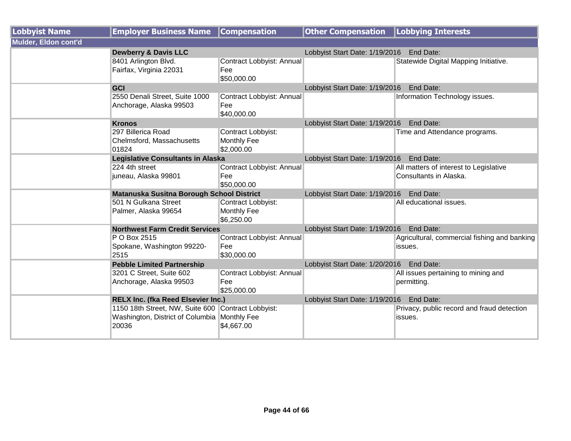| <b>Lobbyist Name</b> | <b>Employer Business Name</b>                                                                               | <b>Compensation</b>                                    | <b>Other Compensation   Lobbying Interests</b> |                                                                  |  |
|----------------------|-------------------------------------------------------------------------------------------------------------|--------------------------------------------------------|------------------------------------------------|------------------------------------------------------------------|--|
| Mulder, Eldon cont'd |                                                                                                             |                                                        |                                                |                                                                  |  |
|                      | <b>Dewberry &amp; Davis LLC</b>                                                                             |                                                        | Lobbyist Start Date: 1/19/2016 End Date:       |                                                                  |  |
|                      | 8401 Arlington Blvd.<br>Fairfax, Virginia 22031                                                             | Contract Lobbyist: Annual<br>Fee<br>\$50,000.00        |                                                | Statewide Digital Mapping Initiative.                            |  |
|                      | <b>GCI</b>                                                                                                  |                                                        | Lobbyist Start Date: 1/19/2016 End Date:       |                                                                  |  |
|                      | 2550 Denali Street, Suite 1000<br>Anchorage, Alaska 99503                                                   | Contract Lobbyist: Annual<br>Fee<br>\$40,000.00        |                                                | Information Technology issues.                                   |  |
|                      | <b>Kronos</b>                                                                                               |                                                        | Lobbyist Start Date: 1/19/2016 End Date:       |                                                                  |  |
|                      | 297 Billerica Road<br>Chelmsford, Massachusetts<br>01824                                                    | Contract Lobbyist:<br><b>Monthly Fee</b><br>\$2,000.00 |                                                | Time and Attendance programs.                                    |  |
|                      | <b>Legislative Consultants in Alaska</b>                                                                    |                                                        | Lobbyist Start Date: 1/19/2016 End Date:       |                                                                  |  |
|                      | 224 4th street<br>juneau, Alaska 99801                                                                      | Contract Lobbyist: Annual<br>Fee<br>\$50,000.00        |                                                | All matters of interest to Legislative<br>Consultants in Alaska. |  |
|                      | Matanuska Susitna Borough School District                                                                   |                                                        | Lobbyist Start Date: 1/19/2016 End Date:       |                                                                  |  |
|                      | 501 N Gulkana Street<br>Palmer, Alaska 99654                                                                | Contract Lobbyist:<br><b>Monthly Fee</b><br>\$6,250.00 |                                                | All educational issues.                                          |  |
|                      | <b>Northwest Farm Credit Services</b>                                                                       |                                                        | Lobbyist Start Date: 1/19/2016 End Date:       |                                                                  |  |
|                      | P O Box 2515<br>Spokane, Washington 99220-<br>2515                                                          | Contract Lobbyist: Annual<br>Fee<br>\$30,000.00        |                                                | Agricultural, commercial fishing and banking<br>issues.          |  |
|                      | <b>Pebble Limited Partnership</b>                                                                           |                                                        | Lobbyist Start Date: 1/20/2016 End Date:       |                                                                  |  |
|                      | 3201 C Street, Suite 602<br>Anchorage, Alaska 99503                                                         | Contract Lobbyist: Annual<br>Fee<br>\$25,000.00        |                                                | All issues pertaining to mining and<br>permitting.               |  |
|                      | <b>RELX Inc. (fka Reed Elsevier Inc.)</b>                                                                   |                                                        | Lobbyist Start Date: 1/19/2016 End Date:       |                                                                  |  |
|                      | 1150 18th Street, NW, Suite 600 Contract Lobbyist:<br>Washington, District of Columbia Monthly Fee<br>20036 | \$4,667.00                                             |                                                | Privacy, public record and fraud detection<br>issues.            |  |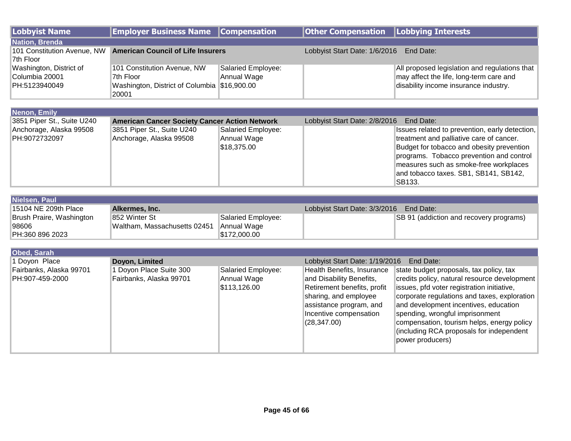| <b>Lobbyist Name</b>                                       | <b>Employer Business Name</b>                                                            | <b>Compensation</b>                               | <b>Other Compensation</b>                                                                                                                                                           | <b>Lobbying Interests</b>                                                                                                                                                                                                                                                                                                                                                       |
|------------------------------------------------------------|------------------------------------------------------------------------------------------|---------------------------------------------------|-------------------------------------------------------------------------------------------------------------------------------------------------------------------------------------|---------------------------------------------------------------------------------------------------------------------------------------------------------------------------------------------------------------------------------------------------------------------------------------------------------------------------------------------------------------------------------|
| <b>Nation, Brenda</b>                                      |                                                                                          |                                                   |                                                                                                                                                                                     |                                                                                                                                                                                                                                                                                                                                                                                 |
| 101 Constitution Avenue, NW<br>7th Floor                   | <b>American Council of Life Insurers</b>                                                 |                                                   | Lobbyist Start Date: 1/6/2016<br>End Date:                                                                                                                                          |                                                                                                                                                                                                                                                                                                                                                                                 |
| Washington, District of<br>Columbia 20001<br>PH:5123940049 | 101 Constitution Avenue, NW<br>7th Floor<br>Washington, District of Columbia \$16,900.00 | Salaried Employee:<br>Annual Wage                 |                                                                                                                                                                                     | All proposed legislation and regulations that<br>may affect the life, long-term care and<br>disability income insurance industry.                                                                                                                                                                                                                                               |
|                                                            | 20001                                                                                    |                                                   |                                                                                                                                                                                     |                                                                                                                                                                                                                                                                                                                                                                                 |
|                                                            |                                                                                          |                                                   |                                                                                                                                                                                     |                                                                                                                                                                                                                                                                                                                                                                                 |
| Nenon, Emily                                               |                                                                                          |                                                   |                                                                                                                                                                                     |                                                                                                                                                                                                                                                                                                                                                                                 |
| 3851 Piper St., Suite U240                                 | <b>American Cancer Society Cancer Action Network</b>                                     |                                                   | Lobbyist Start Date: 2/8/2016                                                                                                                                                       | End Date:                                                                                                                                                                                                                                                                                                                                                                       |
| Anchorage, Alaska 99508<br>PH:9072732097                   | 3851 Piper St., Suite U240<br>Anchorage, Alaska 99508                                    | Salaried Employee:<br>Annual Wage<br>\$18,375.00  |                                                                                                                                                                                     | Issues related to prevention, early detection,<br>treatment and palliative care of cancer.<br>Budget for tobacco and obesity prevention<br>programs. Tobacco prevention and control<br>measures such as smoke-free workplaces<br>and tobacco taxes. SB1, SB141, SB142,<br>SB133.                                                                                                |
| Nielsen, Paul                                              |                                                                                          |                                                   |                                                                                                                                                                                     |                                                                                                                                                                                                                                                                                                                                                                                 |
| 15104 NE 209th Place                                       | Alkermes, Inc.                                                                           |                                                   | Lobbyist Start Date: 3/3/2016                                                                                                                                                       | End Date:                                                                                                                                                                                                                                                                                                                                                                       |
| Brush Praire, Washington<br>98606<br>PH:360 896 2023       | 852 Winter St<br>Waltham, Massachusetts 02451                                            | Salaried Employee:<br>Annual Wage<br>\$172,000.00 |                                                                                                                                                                                     | SB 91 (addiction and recovery programs)                                                                                                                                                                                                                                                                                                                                         |
|                                                            |                                                                                          |                                                   |                                                                                                                                                                                     |                                                                                                                                                                                                                                                                                                                                                                                 |
| <b>Obed, Sarah</b>                                         |                                                                                          |                                                   |                                                                                                                                                                                     |                                                                                                                                                                                                                                                                                                                                                                                 |
| 1 Doyon Place                                              | Doyon, Limited                                                                           |                                                   | Lobbyist Start Date: 1/19/2016                                                                                                                                                      | End Date:                                                                                                                                                                                                                                                                                                                                                                       |
| Fairbanks, Alaska 99701<br>PH:907-459-2000                 | 1 Doyon Place Suite 300<br>Fairbanks, Alaska 99701                                       | Salaried Employee:<br>Annual Wage<br>\$113,126.00 | Health Benefits, Insurance<br>and Disability Benefits,<br>Retirement benefits, profit<br>sharing, and employee<br>assistance program, and<br>Incentive compensation<br>(28, 347.00) | state budget proposals, tax policy, tax<br>credits policy, natural resource development<br>issues, pfd voter registration initiative,<br>corporate regulations and taxes, exploration<br>and development incentives, education<br>spending, wrongful imprisonment<br>compensation, tourism helps, energy policy<br>(including RCA proposals for independent<br>power producers) |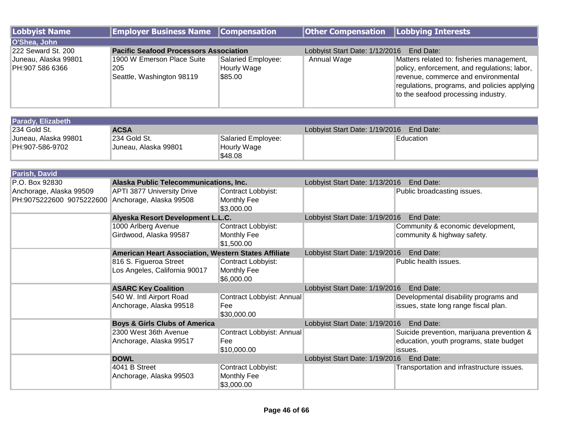| Lobbyist Name                           | <b>Employer Business Name Compensation</b>                     |                                                     | <b>Other Compensation   Lobbying Interests</b> |                                                                                                                                                                                                                         |
|-----------------------------------------|----------------------------------------------------------------|-----------------------------------------------------|------------------------------------------------|-------------------------------------------------------------------------------------------------------------------------------------------------------------------------------------------------------------------------|
| O'Shea, John                            |                                                                |                                                     |                                                |                                                                                                                                                                                                                         |
| 222 Seward St. 200                      | <b>Pacific Seafood Processors Association</b>                  |                                                     | Lobbyist Start Date: 1/12/2016                 | End Date:                                                                                                                                                                                                               |
| Juneau, Alaska 99801<br>PH:907 586 6366 | 1900 W Emerson Place Suite<br>205<br>Seattle, Washington 98119 | Salaried Employee:<br><b>Hourly Wage</b><br>\$85.00 | Annual Wage                                    | Matters related to: fisheries management,<br>policy, enforcement, and regulations; labor,<br>revenue, commerce and environmental<br>regulations, programs, and policies applying<br>to the seafood processing industry. |

| <b>Parady, Elizabeth</b> |                      |                    |                                             |           |  |
|--------------------------|----------------------|--------------------|---------------------------------------------|-----------|--|
| 1234 Gold St.            | <b>ACSA</b>          |                    | Lobbyist Start Date: 1/19/2016    End Date: |           |  |
| Juneau, Alaska 99801     | 1234 Gold St.        | Salaried Employee: |                                             | Education |  |
| PH:907-586-9702          | Juneau. Alaska 99801 | Hourly Wage        |                                             |           |  |
|                          |                      | ¶\$48.08           |                                             |           |  |

| Parish, David            |                                                      |                           |                                             |                                            |  |
|--------------------------|------------------------------------------------------|---------------------------|---------------------------------------------|--------------------------------------------|--|
| P.O. Box 92830           | Alaska Public Telecommunications, Inc.               |                           | Lobbyist Start Date: 1/13/2016<br>End Date: |                                            |  |
| Anchorage, Alaska 99509  | <b>APTI 3877 University Drive</b>                    | Contract Lobbyist:        |                                             | Public broadcasting issues.                |  |
| PH:9075222600 9075222600 | Anchorage, Alaska 99508                              | Monthly Fee               |                                             |                                            |  |
|                          |                                                      | \$3,000.00                |                                             |                                            |  |
|                          | Alyeska Resort Development L.L.C.                    |                           | Lobbyist Start Date: 1/19/2016              | End Date:                                  |  |
|                          | 1000 Arlberg Avenue                                  | Contract Lobbyist:        |                                             | Community & economic development,          |  |
|                          | Girdwood, Alaska 99587                               | Monthly Fee               |                                             | community & highway safety.                |  |
|                          |                                                      | \$1,500.00                |                                             |                                            |  |
|                          | American Heart Association, Western States Affiliate |                           | Lobbyist Start Date: 1/19/2016              | End Date:                                  |  |
|                          | 816 S. Figueroa Street                               | Contract Lobbyist:        |                                             | Public health issues.                      |  |
|                          | Los Angeles, California 90017                        | Monthly Fee               |                                             |                                            |  |
|                          |                                                      | \$6,000.00                |                                             |                                            |  |
|                          | <b>ASARC Key Coalition</b>                           |                           | Lobbyist Start Date: 1/19/2016<br>End Date: |                                            |  |
|                          | 540 W. Intl Airport Road                             | Contract Lobbyist: Annual |                                             | Developmental disability programs and      |  |
|                          | Anchorage, Alaska 99518                              | Fee                       |                                             | issues, state long range fiscal plan.      |  |
|                          |                                                      | \$30,000.00               |                                             |                                            |  |
|                          | <b>Boys &amp; Girls Clubs of America</b>             |                           | Lobbyist Start Date: 1/19/2016<br>End Date: |                                            |  |
|                          | 2300 West 36th Avenue                                | Contract Lobbyist: Annual |                                             | Suicide prevention, marijuana prevention & |  |
|                          | Anchorage, Alaska 99517                              | Fee                       |                                             | education, youth programs, state budget    |  |
|                          |                                                      | \$10,000.00               |                                             | issues.                                    |  |
|                          | <b>DOWL</b>                                          |                           | Lobbyist Start Date: 1/19/2016              | End Date:                                  |  |
|                          | 4041 B Street                                        | Contract Lobbyist:        |                                             | Transportation and infrastructure issues.  |  |
|                          | Anchorage, Alaska 99503                              | <b>Monthly Fee</b>        |                                             |                                            |  |
|                          |                                                      | \$3,000.00                |                                             |                                            |  |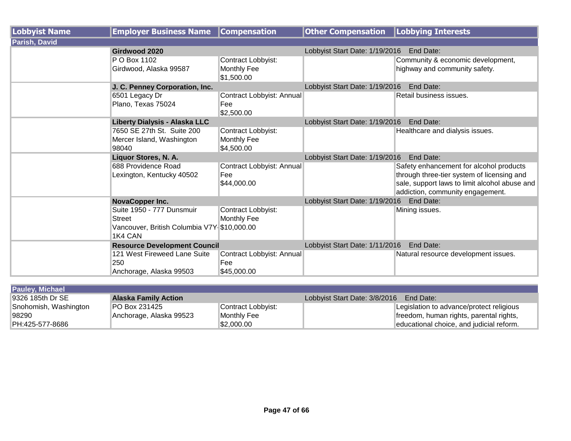| <b>Lobbyist Name</b> | <b>Employer Business Name</b>                                                                 | <b>Compensation</b>                             | <b>Other Compensation</b>                   | Lobbying Interests                                                                                                                                                         |  |
|----------------------|-----------------------------------------------------------------------------------------------|-------------------------------------------------|---------------------------------------------|----------------------------------------------------------------------------------------------------------------------------------------------------------------------------|--|
| Parish, David        |                                                                                               |                                                 |                                             |                                                                                                                                                                            |  |
|                      | Girdwood 2020                                                                                 |                                                 | Lobbyist Start Date: 1/19/2016              | End Date:                                                                                                                                                                  |  |
|                      | P O Box 1102<br>Girdwood, Alaska 99587                                                        | Contract Lobbyist:<br>Monthly Fee<br>\$1,500.00 |                                             | Community & economic development,<br>highway and community safety.                                                                                                         |  |
|                      | J. C. Penney Corporation, Inc.                                                                |                                                 | Lobbyist Start Date: 1/19/2016              | End Date:                                                                                                                                                                  |  |
|                      | 6501 Legacy Dr<br>Plano, Texas 75024                                                          | Contract Lobbyist: Annual<br>Fee<br>\$2,500.00  |                                             | Retail business issues.                                                                                                                                                    |  |
|                      | <b>Liberty Dialysis - Alaska LLC</b>                                                          |                                                 | Lobbyist Start Date: 1/19/2016              | End Date:                                                                                                                                                                  |  |
|                      | 7650 SE 27th St. Suite 200<br>Mercer Island, Washington<br>98040                              | Contract Lobbyist:<br>Monthly Fee<br>\$4,500.00 |                                             | Healthcare and dialysis issues.                                                                                                                                            |  |
|                      | Liquor Stores, N. A.                                                                          |                                                 | End Date:<br>Lobbyist Start Date: 1/19/2016 |                                                                                                                                                                            |  |
|                      | 688 Providence Road<br>Lexington, Kentucky 40502                                              | Contract Lobbyist: Annual<br>Fee<br>\$44,000.00 |                                             | Safety enhancement for alcohol products<br>through three-tier system of licensing and<br>sale, support laws to limit alcohol abuse and<br>addiction, community engagement. |  |
|                      | NovaCopper Inc.                                                                               |                                                 | Lobbyist Start Date: 1/19/2016<br>End Date: |                                                                                                                                                                            |  |
|                      | Suite 1950 - 777 Dunsmuir<br>Street<br>Vancouver, British Columbia V7Y \$10,000.00<br>1K4 CAN | Contract Lobbyist:<br>Monthly Fee               |                                             | Mining issues.                                                                                                                                                             |  |
|                      | <b>Resource Development Council</b>                                                           |                                                 | Lobbyist Start Date: 1/11/2016              | End Date:                                                                                                                                                                  |  |
|                      | 121 West Fireweed Lane Suite<br>250<br>Anchorage, Alaska 99503                                | Contract Lobbyist: Annual<br>Fee<br>\$45,000.00 |                                             | Natural resource development issues.                                                                                                                                       |  |

| <b>Pauley, Michael</b> |                             |                    |                               |                                          |
|------------------------|-----------------------------|--------------------|-------------------------------|------------------------------------------|
| 9326 185th Dr SE       | <b>Alaska Family Action</b> |                    | Lobbyist Start Date: 3/8/2016 | End Date:                                |
| Snohomish, Washington  | IPO Box 231425              | Contract Lobbyist: |                               | Legislation to advance/protect religious |
| 98290                  | Anchorage, Alaska 99523     | Monthly Fee        |                               | freedom, human rights, parental rights,  |
| PH:425-577-8686        |                             | \$2,000.00         |                               | educational choice, and judicial reform. |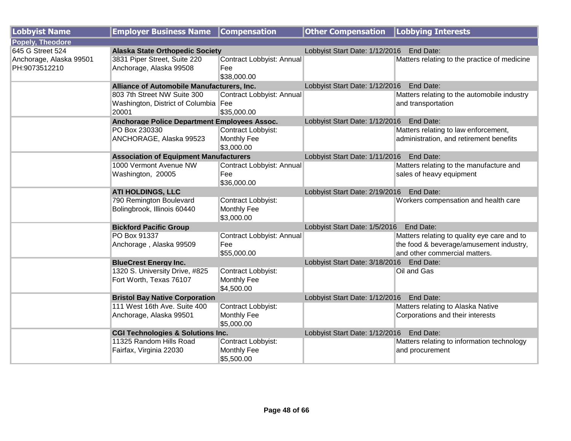| <b>Lobbyist Name</b>    | <b>Employer Business Name</b>                 | <b>Compensation</b>       | <b>Other Compensation   Lobbying Interests</b> |                                              |  |
|-------------------------|-----------------------------------------------|---------------------------|------------------------------------------------|----------------------------------------------|--|
| Popely, Theodore        |                                               |                           |                                                |                                              |  |
| 645 G Street 524        | <b>Alaska State Orthopedic Society</b>        |                           | Lobbyist Start Date: 1/12/2016                 | End Date:                                    |  |
| Anchorage, Alaska 99501 | 3831 Piper Street, Suite 220                  | Contract Lobbyist: Annual |                                                | Matters relating to the practice of medicine |  |
| PH:9073512210           | Anchorage, Alaska 99508                       | Fee                       |                                                |                                              |  |
|                         |                                               | \$38,000.00               |                                                |                                              |  |
|                         | Alliance of Automobile Manufacturers, Inc.    |                           | Lobbyist Start Date: 1/12/2016                 | End Date:                                    |  |
|                         | 803 7th Street NW Suite 300                   | Contract Lobbyist: Annual |                                                | Matters relating to the automobile industry  |  |
|                         | Washington, District of Columbia Fee          |                           |                                                | and transportation                           |  |
|                         | 20001                                         | \$35,000.00               |                                                |                                              |  |
|                         | Anchorage Police Department Employees Assoc.  |                           | Lobbyist Start Date: 1/12/2016                 | End Date:                                    |  |
|                         | PO Box 230330                                 | Contract Lobbyist:        |                                                | Matters relating to law enforcement,         |  |
|                         | ANCHORAGE, Alaska 99523                       | <b>Monthly Fee</b>        |                                                | administration, and retirement benefits      |  |
|                         |                                               | \$3,000.00                |                                                |                                              |  |
|                         | <b>Association of Equipment Manufacturers</b> |                           | Lobbyist Start Date: 1/11/2016                 | End Date:                                    |  |
|                         | 1000 Vermont Avenue NW                        | Contract Lobbyist: Annual |                                                | Matters relating to the manufacture and      |  |
|                         | Washington, 20005                             | Fee                       |                                                | sales of heavy equipment                     |  |
|                         |                                               | \$36,000.00               |                                                |                                              |  |
|                         | <b>ATI HOLDINGS, LLC</b>                      |                           | Lobbyist Start Date: 2/19/2016<br>End Date:    |                                              |  |
|                         | 790 Remington Boulevard                       | Contract Lobbyist:        |                                                | Workers compensation and health care         |  |
|                         | Bolingbrook, Illinois 60440                   | Monthly Fee               |                                                |                                              |  |
|                         |                                               | \$3,000.00                |                                                |                                              |  |
|                         | <b>Bickford Pacific Group</b>                 |                           | Lobbyist Start Date: 1/5/2016                  | End Date:                                    |  |
|                         | PO Box 91337                                  | Contract Lobbyist: Annual |                                                | Matters relating to quality eye care and to  |  |
|                         | Anchorage, Alaska 99509                       | Fee                       |                                                | the food & beverage/amusement industry,      |  |
|                         |                                               | \$55,000.00               |                                                | and other commercial matters.                |  |
|                         | <b>BlueCrest Energy Inc.</b>                  |                           | Lobbyist Start Date: 3/18/2016 End Date:       |                                              |  |
|                         | 1320 S. University Drive, #825                | Contract Lobbyist:        |                                                | Oil and Gas                                  |  |
|                         | Fort Worth, Texas 76107                       | Monthly Fee               |                                                |                                              |  |
|                         |                                               | \$4,500.00                |                                                |                                              |  |
|                         | <b>Bristol Bay Native Corporation</b>         |                           | Lobbyist Start Date: 1/12/2016 End Date:       |                                              |  |
|                         | 111 West 16th Ave. Suite 400                  | Contract Lobbyist:        |                                                | Matters relating to Alaska Native            |  |
|                         | Anchorage, Alaska 99501                       | Monthly Fee               |                                                | Corporations and their interests             |  |
|                         |                                               | \$5,000.00                |                                                |                                              |  |
|                         | <b>CGI Technologies &amp; Solutions Inc.</b>  |                           | Lobbyist Start Date: 1/12/2016                 | End Date:                                    |  |
|                         | 11325 Random Hills Road                       | Contract Lobbyist:        |                                                | Matters relating to information technology   |  |
|                         | Fairfax, Virginia 22030                       | Monthly Fee               |                                                | and procurement                              |  |
|                         |                                               | \$5,500.00                |                                                |                                              |  |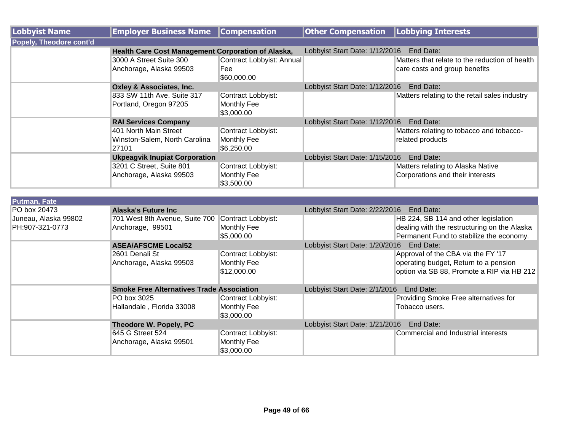| <b>Lobbyist Name</b>                    | <b>Employer Business Name</b>                                   | <b>Compensation</b>                              | <b>Other Compensation</b>                | <b>Lobbying Interests</b>                                                                                                        |
|-----------------------------------------|-----------------------------------------------------------------|--------------------------------------------------|------------------------------------------|----------------------------------------------------------------------------------------------------------------------------------|
| <b>Popely, Theodore cont'd</b>          |                                                                 |                                                  |                                          |                                                                                                                                  |
|                                         | Health Care Cost Management Corporation of Alaska,              |                                                  | Lobbyist Start Date: 1/12/2016           | End Date:                                                                                                                        |
|                                         | 3000 A Street Suite 300<br>Anchorage, Alaska 99503              | Contract Lobbyist: Annual<br>Fee<br>\$60,000.00  |                                          | Matters that relate to the reduction of health<br>care costs and group benefits                                                  |
|                                         | <b>Oxley &amp; Associates, Inc.</b>                             |                                                  | Lobbyist Start Date: 1/12/2016           | End Date:                                                                                                                        |
|                                         | 833 SW 11th Ave. Suite 317<br>Portland, Oregon 97205            | Contract Lobbyist:<br>Monthly Fee<br>\$3,000.00  |                                          | Matters relating to the retail sales industry                                                                                    |
|                                         | <b>RAI Services Company</b>                                     |                                                  | Lobbyist Start Date: 1/12/2016           | End Date:                                                                                                                        |
|                                         | 401 North Main Street<br>Winston-Salem, North Carolina<br>27101 | Contract Lobbyist:<br>Monthly Fee<br>\$6,250.00  |                                          | Matters relating to tobacco and tobacco-<br>related products                                                                     |
|                                         | <b>Ukpeagvik Inupiat Corporation</b>                            |                                                  | Lobbyist Start Date: 1/15/2016           | End Date:                                                                                                                        |
|                                         | 3201 C Street, Suite 801<br>Anchorage, Alaska 99503             | Contract Lobbyist:<br>Monthly Fee<br>\$3,500.00  |                                          | Matters relating to Alaska Native<br>Corporations and their interests                                                            |
| <b>Putman, Fate</b>                     |                                                                 |                                                  |                                          |                                                                                                                                  |
| PO box 20473                            | <b>Alaska's Future Inc</b>                                      |                                                  | Lobbyist Start Date: 2/22/2016           | End Date:                                                                                                                        |
| Juneau, Alaska 99802<br>PH:907-321-0773 | 701 West 8th Avenue, Suite 700<br>Anchorage, 99501              | Contract Lobbyist:<br>Monthly Fee<br>\$5,000.00  |                                          | HB 224, SB 114 and other legislation<br>dealing with the restructuring on the Alaska<br>Permanent Fund to stabilize the economy. |
|                                         | <b>ASEA/AFSCME Local52</b>                                      |                                                  | Lobbyist Start Date: 1/20/2016           | End Date:                                                                                                                        |
|                                         | 2601 Denali St<br>Anchorage, Alaska 99503                       | Contract Lobbyist:<br>Monthly Fee<br>\$12,000.00 |                                          | Approval of the CBA via the FY '17<br>operating budget, Return to a pension<br>option via SB 88, Promote a RIP via HB 212        |
|                                         | <b>Smoke Free Alternatives Trade Association</b>                |                                                  | Lobbyist Start Date: 2/1/2016            | End Date:                                                                                                                        |
|                                         | PO box 3025<br>Hallandale, Florida 33008                        | Contract Lobbyist:<br>Monthly Fee<br>\$3,000.00  |                                          | Providing Smoke Free alternatives for<br>Tobacco users.                                                                          |
|                                         | Theodore W. Popely, PC                                          |                                                  | Lobbyist Start Date: 1/21/2016 End Date: |                                                                                                                                  |
|                                         | 645 G Street 524<br>Anchorage, Alaska 99501                     | Contract Lobbyist:<br>Monthly Fee<br>\$3,000.00  |                                          | Commercial and Industrial interests                                                                                              |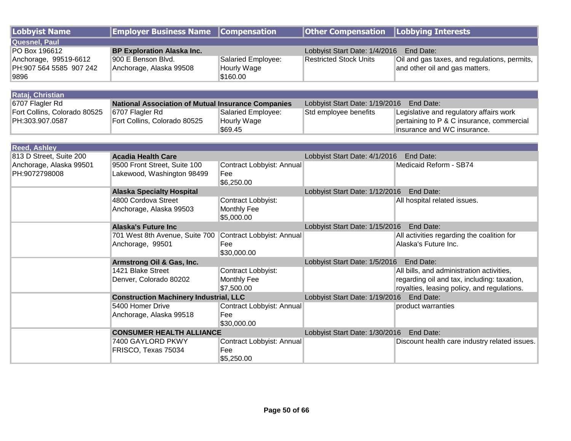| <b>Lobbyist Name</b>         | <b>Employer Business Name</b>                             | <b>Compensation</b>       | <b>Other Compensation</b>                | <b>Lobbying Interests</b>                     |  |
|------------------------------|-----------------------------------------------------------|---------------------------|------------------------------------------|-----------------------------------------------|--|
| <b>Quesnel, Paul</b>         |                                                           |                           |                                          |                                               |  |
| PO Box 196612                | <b>BP Exploration Alaska Inc.</b>                         |                           | Lobbyist Start Date: 1/4/2016            | End Date:                                     |  |
| Anchorage, 99519-6612        | 900 E Benson Blvd.                                        | Salaried Employee:        | <b>Restricted Stock Units</b>            | Oil and gas taxes, and regulations, permits,  |  |
| PH:907 564 5585 907 242      | Anchorage, Alaska 99508                                   | Hourly Wage               |                                          | and other oil and gas matters.                |  |
| 9896                         |                                                           | \$160.00                  |                                          |                                               |  |
|                              |                                                           |                           |                                          |                                               |  |
| Rataj, Christian             |                                                           |                           |                                          |                                               |  |
| 6707 Flagler Rd              | <b>National Association of Mutual Insurance Companies</b> |                           | Lobbyist Start Date: 1/19/2016 End Date: |                                               |  |
| Fort Collins, Colorado 80525 | 6707 Flagler Rd                                           | Salaried Employee:        | Std employee benefits                    | Legislative and regulatory affairs work       |  |
| PH:303.907.0587              | Fort Collins, Colorado 80525                              | Hourly Wage               |                                          | pertaining to P & C insurance, commercial     |  |
|                              |                                                           | \$69.45                   |                                          | insurance and WC insurance.                   |  |
|                              |                                                           |                           |                                          |                                               |  |
| <b>Reed, Ashley</b>          |                                                           |                           |                                          |                                               |  |
| 813 D Street, Suite 200      | <b>Acadia Health Care</b>                                 |                           | Lobbyist Start Date: 4/1/2016            | End Date:                                     |  |
| Anchorage, Alaska 99501      | 9500 Front Street, Suite 100                              | Contract Lobbyist: Annual |                                          | Medicaid Reform - SB74                        |  |
| PH:9072798008                | Lakewood, Washington 98499                                | Fee                       |                                          |                                               |  |
|                              |                                                           | \$6,250.00                |                                          |                                               |  |
|                              | <b>Alaska Specialty Hospital</b>                          |                           | Lobbyist Start Date: 1/12/2016 End Date: |                                               |  |
|                              | 4800 Cordova Street                                       | Contract Lobbyist:        |                                          | All hospital related issues.                  |  |
|                              | Anchorage, Alaska 99503                                   | Monthly Fee               |                                          |                                               |  |
|                              |                                                           | \$5,000.00                |                                          |                                               |  |
|                              | <b>Alaska's Future Inc</b>                                |                           | Lobbyist Start Date: 1/15/2016 End Date: |                                               |  |
|                              | 701 West 8th Avenue, Suite 700                            | Contract Lobbyist: Annual |                                          | All activities regarding the coalition for    |  |
|                              | Anchorage, 99501                                          | Fee                       |                                          | Alaska's Future Inc.                          |  |
|                              |                                                           | \$30,000.00               |                                          |                                               |  |
|                              | Armstrong Oil & Gas, Inc.                                 |                           | Lobbyist Start Date: 1/5/2016 End Date:  |                                               |  |
|                              | 1421 Blake Street                                         | Contract Lobbyist:        |                                          | All bills, and administration activities,     |  |
|                              | Denver, Colorado 80202                                    | Monthly Fee               |                                          | regarding oil and tax, including: taxation,   |  |
|                              |                                                           | \$7,500.00                |                                          | royalties, leasing policy, and regulations.   |  |
|                              | <b>Construction Machinery Industrial, LLC</b>             |                           | Lobbyist Start Date: 1/19/2016 End Date: |                                               |  |
|                              | 5400 Homer Drive                                          | Contract Lobbyist: Annual |                                          | product warranties                            |  |
|                              | Anchorage, Alaska 99518                                   | Fee                       |                                          |                                               |  |
|                              |                                                           | \$30,000.00               |                                          |                                               |  |
|                              | <b>CONSUMER HEALTH ALLIANCE</b>                           |                           | Lobbyist Start Date: 1/30/2016 End Date: |                                               |  |
|                              | 7400 GAYLORD PKWY                                         | Contract Lobbyist: Annual |                                          | Discount health care industry related issues. |  |
|                              | FRISCO, Texas 75034                                       | Fee                       |                                          |                                               |  |
|                              |                                                           | \$5,250.00                |                                          |                                               |  |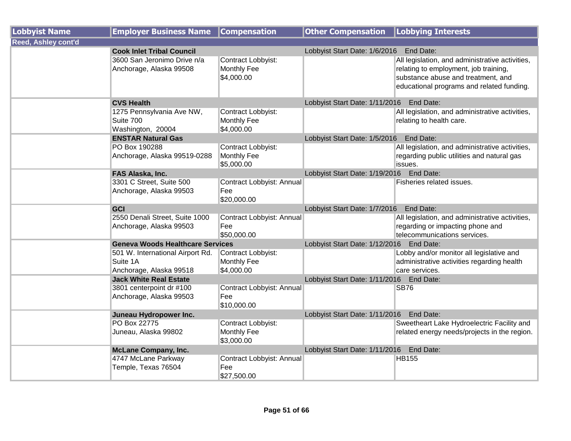| <b>Lobbyist Name</b>       | <b>Employer Business Name</b>           | <b>Compensation</b>              | Other Compensation   Lobbying Interests     |                                                 |
|----------------------------|-----------------------------------------|----------------------------------|---------------------------------------------|-------------------------------------------------|
| <b>Reed, Ashley cont'd</b> |                                         |                                  |                                             |                                                 |
|                            | <b>Cook Inlet Tribal Council</b>        |                                  | Lobbyist Start Date: 1/6/2016 End Date:     |                                                 |
|                            | 3600 San Jeronimo Drive n/a             | Contract Lobbyist:               |                                             | All legislation, and administrative activities, |
|                            | Anchorage, Alaska 99508                 | Monthly Fee                      |                                             | relating to employment, job training,           |
|                            |                                         | \$4,000.00                       |                                             | substance abuse and treatment, and              |
|                            |                                         |                                  |                                             | educational programs and related funding.       |
|                            | <b>CVS Health</b>                       |                                  | Lobbyist Start Date: 1/11/2016 End Date:    |                                                 |
|                            | 1275 Pennsylvania Ave NW,               | Contract Lobbyist:               |                                             | All legislation, and administrative activities, |
|                            | Suite 700                               | Monthly Fee                      |                                             | relating to health care.                        |
|                            | Washington, 20004                       | \$4,000.00                       |                                             |                                                 |
|                            | <b>ENSTAR Natural Gas</b>               |                                  | Lobbyist Start Date: 1/5/2016 End Date:     |                                                 |
|                            | PO Box 190288                           | Contract Lobbyist:               |                                             | All legislation, and administrative activities, |
|                            | Anchorage, Alaska 99519-0288            | Monthly Fee                      |                                             | regarding public utilities and natural gas      |
|                            |                                         | \$5,000.00                       |                                             | issues.                                         |
|                            | FAS Alaska, Inc.                        |                                  | Lobbyist Start Date: 1/19/2016 End Date:    |                                                 |
|                            | 3301 C Street, Suite 500                | Contract Lobbyist: Annual        |                                             | Fisheries related issues.                       |
|                            | Anchorage, Alaska 99503                 | Fee                              |                                             |                                                 |
|                            |                                         | \$20,000.00                      |                                             |                                                 |
|                            | GCI                                     |                                  | Lobbyist Start Date: 1/7/2016               | End Date:                                       |
|                            | 2550 Denali Street, Suite 1000          | Contract Lobbyist: Annual        |                                             | All legislation, and administrative activities, |
|                            | Anchorage, Alaska 99503                 | Fee                              |                                             | regarding or impacting phone and                |
|                            |                                         | \$50,000.00                      |                                             | telecommunications services.                    |
|                            | <b>Geneva Woods Healthcare Services</b> |                                  | Lobbyist Start Date: 1/12/2016              | End Date:                                       |
|                            | 501 W. International Airport Rd.        | Contract Lobbyist:               |                                             | Lobby and/or monitor all legislative and        |
|                            | Suite 1A                                | Monthly Fee                      |                                             | administrative activities regarding health      |
|                            | Anchorage, Alaska 99518                 | \$4,000.00                       |                                             | care services.                                  |
|                            | <b>Jack White Real Estate</b>           |                                  | Lobbyist Start Date: 1/11/2016 End Date:    |                                                 |
|                            | 3801 centerpoint dr #100                | Contract Lobbyist: Annual<br>Fee |                                             | <b>SB76</b>                                     |
|                            | Anchorage, Alaska 99503                 | \$10,000.00                      |                                             |                                                 |
|                            | Juneau Hydropower Inc.                  |                                  | Lobbyist Start Date: 1/11/2016              | End Date:                                       |
|                            | PO Box 22775                            | Contract Lobbyist:               |                                             | Sweetheart Lake Hydroelectric Facility and      |
|                            | Juneau, Alaska 99802                    | Monthly Fee                      |                                             | related energy needs/projects in the region.    |
|                            |                                         | \$3,000.00                       |                                             |                                                 |
|                            | <b>McLane Company, Inc.</b>             |                                  | Lobbyist Start Date: 1/11/2016    End Date: |                                                 |
|                            | 4747 McLane Parkway                     | Contract Lobbyist: Annual        |                                             | <b>HB155</b>                                    |
|                            | Temple, Texas 76504                     | Fee                              |                                             |                                                 |
|                            |                                         | \$27,500.00                      |                                             |                                                 |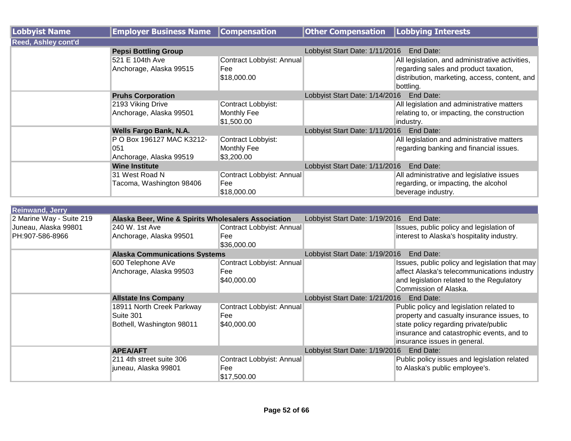| Lobbyist Name              | <b>Employer Business Name</b>                               | <b>Compensation</b>                             | <b>Other Compensation</b>                | Lobbying Interests                                                                                                                                     |
|----------------------------|-------------------------------------------------------------|-------------------------------------------------|------------------------------------------|--------------------------------------------------------------------------------------------------------------------------------------------------------|
| <b>Reed, Ashley cont'd</b> |                                                             |                                                 |                                          |                                                                                                                                                        |
|                            | <b>Pepsi Bottling Group</b>                                 |                                                 | Lobbyist Start Date: 1/11/2016           | End Date:                                                                                                                                              |
|                            | 521 E 104th Ave<br>Anchorage, Alaska 99515                  | Contract Lobbyist: Annual<br>Fee<br>\$18,000.00 |                                          | All legislation, and administrative activities,<br>regarding sales and product taxation,<br>distribution, marketing, access, content, and<br>bottling. |
|                            | <b>Pruhs Corporation</b>                                    |                                                 | Lobbyist Start Date: 1/14/2016           | End Date:                                                                                                                                              |
|                            | 2193 Viking Drive<br>Anchorage, Alaska 99501                | Contract Lobbyist:<br>Monthly Fee<br>\$1,500.00 |                                          | All legislation and administrative matters<br>relating to, or impacting, the construction<br>industry.                                                 |
|                            | <b>Wells Fargo Bank, N.A.</b>                               |                                                 | Lobbyist Start Date: 1/11/2016 End Date: |                                                                                                                                                        |
|                            | P O Box 196127 MAC K3212-<br>051<br>Anchorage, Alaska 99519 | Contract Lobbyist:<br>Monthly Fee<br>\$3,200.00 |                                          | All legislation and administrative matters<br>regarding banking and financial issues.                                                                  |
|                            | <b>Wine Institute</b>                                       |                                                 | Lobbyist Start Date: 1/11/2016           | End Date:                                                                                                                                              |
|                            | 31 West Road N<br>Tacoma, Washington 98406                  | Contract Lobbyist: Annual<br>Fee<br>\$18,000.00 |                                          | All administrative and legislative issues<br>regarding, or impacting, the alcohol<br>beverage industry.                                                |

| <b>Reinwand, Jerry</b>   |                                                     |                           |                                             |                                                |  |
|--------------------------|-----------------------------------------------------|---------------------------|---------------------------------------------|------------------------------------------------|--|
| 2 Marine Way - Suite 219 | Alaska Beer, Wine & Spirits Wholesalers Association |                           | Lobbyist Start Date: 1/19/2016<br>End Date: |                                                |  |
| Juneau, Alaska 99801     | 240 W. 1st Ave                                      | Contract Lobbyist: Annual |                                             | Issues, public policy and legislation of       |  |
| PH:907-586-8966          | Anchorage, Alaska 99501                             | Fee                       |                                             | interest to Alaska's hospitality industry.     |  |
|                          |                                                     | \$36,000.00               |                                             |                                                |  |
|                          | <b>Alaska Communications Systems</b>                |                           | Lobbyist Start Date: 1/19/2016              | End Date:                                      |  |
|                          | 600 Telephone AVe                                   | Contract Lobbyist: Annual |                                             | Issues, public policy and legislation that may |  |
|                          | Anchorage, Alaska 99503                             | Fee                       |                                             | affect Alaska's telecommunications industry    |  |
|                          |                                                     | \$40,000.00               |                                             | and legislation related to the Regulatory      |  |
|                          |                                                     |                           |                                             | Commission of Alaska.                          |  |
|                          | <b>Allstate Ins Company</b>                         |                           | End Date:<br>Lobbyist Start Date: 1/21/2016 |                                                |  |
|                          | 18911 North Creek Parkway                           | Contract Lobbyist: Annual |                                             | Public policy and legislation related to       |  |
|                          | Suite 301                                           | Fee                       |                                             | property and casualty insurance issues, to     |  |
|                          | Bothell, Washington 98011                           | \$40,000.00               |                                             | state policy regarding private/public          |  |
|                          |                                                     |                           |                                             | insurance and catastrophic events, and to      |  |
|                          |                                                     |                           |                                             | insurance issues in general.                   |  |
|                          | <b>APEA/AFT</b>                                     |                           | Lobbyist Start Date: 1/19/2016              | End Date:                                      |  |
|                          | 211 4th street suite 306                            | Contract Lobbyist: Annual |                                             | Public policy issues and legislation related   |  |
|                          | juneau, Alaska 99801                                | Fee                       |                                             | to Alaska's public employee's.                 |  |
|                          |                                                     | \$17,500.00               |                                             |                                                |  |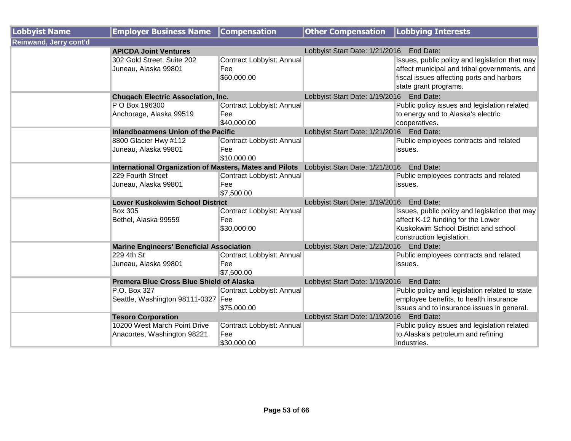| <b>Lobbyist Name</b>          | <b>Employer Business Name</b>                                  | <b>Compensation</b>                             | <b>Other Compensation</b>                | <b>Lobbying Interests</b>                                                                                                                                            |
|-------------------------------|----------------------------------------------------------------|-------------------------------------------------|------------------------------------------|----------------------------------------------------------------------------------------------------------------------------------------------------------------------|
| <b>Reinwand, Jerry cont'd</b> |                                                                |                                                 |                                          |                                                                                                                                                                      |
|                               | <b>APICDA Joint Ventures</b>                                   |                                                 | Lobbyist Start Date: 1/21/2016 End Date: |                                                                                                                                                                      |
|                               | 302 Gold Street, Suite 202<br>Juneau, Alaska 99801             | Contract Lobbyist: Annual<br>Fee<br>\$60,000.00 |                                          | Issues, public policy and legislation that may<br>affect municipal and tribal governments, and<br>fiscal issues affecting ports and harbors<br>state grant programs. |
|                               | <b>Chugach Electric Association, Inc.</b>                      |                                                 | Lobbyist Start Date: 1/19/2016 End Date: |                                                                                                                                                                      |
|                               | P O Box 196300<br>Anchorage, Alaska 99519                      | Contract Lobbyist: Annual<br>Fee<br>\$40,000.00 |                                          | Public policy issues and legislation related<br>to energy and to Alaska's electric<br>cooperatives.                                                                  |
|                               | <b>Inlandboatmens Union of the Pacific</b>                     |                                                 | Lobbyist Start Date: 1/21/2016 End Date: |                                                                                                                                                                      |
|                               | 8800 Glacier Hwy #112<br>Juneau, Alaska 99801                  | Contract Lobbyist: Annual<br>Fee<br>\$10,000.00 |                                          | Public employees contracts and related<br>issues.                                                                                                                    |
|                               | <b>International Organization of Masters, Mates and Pilots</b> |                                                 | Lobbyist Start Date: 1/21/2016           | End Date:                                                                                                                                                            |
|                               | 229 Fourth Street<br>Juneau, Alaska 99801                      | Contract Lobbyist: Annual<br>Fee<br>\$7,500.00  |                                          | Public employees contracts and related<br>issues.                                                                                                                    |
|                               | <b>Lower Kuskokwim School District</b>                         |                                                 | Lobbyist Start Date: 1/19/2016 End Date: |                                                                                                                                                                      |
|                               | <b>Box 305</b><br>Bethel, Alaska 99559                         | Contract Lobbyist: Annual<br>Fee<br>\$30,000.00 |                                          | Issues, public policy and legislation that may<br>affect K-12 funding for the Lower<br>Kuskokwim School District and school<br>construction legislation.             |
|                               | <b>Marine Engineers' Beneficial Association</b>                |                                                 | Lobbyist Start Date: 1/21/2016 End Date: |                                                                                                                                                                      |
|                               | 229 4th St<br>Juneau, Alaska 99801                             | Contract Lobbyist: Annual<br>Fee<br>\$7,500.00  |                                          | Public employees contracts and related<br>issues.                                                                                                                    |
|                               | Premera Blue Cross Blue Shield of Alaska                       |                                                 | Lobbyist Start Date: 1/19/2016           | End Date:                                                                                                                                                            |
|                               | P.O. Box 327<br>Seattle, Washington 98111-0327 Fee             | Contract Lobbyist: Annual<br>\$75,000.00        |                                          | Public policy and legislation related to state<br>employee benefits, to health insurance<br>issues and to insurance issues in general.                               |
|                               | <b>Tesoro Corporation</b>                                      |                                                 | Lobbyist Start Date: 1/19/2016 End Date: |                                                                                                                                                                      |
|                               | 10200 West March Point Drive<br>Anacortes, Washington 98221    | Contract Lobbyist: Annual<br>Fee<br>\$30,000.00 |                                          | Public policy issues and legislation related<br>to Alaska's petroleum and refining<br>industries.                                                                    |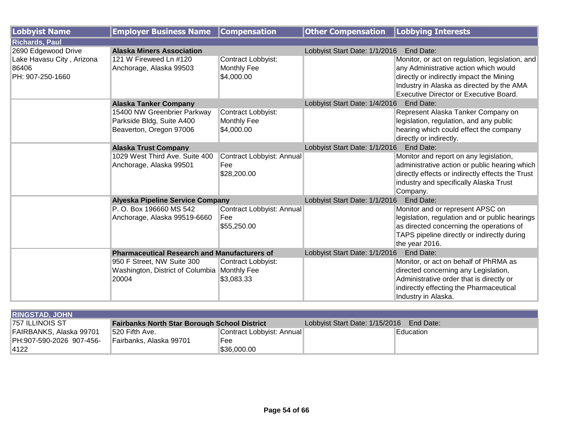| <b>Lobbyist Name</b>      | <b>Employer Business Name</b>                       | <b>Compensation</b>       | <b>Other Compensation   Lobbying Interests</b> |                                                  |
|---------------------------|-----------------------------------------------------|---------------------------|------------------------------------------------|--------------------------------------------------|
| <b>Richards, Paul</b>     |                                                     |                           |                                                |                                                  |
| 2690 Edgewood Drive       | <b>Alaska Miners Association</b>                    |                           | Lobbyist Start Date: 1/1/2016                  | <b>End Date:</b>                                 |
| Lake Havasu City, Arizona | 121 W Fireweed Ln #120                              | Contract Lobbyist:        |                                                | Monitor, or act on regulation, legislation, and  |
| 86406                     | Anchorage, Alaska 99503                             | Monthly Fee               |                                                | any Administrative action which would            |
| PH: 907-250-1660          |                                                     | \$4,000.00                |                                                | directly or indirectly impact the Mining         |
|                           |                                                     |                           |                                                | Industry in Alaska as directed by the AMA        |
|                           |                                                     |                           |                                                | Executive Director or Executive Board.           |
|                           | <b>Alaska Tanker Company</b>                        |                           | Lobbyist Start Date: 1/4/2016                  | End Date:                                        |
|                           | 15400 NW Greenbrier Parkway                         | Contract Lobbyist:        |                                                | Represent Alaska Tanker Company on               |
|                           | Parkside Bldg, Suite A400                           | Monthly Fee               |                                                | legislation, regulation, and any public          |
|                           | Beaverton, Oregon 97006                             | \$4,000.00                |                                                | hearing which could effect the company           |
|                           |                                                     |                           |                                                | directly or indirectly.                          |
|                           | <b>Alaska Trust Company</b>                         |                           | Lobbyist Start Date: 1/1/2016                  | End Date:                                        |
|                           | 1029 West Third Ave. Suite 400                      | Contract Lobbyist: Annual |                                                | Monitor and report on any legislation,           |
|                           | Anchorage, Alaska 99501                             | Fee                       |                                                | administrative action or public hearing which    |
|                           |                                                     | \$28,200.00               |                                                | directly effects or indirectly effects the Trust |
|                           |                                                     |                           |                                                | industry and specifically Alaska Trust           |
|                           |                                                     |                           |                                                | Company.                                         |
|                           | <b>Alyeska Pipeline Service Company</b>             |                           | Lobbyist Start Date: 1/1/2016                  | End Date:                                        |
|                           | P. O. Box 196660 MS 542                             | Contract Lobbyist: Annual |                                                | Monitor and or represent APSC on                 |
|                           | Anchorage, Alaska 99519-6660                        | Fee                       |                                                | legislation, regulation and or public hearings   |
|                           |                                                     | \$55,250.00               |                                                | as directed concerning the operations of         |
|                           |                                                     |                           |                                                | TAPS pipeline directly or indirectly during      |
|                           |                                                     |                           |                                                | the year 2016.                                   |
|                           | <b>Pharmaceutical Research and Manufacturers of</b> |                           | Lobbyist Start Date: 1/1/2016                  | End Date:                                        |
|                           | 950 F Street, NW Suite 300                          | Contract Lobbyist:        |                                                | Monitor, or act on behalf of PhRMA as            |
|                           | Washington, District of Columbia Monthly Fee        |                           |                                                | directed concerning any Legislation,             |
|                           | 20004                                               | \$3,083.33                |                                                | Administrative order that is directly or         |
|                           |                                                     |                           |                                                | indirectly effecting the Pharmaceutical          |
|                           |                                                     |                           |                                                | Industry in Alaska.                              |

| <b>RINGSTAD, JOHN</b>    |                                                     |                           |                                          |             |
|--------------------------|-----------------------------------------------------|---------------------------|------------------------------------------|-------------|
| 1757 ILLINOIS ST         | <b>Fairbanks North Star Borough School District</b> |                           | Lobbyist Start Date: 1/15/2016 End Date: |             |
| FAIRBANKS, Alaska 99701  | 520 Fifth Ave.                                      | Contract Lobbyist: Annual |                                          | lEducation⊹ |
| PH:907-590-2026 907-456- | Fairbanks, Alaska 99701                             | Fee                       |                                          |             |
| 4122                     |                                                     | \$36,000.00               |                                          |             |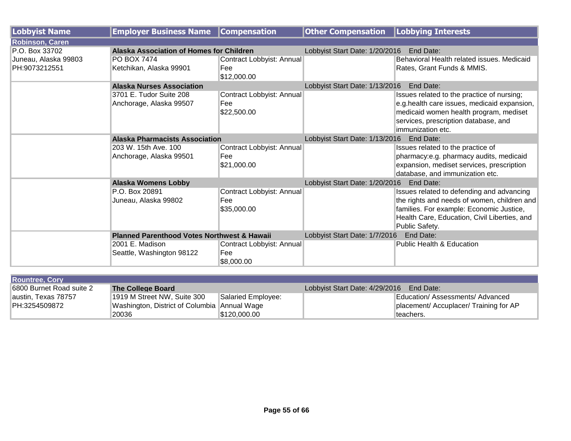| Lobbyist Name          | <b>Employer Business Name</b>                          | <b>Compensation</b>                             | <b>Other Compensation   Lobbying Interests</b> |                                                                                                                                                                                      |  |
|------------------------|--------------------------------------------------------|-------------------------------------------------|------------------------------------------------|--------------------------------------------------------------------------------------------------------------------------------------------------------------------------------------|--|
| <b>Robinson, Caren</b> |                                                        |                                                 |                                                |                                                                                                                                                                                      |  |
| P.O. Box 33702         | Alaska Association of Homes for Children               |                                                 | Lobbyist Start Date: 1/20/2016 End Date:       |                                                                                                                                                                                      |  |
| Juneau, Alaska 99803   | <b>PO BOX 7474</b>                                     | Contract Lobbyist: Annual                       |                                                | Behavioral Health related issues. Medicaid                                                                                                                                           |  |
| PH:9073212551          | Ketchikan, Alaska 99901                                | Fee<br>\$12,000.00                              |                                                | Rates, Grant Funds & MMIS.                                                                                                                                                           |  |
|                        | <b>Alaska Nurses Association</b>                       |                                                 | Lobbyist Start Date: 1/13/2016                 | End Date:                                                                                                                                                                            |  |
|                        | 3701 E. Tudor Suite 208                                | Contract Lobbyist: Annual                       |                                                | Issues related to the practice of nursing;                                                                                                                                           |  |
|                        | Anchorage, Alaska 99507                                | Fee                                             |                                                | e.g.health care issues, medicaid expansion,                                                                                                                                          |  |
|                        |                                                        | \$22,500.00                                     |                                                | medicaid women health program, mediset<br>services, prescription database, and<br>limmunization etc.                                                                                 |  |
|                        | <b>Alaska Pharmacists Association</b>                  |                                                 | Lobbyist Start Date: 1/13/2016<br>End Date:    |                                                                                                                                                                                      |  |
|                        | 203 W. 15th Ave. 100                                   | Contract Lobbyist: Annual                       |                                                | Issues related to the practice of                                                                                                                                                    |  |
|                        | Anchorage, Alaska 99501                                | Fee<br>\$21,000.00                              |                                                | pharmacy:e.g. pharmacy audits, medicaid<br>expansion, mediset services, prescription<br>database, and immunization etc.                                                              |  |
|                        | <b>Alaska Womens Lobby</b>                             |                                                 | Lobbyist Start Date: 1/20/2016                 | End Date:                                                                                                                                                                            |  |
|                        | P.O. Box 20891<br>Juneau, Alaska 99802                 | Contract Lobbyist: Annual<br>Fee<br>\$35,000.00 |                                                | Issues related to defending and advancing<br>the rights and needs of women, children and<br>families. For example: Economic Justice,<br>Health Care, Education, Civil Liberties, and |  |
|                        |                                                        |                                                 |                                                | Public Safety.                                                                                                                                                                       |  |
|                        | <b>Planned Parenthood Votes Northwest &amp; Hawaii</b> |                                                 | Lobbyist Start Date: 1/7/2016                  | End Date:                                                                                                                                                                            |  |
|                        | 2001 E. Madison                                        | Contract Lobbyist: Annual                       |                                                | <b>Public Health &amp; Education</b>                                                                                                                                                 |  |
|                        | Seattle, Washington 98122                              | Fee<br>\$8,000.00                               |                                                |                                                                                                                                                                                      |  |

| <b>Rountree, Cory</b>    |                                              |                    |                                |                                        |
|--------------------------|----------------------------------------------|--------------------|--------------------------------|----------------------------------------|
| 6800 Burnet Road suite 2 | The College Board                            |                    | Lobbyist Start Date: 4/29/2016 | End Date:                              |
| austin, Texas 78757      | 1919 M Street NW, Suite 300                  | Salaried Employee: |                                | Education/Assessments/Advanced         |
| PH:3254509872            | Washington, District of Columbia Annual Wage |                    |                                | placement/ Accuplacer/ Training for AP |
|                          | 20036                                        | S120.000.00_       |                                | teachers.                              |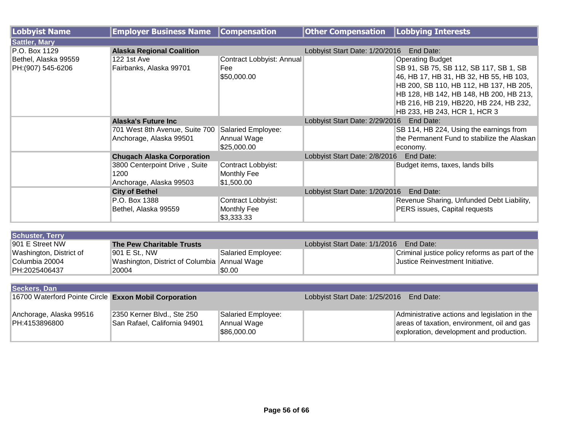| Lobbyist Name        | <b>Employer Business Name</b>     | <b>Compensation</b>       | <b>Other Compensation</b>                   | Lobbying Interests                          |
|----------------------|-----------------------------------|---------------------------|---------------------------------------------|---------------------------------------------|
| <b>Sattler, Mary</b> |                                   |                           |                                             |                                             |
| P.O. Box 1129        | <b>Alaska Regional Coalition</b>  |                           | Lobbyist Start Date: 1/20/2016              | End Date:                                   |
| Bethel, Alaska 99559 | <b>122 1st Ave</b>                | Contract Lobbyist: Annual |                                             | <b>Operating Budget</b>                     |
| PH: (907) 545-6206   | Fairbanks, Alaska 99701           | Fee                       |                                             | SB 91, SB 75, SB 112, SB 117, SB 1, SB      |
|                      |                                   | \$50,000.00               |                                             | 46, HB 17, HB 31, HB 32, HB 55, HB 103,     |
|                      |                                   |                           |                                             | HB 200, SB 110, HB 112, HB 137, HB 205,     |
|                      |                                   |                           |                                             | HB 128, HB 142, HB 148, HB 200, HB 213,     |
|                      |                                   |                           |                                             | HB 216, HB 219, HB220, HB 224, HB 232,      |
|                      |                                   |                           |                                             | HB 233, HB 243, HCR 1, HCR 3                |
|                      | Alaska's Future Inc               |                           | End Date:<br>Lobbyist Start Date: 2/29/2016 |                                             |
|                      | 701 West 8th Avenue, Suite 700    | Salaried Employee:        |                                             | SB 114, HB 224, Using the earnings from     |
|                      | Anchorage, Alaska 99501           | Annual Wage               |                                             | the Permanent Fund to stabilize the Alaskan |
|                      |                                   | \$25,000.00               |                                             | economy.                                    |
|                      | <b>Chugach Alaska Corporation</b> |                           | Lobbyist Start Date: 2/8/2016               | End Date:                                   |
|                      | 3800 Centerpoint Drive, Suite     | Contract Lobbyist:        |                                             | Budget items, taxes, lands bills            |
|                      | 1200                              | Monthly Fee               |                                             |                                             |
|                      | Anchorage, Alaska 99503           | $\$1,500.00$              |                                             |                                             |
|                      | <b>City of Bethel</b>             |                           | Lobbyist Start Date: 1/20/2016              | End Date:                                   |
|                      | P.O. Box 1388                     | Contract Lobbyist:        |                                             | Revenue Sharing, Unfunded Debt Liability,   |
|                      | Bethel, Alaska 99559              | Monthly Fee               |                                             | PERS issues, Capital requests               |
|                      |                                   | \$3,333.33                |                                             |                                             |
|                      |                                   |                           |                                             |                                             |

| Schuster, Terry         |                                              |                    |                                         |                                                |
|-------------------------|----------------------------------------------|--------------------|-----------------------------------------|------------------------------------------------|
| 1901 E Street NW        | The Pew Charitable Trusts                    |                    | Lobbyist Start Date: 1/1/2016 End Date: |                                                |
| Washington, District of | 1901 E St., NW                               | Salaried Employee: |                                         | Criminal justice policy reforms as part of the |
| Columbia 20004          | Washington, District of Columbia Annual Wage |                    |                                         | Uustice Reinvestment Initiative.               |
| PH:2025406437           | 20004                                        | $\$0.00$           |                                         |                                                |

| Seckers, Dan                                          |                              |                                          |  |                                               |  |
|-------------------------------------------------------|------------------------------|------------------------------------------|--|-----------------------------------------------|--|
| 16700 Waterford Pointe Circle Exxon Mobil Corporation |                              | Lobbyist Start Date: 1/25/2016 End Date: |  |                                               |  |
|                                                       |                              |                                          |  |                                               |  |
| Anchorage, Alaska 99516                               | 2350 Kerner Blvd., Ste 250   | Salaried Employee:                       |  | Administrative actions and legislation in the |  |
| PH:4153896800                                         | San Rafael, California 94901 | Annual Wage                              |  | areas of taxation, environment, oil and gas   |  |
|                                                       |                              | \$86,000.00                              |  | exploration, development and production.      |  |
|                                                       |                              |                                          |  |                                               |  |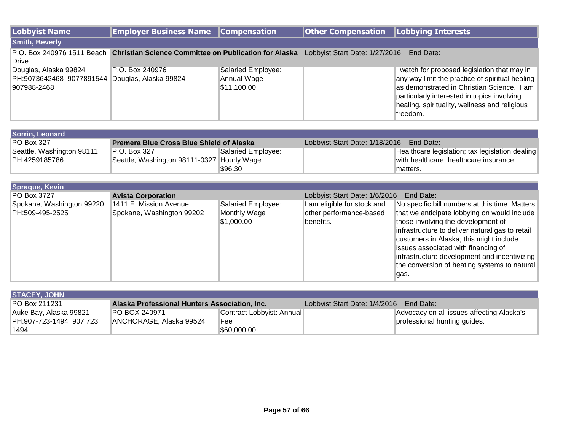| Lobbyist Name                                                                          | <b>Employer Business Name Compensation</b>                                       |                                                  | <b>Other Compensation   Lobbying Interests</b> |                                                                                                                                                                                                                                                           |
|----------------------------------------------------------------------------------------|----------------------------------------------------------------------------------|--------------------------------------------------|------------------------------------------------|-----------------------------------------------------------------------------------------------------------------------------------------------------------------------------------------------------------------------------------------------------------|
| <b>Smith, Beverly</b>                                                                  |                                                                                  |                                                  |                                                |                                                                                                                                                                                                                                                           |
| Drive                                                                                  | P.O. Box 240976 1511 Beach Christian Science Committee on Publication for Alaska |                                                  | Lobbyist Start Date: 1/27/2016                 | End Date:                                                                                                                                                                                                                                                 |
| Douglas, Alaska 99824<br>PH:9073642468 9077891544 Douglas, Alaska 99824<br>907988-2468 | P.O. Box 240976                                                                  | Salaried Employee:<br>Annual Wage<br>\$11,100.00 |                                                | I watch for proposed legislation that may in<br>any way limit the practice of spiritual healing<br>as demonstrated in Christian Science. I am<br>particularly interested in topics involving<br>healing, spirituality, wellness and religious<br>freedom. |

| Sorrin, Leonard           |                                                 |                    |                                          |                                                 |
|---------------------------|-------------------------------------------------|--------------------|------------------------------------------|-------------------------------------------------|
| <b>PO Box 327</b>         | <b>Premera Blue Cross Blue Shield of Alaska</b> |                    | Lobbyist Start Date: 1/18/2016 End Date: |                                                 |
| Seattle, Washington 98111 | IP.O. Box 327                                   | Salaried Employee: |                                          | Healthcare legislation; tax legislation dealing |
| PH:4259185786             | Seattle, Washington 98111-0327 Hourly Wage      |                    |                                          | with healthcare; healthcare insurance           |
|                           |                                                 | \$96.30            |                                          | matters.                                        |

| <b>Sprague, Kevin</b>                        |                                                     |                                                  |                                                                     |                                                                                                                                                                                                                                                                                                                                                                                   |
|----------------------------------------------|-----------------------------------------------------|--------------------------------------------------|---------------------------------------------------------------------|-----------------------------------------------------------------------------------------------------------------------------------------------------------------------------------------------------------------------------------------------------------------------------------------------------------------------------------------------------------------------------------|
| <b>PO Box 3727</b>                           | <b>Avista Corporation</b>                           |                                                  | Lobbyist Start Date: 1/6/2016                                       | End Date:                                                                                                                                                                                                                                                                                                                                                                         |
| Spokane, Washington 99220<br>PH:509-495-2525 | 1411 E. Mission Avenue<br>Spokane, Washington 99202 | Salaried Employee:<br>Monthly Wage<br>\$1,000.00 | I am eligible for stock and<br>other performance-based<br>benefits. | No specific bill numbers at this time. Matters<br>that we anticipate lobbying on would include<br>those involving the development of<br>infrastructure to deliver natural gas to retail<br>customers in Alaska; this might include<br>issues associated with financing of<br>infrastructure development and incentivizing<br>the conversion of heating systems to natural<br>gas. |

| <b>STACEY, JOHN</b>     |                                               |                           |                               |                                           |
|-------------------------|-----------------------------------------------|---------------------------|-------------------------------|-------------------------------------------|
| <b>IPO Box 211231</b>   | Alaska Professional Hunters Association, Inc. |                           | Lobbyist Start Date: 1/4/2016 | End Date:                                 |
| Auke Bay, Alaska 99821  | IPO BOX 240971                                | Contract Lobbyist: Annual |                               | Advocacy on all issues affecting Alaska's |
| PH:907-723-1494 907 723 | ANCHORAGE, Alaska 99524                       | Fee                       |                               | professional hunting guides.              |
| ำ494                    |                                               | \$60,000.00               |                               |                                           |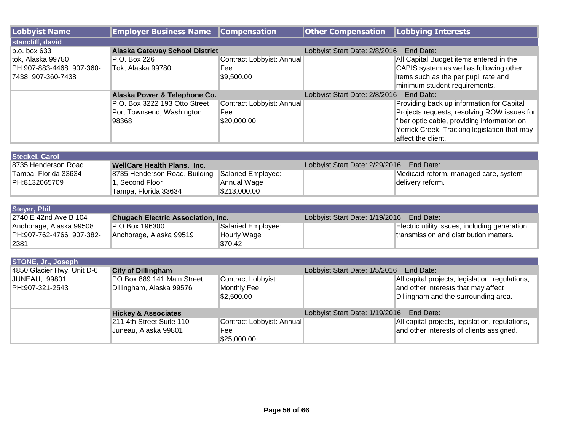| Lobbyist Name            | <b>Employer Business Name</b>         | <b>Compensation</b>       | <b>Other Compensation</b>     | Lobbying Interests                           |
|--------------------------|---------------------------------------|---------------------------|-------------------------------|----------------------------------------------|
| stancliff, david         |                                       |                           |                               |                                              |
| $p.o.$ box 633           | <b>Alaska Gateway School District</b> |                           | Lobbyist Start Date: 2/8/2016 | End Date:                                    |
| tok, Alaska 99780        | P.O. Box 226                          | Contract Lobbyist: Annual |                               | All Capital Budget items entered in the      |
| PH:907-883-4468 907-360- | Tok, Alaska 99780                     | Fee                       |                               | CAPIS system as well as following other      |
| 7438 907-360-7438        |                                       | \$9,500.00                |                               | items such as the per pupil rate and         |
|                          |                                       |                           |                               | minimum student requirements.                |
|                          | Alaska Power & Telephone Co.          |                           | Lobbyist Start Date: 2/8/2016 | End Date:                                    |
|                          | P.O. Box 3222 193 Otto Street         | Contract Lobbyist: Annual |                               | Providing back up information for Capital    |
|                          | Port Townsend, Washington             | Fee                       |                               | Projects requests, resolving ROW issues for  |
|                          | 98368                                 | \$20,000.00               |                               | fiber optic cable, providing information on  |
|                          |                                       |                           |                               | Yerrick Creek. Tracking legislation that may |
|                          |                                       |                           |                               | affect the client.                           |

| Steckel, Carol       |                                                  |              |                                          |                                       |
|----------------------|--------------------------------------------------|--------------|------------------------------------------|---------------------------------------|
| 18735 Henderson Road | WellCare Health Plans, Inc.                      |              | Lobbyist Start Date: 2/29/2016 End Date: |                                       |
| Tampa, Florida 33634 | 8735 Henderson Road, Building Salaried Employee: |              |                                          | Medicaid reform, managed care, system |
| PH:8132065709        | . Second Floor                                   | Annual Wage  |                                          | ∣delivery reform.                     |
|                      | "Tampa, Florida 33634                            | \$213,000.00 |                                          |                                       |

| Steyer, Phil             |                                           |                    |                                          |                                                |
|--------------------------|-------------------------------------------|--------------------|------------------------------------------|------------------------------------------------|
| 2740 E 42nd Ave B 104    | <b>Chugach Electric Association, Inc.</b> |                    | Lobbyist Start Date: 1/19/2016 End Date: |                                                |
| Anchorage, Alaska 99508  | P O Box 196300                            | Salaried Employee: |                                          | Electric utility issues, including generation, |
| PH:907-762-4766 907-382- | Anchorage, Alaska 99519                   | Hourly Wage        |                                          | transmission and distribution matters.         |
| 2381                     |                                           | \$70.42            |                                          |                                                |

| <b>STONE, Jr., Joseph</b>  |                                |                           |                                             |                                                 |
|----------------------------|--------------------------------|---------------------------|---------------------------------------------|-------------------------------------------------|
| 4850 Glacier Hwy. Unit D-6 | <b>City of Dillingham</b>      |                           | Lobbyist Start Date: 1/5/2016<br>End Date:  |                                                 |
| JUNEAU, 99801              | PO Box 889 141 Main Street     | Contract Lobbyist:        |                                             | All capital projects, legislation, regulations, |
| PH:907-321-2543            | Dillingham, Alaska 99576       | Monthly Fee               |                                             | and other interests that may affect             |
|                            |                                | \$2,500.00                |                                             | Dillingham and the surrounding area.            |
|                            |                                |                           |                                             |                                                 |
|                            | <b>Hickey &amp; Associates</b> |                           | Lobbyist Start Date: 1/19/2016<br>End Date: |                                                 |
|                            | 211 4th Street Suite 110       | Contract Lobbyist: Annual |                                             | All capital projects, legislation, regulations, |
|                            | Juneau, Alaska 99801           | Fee                       |                                             | and other interests of clients assigned.        |
|                            |                                | \$25,000.00               |                                             |                                                 |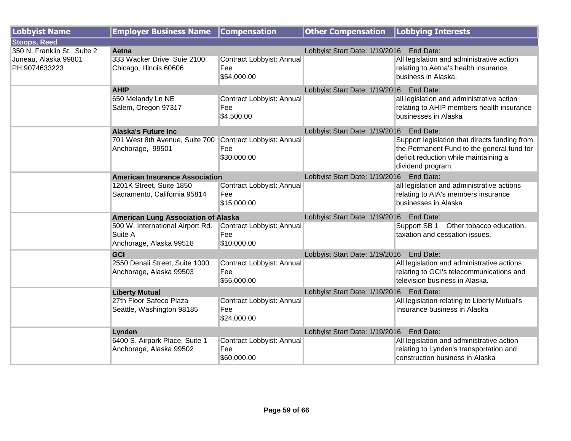| <b>Lobbyist Name</b>                  | <b>Employer Business Name</b>                                          | <b>Compensation</b>                             | <b>Other Compensation</b>                   | <b>Lobbying Interests</b>                                                                                                                                 |
|---------------------------------------|------------------------------------------------------------------------|-------------------------------------------------|---------------------------------------------|-----------------------------------------------------------------------------------------------------------------------------------------------------------|
| <b>Stoops, Reed</b>                   |                                                                        |                                                 |                                             |                                                                                                                                                           |
| 350 N. Franklin St., Suite 2          | Aetna                                                                  |                                                 | Lobbyist Start Date: 1/19/2016              | End Date:                                                                                                                                                 |
| Juneau, Alaska 99801<br>PH:9074633223 | 333 Wacker Drive Suie 2100<br>Chicago, Illinois 60606                  | Contract Lobbyist: Annual<br>Fee                |                                             | All legislation and administrative action<br>relating to Aetna's health insurance                                                                         |
|                                       |                                                                        | \$54,000.00                                     |                                             | business in Alaska.                                                                                                                                       |
|                                       | <b>AHIP</b>                                                            |                                                 | Lobbyist Start Date: 1/19/2016 End Date:    |                                                                                                                                                           |
|                                       | 650 Melandy Ln NE<br>Salem, Oregon 97317                               | Contract Lobbyist: Annual<br>Fee<br>\$4,500.00  |                                             | all legislation and administrative action<br>relating to AHIP members health insurance<br>businesses in Alaska                                            |
|                                       | <b>Alaska's Future Inc</b>                                             |                                                 | Lobbyist Start Date: 1/19/2016    End Date: |                                                                                                                                                           |
|                                       | 701 West 8th Avenue, Suite 700<br>Anchorage, 99501                     | Contract Lobbyist: Annual<br>Fee<br>\$30,000.00 |                                             | Support legislation that directs funding from<br>the Permanent Fund to the general fund for<br>deficit reduction while maintaining a<br>dividend program. |
|                                       | <b>American Insurance Association</b>                                  |                                                 | Lobbyist Start Date: 1/19/2016    End Date: |                                                                                                                                                           |
|                                       | 1201K Street, Suite 1850<br>Sacramento, California 95814               | Contract Lobbyist: Annual<br>Fee<br>\$15,000.00 |                                             | all legislation and administrative actions<br>relating to AIA's members insurance<br>businesses in Alaska                                                 |
|                                       | <b>American Lung Association of Alaska</b>                             |                                                 | Lobbyist Start Date: 1/19/2016 End Date:    |                                                                                                                                                           |
|                                       | 500 W. International Airport Rd.<br>Suite A<br>Anchorage, Alaska 99518 | Contract Lobbyist: Annual<br>Fee<br>\$10,000.00 |                                             | Support SB 1 Other tobacco education,<br>taxation and cessation issues.                                                                                   |
|                                       | GCI                                                                    |                                                 | Lobbyist Start Date: 1/19/2016 End Date:    |                                                                                                                                                           |
|                                       | 2550 Denali Street, Suite 1000<br>Anchorage, Alaska 99503              | Contract Lobbyist: Annual<br>Fee<br>\$55,000.00 |                                             | All legislation and administrative actions<br>relating to GCI's telecommunications and<br>television business in Alaska.                                  |
|                                       | <b>Liberty Mutual</b>                                                  |                                                 | Lobbyist Start Date: 1/19/2016 End Date:    |                                                                                                                                                           |
|                                       | 27th Floor Safeco Plaza                                                | Contract Lobbyist: Annual                       |                                             | All legislation relating to Liberty Mutual's                                                                                                              |
|                                       | Seattle, Washington 98185                                              | Fee<br>\$24,000.00                              |                                             | Insurance business in Alaska                                                                                                                              |
|                                       | Lynden                                                                 |                                                 | Lobbyist Start Date: 1/19/2016 End Date:    |                                                                                                                                                           |
|                                       | 6400 S. Airpark Place, Suite 1<br>Anchorage, Alaska 99502              | Contract Lobbyist: Annual<br>Fee<br>\$60,000.00 |                                             | All legislation and administrative action<br>relating to Lynden's transportation and<br>construction business in Alaska                                   |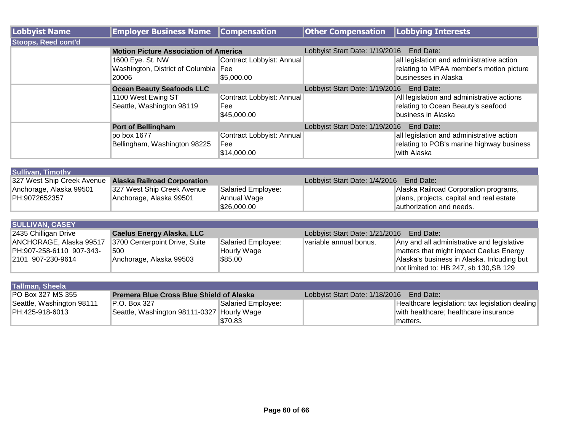| Lobbyist Name              | <b>Employer Business Name</b>                | <b>Compensation</b>       | <b>Other Compensation Lobbying Interests</b> |                                            |
|----------------------------|----------------------------------------------|---------------------------|----------------------------------------------|--------------------------------------------|
| <b>Stoops, Reed cont'd</b> |                                              |                           |                                              |                                            |
|                            | <b>Motion Picture Association of America</b> |                           | Lobbyist Start Date: 1/19/2016               | End Date:                                  |
|                            | 1600 Eye. St. NW                             | Contract Lobbyist: Annual |                                              | all legislation and administrative action  |
|                            | Washington, District of Columbia Fee         |                           |                                              | relating to MPAA member's motion picture   |
|                            | 20006                                        | \$5,000.00                |                                              | businesses in Alaska                       |
|                            | <b>Ocean Beauty Seafoods LLC</b>             |                           | Lobbyist Start Date: 1/19/2016<br>End Date:  |                                            |
|                            | 1100 West Ewing ST                           | Contract Lobbyist: Annual |                                              | All legislation and administrative actions |
|                            | Seattle, Washington 98119                    | Fee                       |                                              | relating to Ocean Beauty's seafood         |
|                            |                                              | \$45,000.00               |                                              | business in Alaska                         |
|                            | <b>Port of Bellingham</b>                    |                           | Lobbyist Start Date: 1/19/2016               | End Date:                                  |
|                            | po box 1677                                  | Contract Lobbyist: Annual |                                              | all legislation and administrative action  |
|                            | Bellingham, Washington 98225                 | Fee                       |                                              | relating to POB's marine highway business  |
|                            |                                              | \$14,000.00               |                                              | with Alaska                                |

| Sullivan, Timothy                                      |                            |                    |                                         |                                          |
|--------------------------------------------------------|----------------------------|--------------------|-----------------------------------------|------------------------------------------|
| 327 West Ship Creek Avenue Alaska Railroad Corporation |                            |                    | Lobbyist Start Date: 1/4/2016 End Date: |                                          |
| Anchorage, Alaska 99501                                | 327 West Ship Creek Avenue | Salaried Employee: |                                         | Alaska Railroad Corporation programs,    |
| PH:9072652357                                          | Anchorage, Alaska 99501    | Annual Wage        |                                         | plans, projects, capital and real estate |
|                                                        |                            | \$26,000.00        |                                         | lauthorization and needs.                |

| <b>SULLIVAN, CASEY</b>   |                                  |                    |                                             |                                            |  |
|--------------------------|----------------------------------|--------------------|---------------------------------------------|--------------------------------------------|--|
| 2435 Chilligan Drive     | <b>Caelus Energy Alaska, LLC</b> |                    | Lobbyist Start Date: 1/21/2016<br>End Date: |                                            |  |
| ANCHORAGE, Alaska 99517  | 3700 Centerpoint Drive, Suite    | Salaried Employee: | Ivariable annual bonus.                     | Any and all administrative and legislative |  |
| PH:907-258-6110 907-343- | 500                              | <b>Hourly Wage</b> |                                             | matters that might impact Caelus Energy    |  |
| 2101 907-230-9614        | Anchorage, Alaska 99503          | \$85.00            |                                             | Alaska's business in Alaska. Inlcuding but |  |
|                          |                                  |                    |                                             | not limited to: HB 247, sb 130, SB 129     |  |

| Tallman, Sheela           |                                                 |                    |                                          |                                                 |
|---------------------------|-------------------------------------------------|--------------------|------------------------------------------|-------------------------------------------------|
| <b>IPO Box 327 MS 355</b> | <b>Premera Blue Cross Blue Shield of Alaska</b> |                    | Lobbyist Start Date: 1/18/2016 End Date: |                                                 |
| Seattle, Washington 98111 | P.O. Box 327                                    | Salaried Employee: |                                          | Healthcare legislation; tax legislation dealing |
| PH:425-918-6013           | Seattle, Washington 98111-0327 Hourly Wage      |                    |                                          | with healthcare; healthcare insurance           |
|                           |                                                 | \$70.83            |                                          | <sup>∖</sup> matters.                           |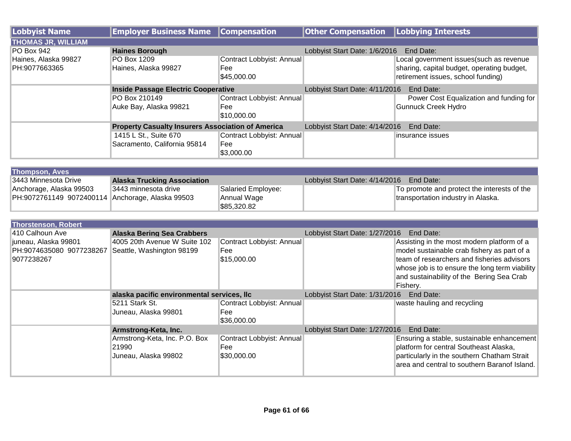| Lobbyist Name             | <b>Employer Business Name</b>                            | <b>Compensation</b>       | <b>Other Compensation Lobbying Interests</b> |                                            |
|---------------------------|----------------------------------------------------------|---------------------------|----------------------------------------------|--------------------------------------------|
| <b>THOMAS JR, WILLIAM</b> |                                                          |                           |                                              |                                            |
| PO Box 942                | <b>Haines Borough</b>                                    |                           | Lobbyist Start Date: 1/6/2016                | End Date:                                  |
| Haines, Alaska 99827      | PO Box 1209                                              | Contract Lobbyist: Annual |                                              | Local government issues (such as revenue   |
| PH:9077663365             | Haines, Alaska 99827                                     | Fee                       |                                              | sharing, capital budget, operating budget, |
|                           |                                                          | \$45,000.00               |                                              | retirement issues, school funding)         |
|                           | <b>Inside Passage Electric Cooperative</b>               |                           | Lobbyist Start Date: 4/11/2016               | End Date:                                  |
|                           | PO Box 210149                                            | Contract Lobbyist: Annual |                                              | Power Cost Equalization and funding for    |
|                           | Auke Bay, Alaska 99821                                   | Fee                       |                                              | Gunnuck Creek Hydro                        |
|                           |                                                          | \$10,000.00               |                                              |                                            |
|                           | <b>Property Casualty Insurers Association of America</b> |                           | Lobbyist Start Date: 4/14/2016               | End Date:                                  |
|                           | 1415 L St., Suite 670                                    | Contract Lobbyist: Annual |                                              | linsurance issues                          |
|                           | Sacramento, California 95814                             | Fee                       |                                              |                                            |
|                           |                                                          | \$3,000.00                |                                              |                                            |

| <b>Thompson, Aves</b>                            |                                    |                    |                                |                                             |  |
|--------------------------------------------------|------------------------------------|--------------------|--------------------------------|---------------------------------------------|--|
| 13443 Minnesota Drive                            | <b>Alaska Trucking Association</b> |                    | Lobbyist Start Date: 4/14/2016 | End Date:                                   |  |
| Anchorage, Alaska 99503                          | 3443 minnesota drive               | Salaried Employee: |                                | To promote and protect the interests of the |  |
| PH:9072761149 9072400114 Anchorage, Alaska 99503 |                                    | Annual Wage        |                                | transportation industry in Alaska.          |  |
|                                                  |                                    | \$85,320.82        |                                |                                             |  |

| <b>Thorstenson, Robert</b>                                     |                                                                                                              |                                                 |                                             |                                                                                                                                                                                                                                                    |  |
|----------------------------------------------------------------|--------------------------------------------------------------------------------------------------------------|-------------------------------------------------|---------------------------------------------|----------------------------------------------------------------------------------------------------------------------------------------------------------------------------------------------------------------------------------------------------|--|
| 410 Calhoun Ave                                                | <b>Alaska Bering Sea Crabbers</b>                                                                            |                                                 | Lobbyist Start Date: 1/27/2016<br>End Date: |                                                                                                                                                                                                                                                    |  |
| juneau, Alaska 99801<br>PH:9074635080 9077238267<br>9077238267 | 4005 20th Avenue W Suite 102<br>Contract Lobbyist: Annual<br>Seattle, Washington 98199<br>Fee<br>\$15,000.00 |                                                 |                                             | Assisting in the most modern platform of a<br>model sustainable crab fishery as part of a<br>team of researchers and fisheries advisors<br>whose job is to ensure the long term viability<br>and sustainability of the Bering Sea Crab<br>Fishery. |  |
|                                                                | alaska pacific environmental services, Ilc                                                                   |                                                 | Lobbyist Start Date: 1/31/2016<br>End Date: |                                                                                                                                                                                                                                                    |  |
|                                                                | 5211 Stark St.<br>Juneau, Alaska 99801                                                                       | Contract Lobbyist: Annual<br>Fee<br>\$36,000.00 |                                             | waste hauling and recycling                                                                                                                                                                                                                        |  |
|                                                                | Armstrong-Keta, Inc.                                                                                         |                                                 | Lobbyist Start Date: 1/27/2016<br>End Date: |                                                                                                                                                                                                                                                    |  |
|                                                                | Armstrong-Keta, Inc. P.O. Box<br>21990<br>Juneau, Alaska 99802                                               | Contract Lobbyist: Annual<br>Fee<br>\$30,000.00 |                                             | Ensuring a stable, sustainable enhancement<br>platform for central Southeast Alaska,<br>particularly in the southern Chatham Strait<br>area and central to southern Baranof Island.                                                                |  |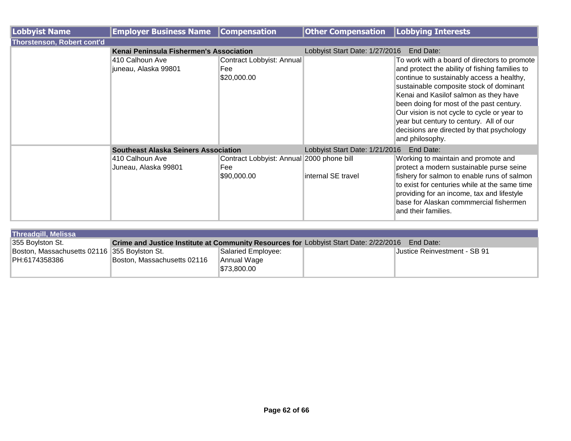| Lobbyist Name              | <b>Employer Business Name</b>               | <b>Compensation</b>                                             | <b>Other Compensation</b>      | Lobbying Interests                                                                                                                                                                                                                                                                                                                                                                                                                    |
|----------------------------|---------------------------------------------|-----------------------------------------------------------------|--------------------------------|---------------------------------------------------------------------------------------------------------------------------------------------------------------------------------------------------------------------------------------------------------------------------------------------------------------------------------------------------------------------------------------------------------------------------------------|
| Thorstenson, Robert cont'd |                                             |                                                                 |                                |                                                                                                                                                                                                                                                                                                                                                                                                                                       |
|                            | Kenai Peninsula Fishermen's Association     |                                                                 | Lobbyist Start Date: 1/27/2016 | End Date:                                                                                                                                                                                                                                                                                                                                                                                                                             |
|                            | 410 Calhoun Ave<br>juneau, Alaska 99801     | Contract Lobbyist: Annual<br>Fee<br>\$20,000.00                 |                                | To work with a board of directors to promote<br>and protect the ability of fishing families to<br>continue to sustainably access a healthy,<br>sustainable composite stock of dominant<br>Kenai and Kasilof salmon as they have<br>been doing for most of the past century.<br>Our vision is not cycle to cycle or year to<br>year but century to century. All of our<br>decisions are directed by that psychology<br>and philosophy. |
|                            | <b>Southeast Alaska Seiners Association</b> |                                                                 | Lobbyist Start Date: 1/21/2016 | End Date:                                                                                                                                                                                                                                                                                                                                                                                                                             |
|                            | 410 Calhoun Ave<br>Juneau, Alaska 99801     | Contract Lobbyist: Annual 2000 phone bill<br>Fee<br>\$90,000.00 | internal SE travel             | Working to maintain and promote and<br>protect a modern sustainable purse seine<br>fishery for salmon to enable runs of salmon<br>to exist for centuries while at the same time<br>providing for an income, tax and lifestyle<br>base for Alaskan commmercial fishermen<br>and their families.                                                                                                                                        |

| <b>Threadgill, Melissa</b>                   |                                                                                                           |                           |  |                              |
|----------------------------------------------|-----------------------------------------------------------------------------------------------------------|---------------------------|--|------------------------------|
| 355 Boylston St.                             | <b>Crime and Justice Institute at Community Resources for Lobbyist Start Date: 2/22/2016</b><br>End Date: |                           |  |                              |
| Boston, Massachusetts 02116 355 Boylston St. |                                                                                                           | <b>Salaried Employee:</b> |  | Justice Reinvestment - SB 91 |
| PH:6174358386                                | Boston, Massachusetts 02116                                                                               | Annual Wage               |  |                              |
|                                              |                                                                                                           | \$73,800.00               |  |                              |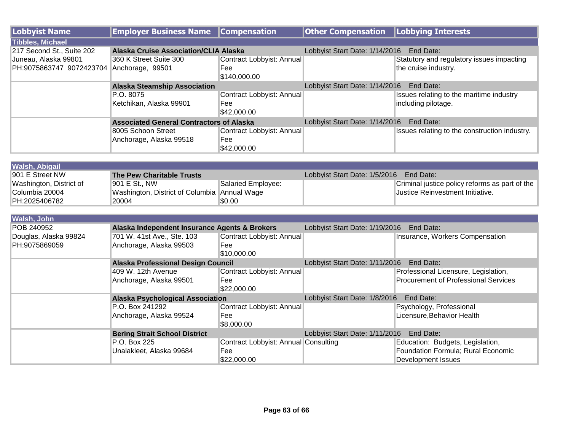| <b>Lobbyist Name</b>      | <b>Employer Business Name</b>                   | <b>Compensation</b>                  | <b>Other Compensation</b>                | Lobbying Interests                             |
|---------------------------|-------------------------------------------------|--------------------------------------|------------------------------------------|------------------------------------------------|
| <b>Tibbles, Michael</b>   |                                                 |                                      |                                          |                                                |
| 217 Second St., Suite 202 | <b>Alaska Cruise Association/CLIA Alaska</b>    |                                      | Lobbyist Start Date: 1/14/2016 End Date: |                                                |
| Juneau, Alaska 99801      | 360 K Street Suite 300                          | Contract Lobbyist: Annual            |                                          | Statutory and regulatory issues impacting      |
| PH:9075863747 9072423704  | Anchorage, 99501                                | Fee                                  |                                          | the cruise industry.                           |
|                           |                                                 | \$140,000.00                         |                                          |                                                |
|                           | <b>Alaska Steamship Association</b>             |                                      | Lobbyist Start Date: 1/14/2016 End Date: |                                                |
|                           | P.O. 8075                                       | Contract Lobbyist: Annual            |                                          | Issues relating to the maritime industry       |
|                           | Ketchikan, Alaska 99901                         | Fee                                  |                                          | including pilotage.                            |
|                           |                                                 | \$42,000.00                          |                                          |                                                |
|                           | <b>Associated General Contractors of Alaska</b> |                                      | Lobbyist Start Date: 1/14/2016 End Date: |                                                |
|                           | 8005 Schoon Street                              | Contract Lobbyist: Annual            |                                          | Issues relating to the construction industry.  |
|                           | Anchorage, Alaska 99518                         | Fee                                  |                                          |                                                |
|                           |                                                 | \$42,000.00                          |                                          |                                                |
|                           |                                                 |                                      |                                          |                                                |
| <b>Walsh, Abigail</b>     |                                                 |                                      |                                          |                                                |
| 901 E Street NW           | <b>The Pew Charitable Trusts</b>                |                                      | Lobbyist Start Date: 1/5/2016            | End Date:                                      |
| Washington, District of   | 901 E St., NW                                   | Salaried Employee:                   |                                          | Criminal justice policy reforms as part of the |
| Columbia 20004            | Washington, District of Columbia Annual Wage    |                                      |                                          | Justice Reinvestment Initiative.               |
| PH:2025406782             | 20004                                           | \$0.00                               |                                          |                                                |
| Walsh, John               |                                                 |                                      |                                          |                                                |
| POB 240952                | Alaska Independent Insurance Agents & Brokers   |                                      | Lobbyist Start Date: 1/19/2016           | End Date:                                      |
| Douglas, Alaska 99824     | 701 W. 41st Ave., Ste. 103                      | Contract Lobbyist: Annual            |                                          | Insurance, Workers Compensation                |
| PH:9075869059             | Anchorage, Alaska 99503                         | Fee                                  |                                          |                                                |
|                           |                                                 | \$10,000.00                          |                                          |                                                |
|                           | <b>Alaska Professional Design Council</b>       |                                      | Lobbyist Start Date: 1/11/2016 End Date: |                                                |
|                           | 409 W. 12th Avenue                              | Contract Lobbyist: Annual            |                                          | Professional Licensure, Legislation,           |
|                           | Anchorage, Alaska 99501                         | Fee                                  |                                          | <b>Procurement of Professional Services</b>    |
|                           |                                                 | \$22,000.00                          |                                          |                                                |
|                           | <b>Alaska Psychological Association</b>         |                                      | Lobbyist Start Date: 1/8/2016 End Date:  |                                                |
|                           | P.O. Box 241292                                 | Contract Lobbyist: Annual            |                                          | Psychology, Professional                       |
|                           | Anchorage, Alaska 99524                         | Fee                                  |                                          | Licensure, Behavior Health                     |
|                           |                                                 | \$8,000.00                           |                                          |                                                |
|                           | <b>Bering Strait School District</b>            |                                      | Lobbyist Start Date: 1/11/2016 End Date: |                                                |
|                           | P.O. Box 225                                    | Contract Lobbyist: Annual Consulting |                                          | Education: Budgets, Legislation,               |
|                           | Unalakleet, Alaska 99684                        | Fee                                  |                                          | Foundation Formula; Rural Economic             |
|                           |                                                 | \$22,000.00                          |                                          | <b>Development Issues</b>                      |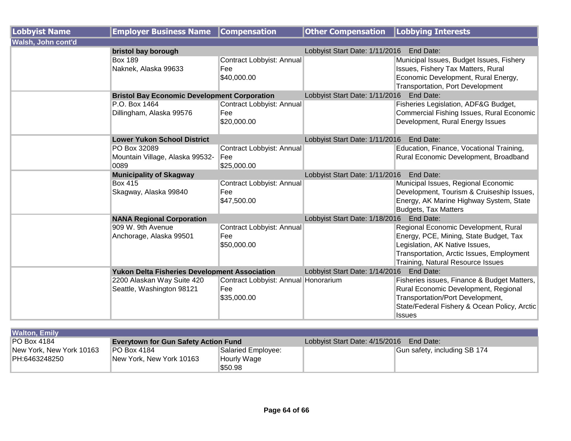| <b>Lobbyist Name</b> | <b>Employer Business Name</b>                        | <b>Compensation</b>                  | <b>Other Compensation</b>                   | Lobbying Interests                                                       |
|----------------------|------------------------------------------------------|--------------------------------------|---------------------------------------------|--------------------------------------------------------------------------|
| Walsh, John cont'd   |                                                      |                                      |                                             |                                                                          |
|                      | bristol bay borough                                  |                                      | Lobbyist Start Date: 1/11/2016              | End Date:                                                                |
|                      | <b>Box 189</b>                                       | Contract Lobbyist: Annual            |                                             | Municipal Issues, Budget Issues, Fishery                                 |
|                      | Naknek, Alaska 99633                                 | Fee                                  |                                             | Issues, Fishery Tax Matters, Rural                                       |
|                      |                                                      | \$40,000.00                          |                                             | Economic Development, Rural Energy,<br>Transportation, Port Development  |
|                      | <b>Bristol Bay Economic Development Corporation</b>  |                                      | Lobbyist Start Date: 1/11/2016 End Date:    |                                                                          |
|                      | P.O. Box 1464                                        | Contract Lobbyist: Annual            |                                             | Fisheries Legislation, ADF&G Budget,                                     |
|                      | Dillingham, Alaska 99576                             | Fee                                  |                                             | Commercial Fishing Issues, Rural Economic                                |
|                      |                                                      | \$20,000.00                          |                                             | Development, Rural Energy Issues                                         |
|                      | <b>Lower Yukon School District</b>                   |                                      | Lobbyist Start Date: 1/11/2016 End Date:    |                                                                          |
|                      | PO Box 32089                                         | Contract Lobbyist: Annual            |                                             | Education, Finance, Vocational Training,                                 |
|                      | Mountain Village, Alaska 99532-                      | Fee                                  |                                             | Rural Economic Development, Broadband                                    |
|                      | 0089                                                 | \$25,000.00                          |                                             |                                                                          |
|                      | <b>Municipality of Skagway</b>                       |                                      | End Date:<br>Lobbyist Start Date: 1/11/2016 |                                                                          |
|                      | <b>Box 415</b>                                       | Contract Lobbyist: Annual            |                                             | Municipal Issues, Regional Economic                                      |
|                      | Skagway, Alaska 99840                                | Fee                                  |                                             | Development, Tourism & Cruiseship Issues,                                |
|                      |                                                      | \$47,500.00                          |                                             | Energy, AK Marine Highway System, State                                  |
|                      |                                                      |                                      |                                             | <b>Budgets, Tax Matters</b>                                              |
|                      | <b>NANA Regional Corporation</b>                     |                                      | Lobbyist Start Date: 1/18/2016 End Date:    |                                                                          |
|                      | 909 W. 9th Avenue                                    | Contract Lobbyist: Annual<br>Fee     |                                             | Regional Economic Development, Rural                                     |
|                      | Anchorage, Alaska 99501                              | \$50,000.00                          |                                             | Energy, PCE, Mining, State Budget, Tax<br>Legislation, AK Native Issues, |
|                      |                                                      |                                      |                                             | Transportation, Arctic Issues, Employment                                |
|                      |                                                      |                                      |                                             | Training, Natural Resource Issues                                        |
|                      | <b>Yukon Delta Fisheries Development Association</b> |                                      | Lobbyist Start Date: 1/14/2016 End Date:    |                                                                          |
|                      | 2200 Alaskan Way Suite 420                           | Contract Lobbyist: Annual Honorarium |                                             | Fisheries issues, Finance & Budget Matters,                              |
|                      | Seattle, Washington 98121                            | Fee                                  |                                             | Rural Economic Development, Regional                                     |
|                      |                                                      | \$35,000.00                          |                                             | Transportation/Port Development,                                         |
|                      |                                                      |                                      |                                             | State/Federal Fishery & Ocean Policy, Arctic                             |
|                      |                                                      |                                      |                                             | <b>Issues</b>                                                            |

| <b>Walton, Emily</b>     |                                             |                    |                                             |                              |  |
|--------------------------|---------------------------------------------|--------------------|---------------------------------------------|------------------------------|--|
| $PO$ Box 4184            | <b>Everytown for Gun Safety Action Fund</b> |                    | Lobbyist Start Date: 4/15/2016<br>End Date: |                              |  |
| New York, New York 10163 | IPO Box 4184                                | Salaried Employee: |                                             | Gun safety, including SB 174 |  |
| PH:6463248250            | New York, New York 10163                    | Hourly Wage        |                                             |                              |  |
|                          |                                             | \$50.98            |                                             |                              |  |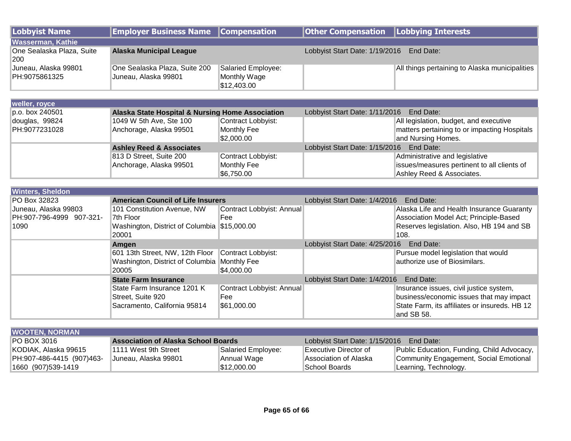| <b>Lobbyist Name</b>                                     | <b>Employer Business Name</b>                                                            | <b>Compensation</b>                               | <b>Other Compensation</b>                   | <b>Lobbying Interests</b>                                                                                                        |
|----------------------------------------------------------|------------------------------------------------------------------------------------------|---------------------------------------------------|---------------------------------------------|----------------------------------------------------------------------------------------------------------------------------------|
| <b>Wasserman, Kathie</b>                                 |                                                                                          |                                                   |                                             |                                                                                                                                  |
| One Sealaska Plaza, Suite<br>200                         | <b>Alaska Municipal League</b>                                                           |                                                   | Lobbyist Start Date: 1/19/2016<br>End Date: |                                                                                                                                  |
| Juneau, Alaska 99801<br>PH:9075861325                    | One Sealaska Plaza, Suite 200<br>Juneau, Alaska 99801                                    | Salaried Employee:<br>Monthly Wage<br>\$12,403.00 |                                             | All things pertaining to Alaska municipalities                                                                                   |
|                                                          |                                                                                          |                                                   |                                             |                                                                                                                                  |
| weller, royce                                            |                                                                                          |                                                   |                                             |                                                                                                                                  |
| p.o. box 240501                                          | Alaska State Hospital & Nursing Home Association                                         |                                                   | Lobbyist Start Date: 1/11/2016              | End Date:                                                                                                                        |
| douglas, 99824                                           | 1049 W 5th Ave, Ste 100                                                                  | Contract Lobbyist:                                |                                             | All legislation, budget, and executive                                                                                           |
| PH:9077231028                                            | Anchorage, Alaska 99501                                                                  | <b>Monthly Fee</b><br>\$2,000.00                  |                                             | matters pertaining to or impacting Hospitals<br>and Nursing Homes.                                                               |
|                                                          | <b>Ashley Reed &amp; Associates</b>                                                      |                                                   | Lobbyist Start Date: 1/15/2016 End Date:    |                                                                                                                                  |
|                                                          | 813 D Street, Suite 200                                                                  | Contract Lobbyist:                                |                                             | Administrative and legislative                                                                                                   |
|                                                          | Anchorage, Alaska 99501                                                                  | Monthly Fee<br>\$6,750.00                         |                                             | issues/measures pertinent to all clients of<br>Ashley Reed & Associates.                                                         |
|                                                          |                                                                                          |                                                   |                                             |                                                                                                                                  |
| <b>Winters, Sheldon</b>                                  |                                                                                          |                                                   |                                             |                                                                                                                                  |
| PO Box 32823                                             | <b>American Council of Life Insurers</b>                                                 |                                                   | Lobbyist Start Date: 1/4/2016               | End Date:                                                                                                                        |
| Juneau, Alaska 99803<br>PH:907-796-4999 907-321-<br>1090 | 101 Constitution Avenue, NW<br>7th Floor<br>Washington, District of Columbia \$15,000.00 | Contract Lobbyist: Annual<br>Fee                  |                                             | Alaska Life and Health Insurance Guaranty<br>Association Model Act; Principle-Based<br>Reserves legislation. Also, HB 194 and SB |
|                                                          | 20001                                                                                    |                                                   |                                             | 108.                                                                                                                             |
|                                                          | Amgen                                                                                    |                                                   | Lobbyist Start Date: 4/25/2016 End Date:    |                                                                                                                                  |
|                                                          | 601 13th Street, NW, 12th Floor                                                          | Contract Lobbyist:                                |                                             | Pursue model legislation that would                                                                                              |
|                                                          | Washington, District of Columbia Monthly Fee                                             |                                                   |                                             | authorize use of Biosimilars.                                                                                                    |
|                                                          | 20005                                                                                    | \$4,000.00                                        |                                             |                                                                                                                                  |
|                                                          | <b>State Farm Insurance</b>                                                              |                                                   | Lobbyist Start Date: 1/4/2016               | End Date:                                                                                                                        |
|                                                          | State Farm Insurance 1201 K                                                              | Contract Lobbyist: Annual                         |                                             | Insurance issues, civil justice system,                                                                                          |
|                                                          | Street, Suite 920                                                                        | Fee                                               |                                             | business/economic issues that may impact                                                                                         |

| <b>WOOTEN, NORMAN</b>     |                                            |                    |                                          |                                            |  |  |  |  |
|---------------------------|--------------------------------------------|--------------------|------------------------------------------|--------------------------------------------|--|--|--|--|
| IPO BOX 3016              | <b>Association of Alaska School Boards</b> |                    | Lobbyist Start Date: 1/15/2016 End Date: |                                            |  |  |  |  |
| KODIAK, Alaska 99615      | 1111 West 9th Street                       | Salaried Employee: | IExecutive Director of                   | Public Education, Funding, Child Advocacy, |  |  |  |  |
| PH:907-486-4415 (907)463- | Juneau, Alaska 99801                       | Annual Wage        | Association of Alaska                    | Community Engagement, Social Emotional     |  |  |  |  |
| 1660 (907)539-1419        |                                            | \$12,000.00        | School Boards                            | Learning, Technology.                      |  |  |  |  |

\$61,000.00

Sacramento, California 95814

State Farm, its affiliates or insureds. HB 12

and SB 58.